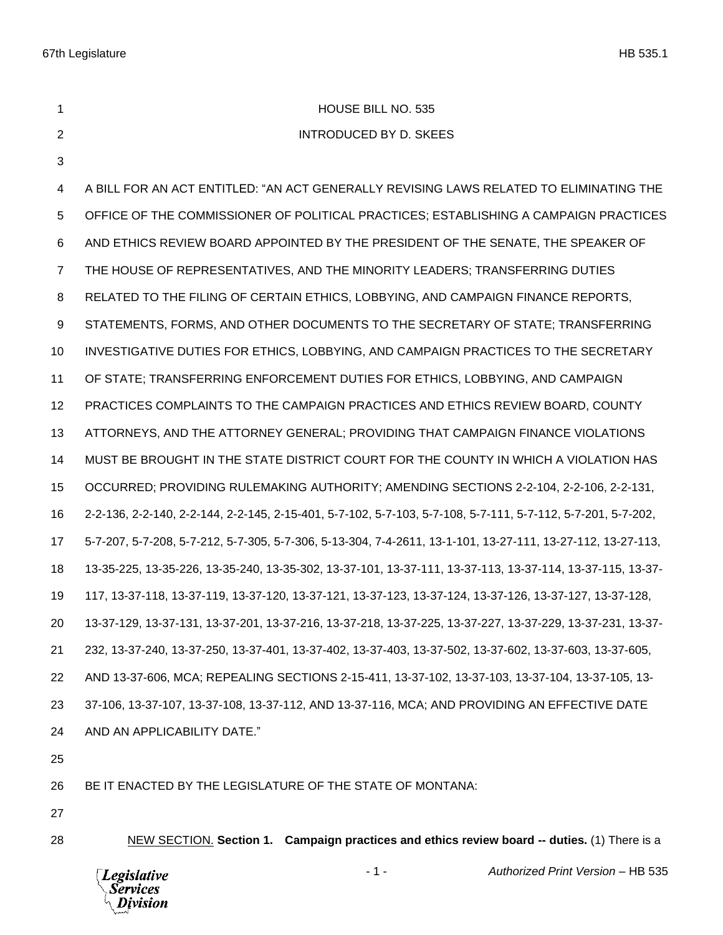| 1              | HOUSE BILL NO. 535                                                                                           |
|----------------|--------------------------------------------------------------------------------------------------------------|
| 2              | <b>INTRODUCED BY D. SKEES</b>                                                                                |
| 3              |                                                                                                              |
| 4              | A BILL FOR AN ACT ENTITLED: "AN ACT GENERALLY REVISING LAWS RELATED TO ELIMINATING THE                       |
| 5              | OFFICE OF THE COMMISSIONER OF POLITICAL PRACTICES; ESTABLISHING A CAMPAIGN PRACTICES                         |
| 6              | AND ETHICS REVIEW BOARD APPOINTED BY THE PRESIDENT OF THE SENATE, THE SPEAKER OF                             |
| $\overline{7}$ | THE HOUSE OF REPRESENTATIVES, AND THE MINORITY LEADERS; TRANSFERRING DUTIES                                  |
| 8              | RELATED TO THE FILING OF CERTAIN ETHICS, LOBBYING, AND CAMPAIGN FINANCE REPORTS,                             |
| 9              | STATEMENTS, FORMS, AND OTHER DOCUMENTS TO THE SECRETARY OF STATE; TRANSFERRING                               |
| 10             | INVESTIGATIVE DUTIES FOR ETHICS, LOBBYING, AND CAMPAIGN PRACTICES TO THE SECRETARY                           |
| 11             | OF STATE; TRANSFERRING ENFORCEMENT DUTIES FOR ETHICS, LOBBYING, AND CAMPAIGN                                 |
| 12             | PRACTICES COMPLAINTS TO THE CAMPAIGN PRACTICES AND ETHICS REVIEW BOARD, COUNTY                               |
| 13             | ATTORNEYS, AND THE ATTORNEY GENERAL; PROVIDING THAT CAMPAIGN FINANCE VIOLATIONS                              |
| 14             | MUST BE BROUGHT IN THE STATE DISTRICT COURT FOR THE COUNTY IN WHICH A VIOLATION HAS                          |
| 15             | OCCURRED; PROVIDING RULEMAKING AUTHORITY; AMENDING SECTIONS 2-2-104, 2-2-106, 2-2-131,                       |
| 16             | 2-2-136, 2-2-140, 2-2-144, 2-2-145, 2-15-401, 5-7-102, 5-7-103, 5-7-108, 5-7-111, 5-7-112, 5-7-201, 5-7-202, |
| 17             | 5-7-207, 5-7-208, 5-7-212, 5-7-305, 5-7-306, 5-13-304, 7-4-2611, 13-1-101, 13-27-111, 13-27-112, 13-27-113,  |
| 18             | 13-35-225, 13-35-226, 13-35-240, 13-35-302, 13-37-101, 13-37-111, 13-37-113, 13-37-114, 13-37-115, 13-37-    |
| 19             | 117, 13-37-118, 13-37-119, 13-37-120, 13-37-121, 13-37-123, 13-37-124, 13-37-126, 13-37-127, 13-37-128,      |
| 20             | 13-37-129, 13-37-131, 13-37-201, 13-37-216, 13-37-218, 13-37-225, 13-37-227, 13-37-229, 13-37-231, 13-37-    |
| 21             | 232, 13-37-240, 13-37-250, 13-37-401, 13-37-402, 13-37-403, 13-37-502, 13-37-602, 13-37-603, 13-37-605,      |
| 22             | AND 13-37-606, MCA; REPEALING SECTIONS 2-15-411, 13-37-102, 13-37-103, 13-37-104, 13-37-105, 13-             |
| 23             | 37-106, 13-37-107, 13-37-108, 13-37-112, AND 13-37-116, MCA; AND PROVIDING AN EFFECTIVE DATE                 |
| 24             | AND AN APPLICABILITY DATE."                                                                                  |
|                |                                                                                                              |

BE IT ENACTED BY THE LEGISLATURE OF THE STATE OF MONTANA:

NEW SECTION. **Section 1. Campaign practices and ethics review board -- duties.** (1) There is a

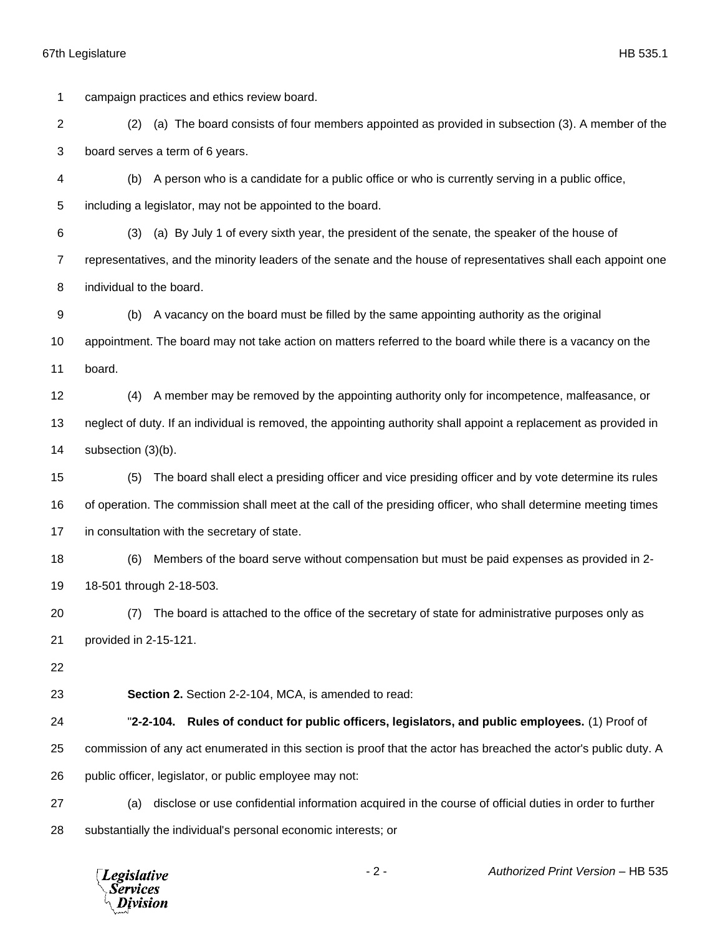campaign practices and ethics review board. (2) (a) The board consists of four members appointed as provided in subsection (3). A member of the board serves a term of 6 years. (b) A person who is a candidate for a public office or who is currently serving in a public office, including a legislator, may not be appointed to the board. (3) (a) By July 1 of every sixth year, the president of the senate, the speaker of the house of representatives, and the minority leaders of the senate and the house of representatives shall each appoint one individual to the board. (b) A vacancy on the board must be filled by the same appointing authority as the original appointment. The board may not take action on matters referred to the board while there is a vacancy on the board. (4) A member may be removed by the appointing authority only for incompetence, malfeasance, or neglect of duty. If an individual is removed, the appointing authority shall appoint a replacement as provided in subsection (3)(b). (5) The board shall elect a presiding officer and vice presiding officer and by vote determine its rules of operation. The commission shall meet at the call of the presiding officer, who shall determine meeting times 17 in consultation with the secretary of state. (6) Members of the board serve without compensation but must be paid expenses as provided in 2- 18-501 through 2-18-503. (7) The board is attached to the office of the secretary of state for administrative purposes only as provided in 2-15-121. **Section 2.** Section 2-2-104, MCA, is amended to read: "**2-2-104. Rules of conduct for public officers, legislators, and public employees.** (1) Proof of commission of any act enumerated in this section is proof that the actor has breached the actor's public duty. A public officer, legislator, or public employee may not: (a) disclose or use confidential information acquired in the course of official duties in order to further substantially the individual's personal economic interests; or

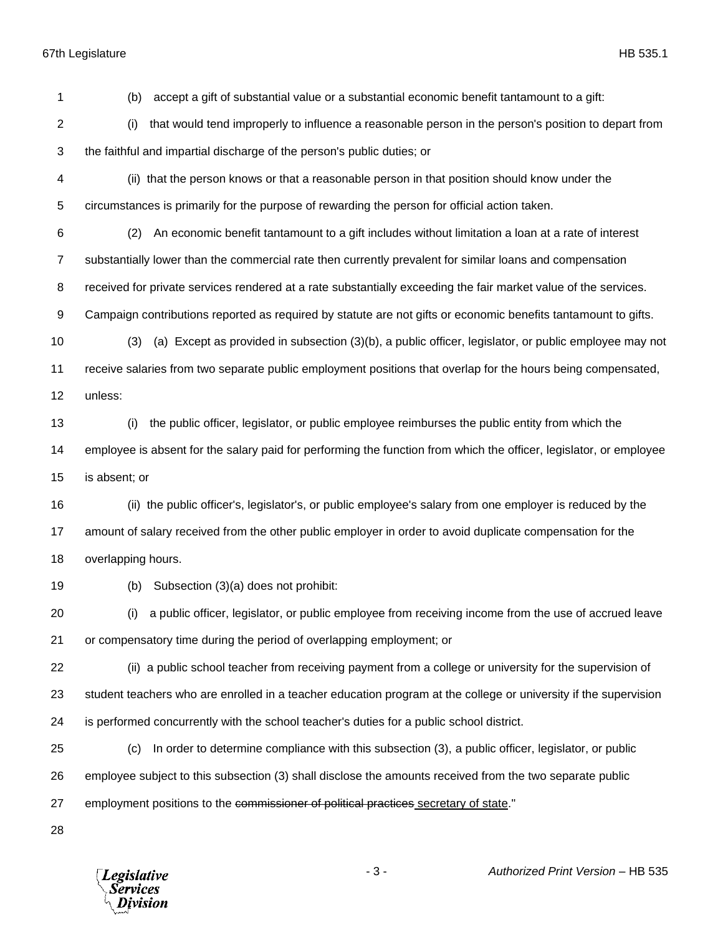(b) accept a gift of substantial value or a substantial economic benefit tantamount to a gift: (i) that would tend improperly to influence a reasonable person in the person's position to depart from the faithful and impartial discharge of the person's public duties; or (ii) that the person knows or that a reasonable person in that position should know under the circumstances is primarily for the purpose of rewarding the person for official action taken. (2) An economic benefit tantamount to a gift includes without limitation a loan at a rate of interest substantially lower than the commercial rate then currently prevalent for similar loans and compensation received for private services rendered at a rate substantially exceeding the fair market value of the services. Campaign contributions reported as required by statute are not gifts or economic benefits tantamount to gifts. (3) (a) Except as provided in subsection (3)(b), a public officer, legislator, or public employee may not receive salaries from two separate public employment positions that overlap for the hours being compensated, unless: (i) the public officer, legislator, or public employee reimburses the public entity from which the employee is absent for the salary paid for performing the function from which the officer, legislator, or employee is absent; or (ii) the public officer's, legislator's, or public employee's salary from one employer is reduced by the amount of salary received from the other public employer in order to avoid duplicate compensation for the overlapping hours. (b) Subsection (3)(a) does not prohibit: (i) a public officer, legislator, or public employee from receiving income from the use of accrued leave or compensatory time during the period of overlapping employment; or (ii) a public school teacher from receiving payment from a college or university for the supervision of student teachers who are enrolled in a teacher education program at the college or university if the supervision is performed concurrently with the school teacher's duties for a public school district. (c) In order to determine compliance with this subsection (3), a public officer, legislator, or public employee subject to this subsection (3) shall disclose the amounts received from the two separate public 27 employment positions to the commissioner of political practices secretary of state." 

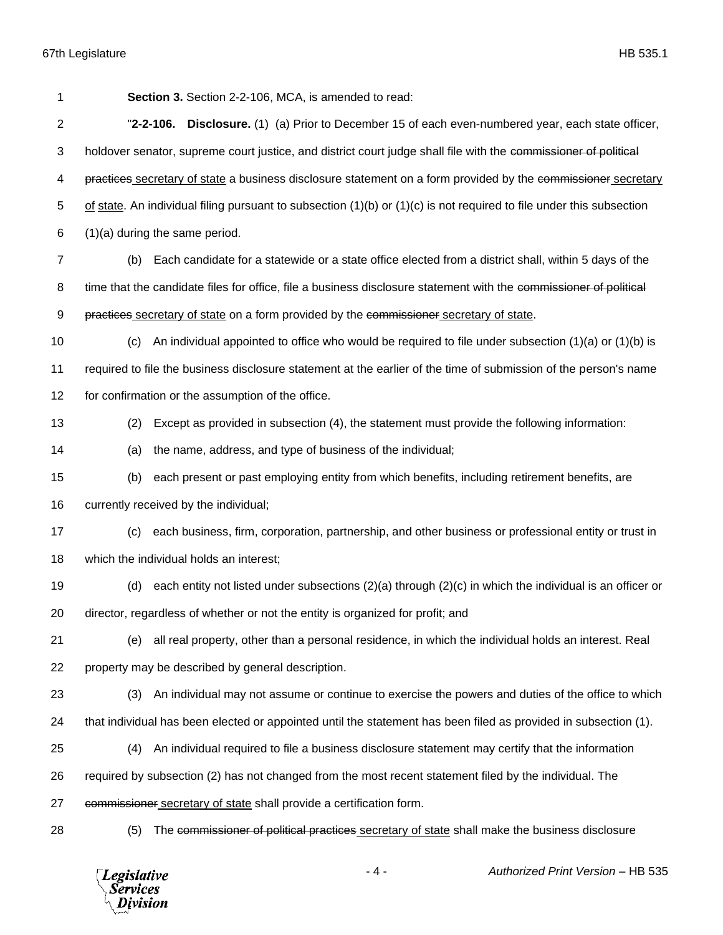| $\boldsymbol{2}$<br>$"2-2-106.$<br>$\sqrt{3}$<br>holdover senator, supreme court justice, and district court judge shall file with the commissioner of political<br>4<br>of state. An individual filing pursuant to subsection $(1)(b)$ or $(1)(c)$ is not required to file under this subsection<br>$\sqrt{5}$<br>$\,6$<br>(1)(a) during the same period.<br>$\overline{7}$<br>(b) Each candidate for a statewide or a state office elected from a district shall, within 5 days of the<br>8<br>time that the candidate files for office, file a business disclosure statement with the commissioner of political<br>$\boldsymbol{9}$<br>practices secretary of state on a form provided by the commissioner secretary of state.<br>10<br>(c)<br>11<br>12<br>for confirmation or the assumption of the office.<br>13<br>Except as provided in subsection (4), the statement must provide the following information:<br>(2)<br>14<br>the name, address, and type of business of the individual;<br>(a)<br>15<br>each present or past employing entity from which benefits, including retirement benefits, are<br>(b)<br>16<br>currently received by the individual;<br>17<br>(c)<br>18<br>which the individual holds an interest;<br>19<br>(d)<br>20<br>director, regardless of whether or not the entity is organized for profit; and<br>21<br>all real property, other than a personal residence, in which the individual holds an interest. Real<br>(e)<br>22<br>property may be described by general description.<br>23<br>(3)<br>24<br>that individual has been elected or appointed until the statement has been filed as provided in subsection (1).<br>25<br>An individual required to file a business disclosure statement may certify that the information<br>(4)<br>26<br>required by subsection (2) has not changed from the most recent statement filed by the individual. The<br>27<br>commissioner secretary of state shall provide a certification form. | 1 | Section 3. Section 2-2-106, MCA, is amended to read:                                                             |
|--------------------------------------------------------------------------------------------------------------------------------------------------------------------------------------------------------------------------------------------------------------------------------------------------------------------------------------------------------------------------------------------------------------------------------------------------------------------------------------------------------------------------------------------------------------------------------------------------------------------------------------------------------------------------------------------------------------------------------------------------------------------------------------------------------------------------------------------------------------------------------------------------------------------------------------------------------------------------------------------------------------------------------------------------------------------------------------------------------------------------------------------------------------------------------------------------------------------------------------------------------------------------------------------------------------------------------------------------------------------------------------------------------------------------------------------------------------------------------------------------------------------------------------------------------------------------------------------------------------------------------------------------------------------------------------------------------------------------------------------------------------------------------------------------------------------------------------------------------------------------------------------------------------------------------------------------------------------------|---|------------------------------------------------------------------------------------------------------------------|
|                                                                                                                                                                                                                                                                                                                                                                                                                                                                                                                                                                                                                                                                                                                                                                                                                                                                                                                                                                                                                                                                                                                                                                                                                                                                                                                                                                                                                                                                                                                                                                                                                                                                                                                                                                                                                                                                                                                                                                          |   | Disclosure. (1) (a) Prior to December 15 of each even-numbered year, each state officer,                         |
|                                                                                                                                                                                                                                                                                                                                                                                                                                                                                                                                                                                                                                                                                                                                                                                                                                                                                                                                                                                                                                                                                                                                                                                                                                                                                                                                                                                                                                                                                                                                                                                                                                                                                                                                                                                                                                                                                                                                                                          |   |                                                                                                                  |
|                                                                                                                                                                                                                                                                                                                                                                                                                                                                                                                                                                                                                                                                                                                                                                                                                                                                                                                                                                                                                                                                                                                                                                                                                                                                                                                                                                                                                                                                                                                                                                                                                                                                                                                                                                                                                                                                                                                                                                          |   | practices secretary of state a business disclosure statement on a form provided by the commissioner secretary    |
|                                                                                                                                                                                                                                                                                                                                                                                                                                                                                                                                                                                                                                                                                                                                                                                                                                                                                                                                                                                                                                                                                                                                                                                                                                                                                                                                                                                                                                                                                                                                                                                                                                                                                                                                                                                                                                                                                                                                                                          |   |                                                                                                                  |
|                                                                                                                                                                                                                                                                                                                                                                                                                                                                                                                                                                                                                                                                                                                                                                                                                                                                                                                                                                                                                                                                                                                                                                                                                                                                                                                                                                                                                                                                                                                                                                                                                                                                                                                                                                                                                                                                                                                                                                          |   |                                                                                                                  |
|                                                                                                                                                                                                                                                                                                                                                                                                                                                                                                                                                                                                                                                                                                                                                                                                                                                                                                                                                                                                                                                                                                                                                                                                                                                                                                                                                                                                                                                                                                                                                                                                                                                                                                                                                                                                                                                                                                                                                                          |   |                                                                                                                  |
|                                                                                                                                                                                                                                                                                                                                                                                                                                                                                                                                                                                                                                                                                                                                                                                                                                                                                                                                                                                                                                                                                                                                                                                                                                                                                                                                                                                                                                                                                                                                                                                                                                                                                                                                                                                                                                                                                                                                                                          |   |                                                                                                                  |
|                                                                                                                                                                                                                                                                                                                                                                                                                                                                                                                                                                                                                                                                                                                                                                                                                                                                                                                                                                                                                                                                                                                                                                                                                                                                                                                                                                                                                                                                                                                                                                                                                                                                                                                                                                                                                                                                                                                                                                          |   |                                                                                                                  |
|                                                                                                                                                                                                                                                                                                                                                                                                                                                                                                                                                                                                                                                                                                                                                                                                                                                                                                                                                                                                                                                                                                                                                                                                                                                                                                                                                                                                                                                                                                                                                                                                                                                                                                                                                                                                                                                                                                                                                                          |   | An individual appointed to office who would be required to file under subsection $(1)(a)$ or $(1)(b)$ is         |
|                                                                                                                                                                                                                                                                                                                                                                                                                                                                                                                                                                                                                                                                                                                                                                                                                                                                                                                                                                                                                                                                                                                                                                                                                                                                                                                                                                                                                                                                                                                                                                                                                                                                                                                                                                                                                                                                                                                                                                          |   | required to file the business disclosure statement at the earlier of the time of submission of the person's name |
|                                                                                                                                                                                                                                                                                                                                                                                                                                                                                                                                                                                                                                                                                                                                                                                                                                                                                                                                                                                                                                                                                                                                                                                                                                                                                                                                                                                                                                                                                                                                                                                                                                                                                                                                                                                                                                                                                                                                                                          |   |                                                                                                                  |
|                                                                                                                                                                                                                                                                                                                                                                                                                                                                                                                                                                                                                                                                                                                                                                                                                                                                                                                                                                                                                                                                                                                                                                                                                                                                                                                                                                                                                                                                                                                                                                                                                                                                                                                                                                                                                                                                                                                                                                          |   |                                                                                                                  |
|                                                                                                                                                                                                                                                                                                                                                                                                                                                                                                                                                                                                                                                                                                                                                                                                                                                                                                                                                                                                                                                                                                                                                                                                                                                                                                                                                                                                                                                                                                                                                                                                                                                                                                                                                                                                                                                                                                                                                                          |   |                                                                                                                  |
|                                                                                                                                                                                                                                                                                                                                                                                                                                                                                                                                                                                                                                                                                                                                                                                                                                                                                                                                                                                                                                                                                                                                                                                                                                                                                                                                                                                                                                                                                                                                                                                                                                                                                                                                                                                                                                                                                                                                                                          |   |                                                                                                                  |
|                                                                                                                                                                                                                                                                                                                                                                                                                                                                                                                                                                                                                                                                                                                                                                                                                                                                                                                                                                                                                                                                                                                                                                                                                                                                                                                                                                                                                                                                                                                                                                                                                                                                                                                                                                                                                                                                                                                                                                          |   |                                                                                                                  |
|                                                                                                                                                                                                                                                                                                                                                                                                                                                                                                                                                                                                                                                                                                                                                                                                                                                                                                                                                                                                                                                                                                                                                                                                                                                                                                                                                                                                                                                                                                                                                                                                                                                                                                                                                                                                                                                                                                                                                                          |   | each business, firm, corporation, partnership, and other business or professional entity or trust in             |
|                                                                                                                                                                                                                                                                                                                                                                                                                                                                                                                                                                                                                                                                                                                                                                                                                                                                                                                                                                                                                                                                                                                                                                                                                                                                                                                                                                                                                                                                                                                                                                                                                                                                                                                                                                                                                                                                                                                                                                          |   |                                                                                                                  |
|                                                                                                                                                                                                                                                                                                                                                                                                                                                                                                                                                                                                                                                                                                                                                                                                                                                                                                                                                                                                                                                                                                                                                                                                                                                                                                                                                                                                                                                                                                                                                                                                                                                                                                                                                                                                                                                                                                                                                                          |   | each entity not listed under subsections $(2)(a)$ through $(2)(c)$ in which the individual is an officer or      |
|                                                                                                                                                                                                                                                                                                                                                                                                                                                                                                                                                                                                                                                                                                                                                                                                                                                                                                                                                                                                                                                                                                                                                                                                                                                                                                                                                                                                                                                                                                                                                                                                                                                                                                                                                                                                                                                                                                                                                                          |   |                                                                                                                  |
|                                                                                                                                                                                                                                                                                                                                                                                                                                                                                                                                                                                                                                                                                                                                                                                                                                                                                                                                                                                                                                                                                                                                                                                                                                                                                                                                                                                                                                                                                                                                                                                                                                                                                                                                                                                                                                                                                                                                                                          |   |                                                                                                                  |
|                                                                                                                                                                                                                                                                                                                                                                                                                                                                                                                                                                                                                                                                                                                                                                                                                                                                                                                                                                                                                                                                                                                                                                                                                                                                                                                                                                                                                                                                                                                                                                                                                                                                                                                                                                                                                                                                                                                                                                          |   |                                                                                                                  |
|                                                                                                                                                                                                                                                                                                                                                                                                                                                                                                                                                                                                                                                                                                                                                                                                                                                                                                                                                                                                                                                                                                                                                                                                                                                                                                                                                                                                                                                                                                                                                                                                                                                                                                                                                                                                                                                                                                                                                                          |   | An individual may not assume or continue to exercise the powers and duties of the office to which                |
|                                                                                                                                                                                                                                                                                                                                                                                                                                                                                                                                                                                                                                                                                                                                                                                                                                                                                                                                                                                                                                                                                                                                                                                                                                                                                                                                                                                                                                                                                                                                                                                                                                                                                                                                                                                                                                                                                                                                                                          |   |                                                                                                                  |
|                                                                                                                                                                                                                                                                                                                                                                                                                                                                                                                                                                                                                                                                                                                                                                                                                                                                                                                                                                                                                                                                                                                                                                                                                                                                                                                                                                                                                                                                                                                                                                                                                                                                                                                                                                                                                                                                                                                                                                          |   |                                                                                                                  |
|                                                                                                                                                                                                                                                                                                                                                                                                                                                                                                                                                                                                                                                                                                                                                                                                                                                                                                                                                                                                                                                                                                                                                                                                                                                                                                                                                                                                                                                                                                                                                                                                                                                                                                                                                                                                                                                                                                                                                                          |   |                                                                                                                  |
|                                                                                                                                                                                                                                                                                                                                                                                                                                                                                                                                                                                                                                                                                                                                                                                                                                                                                                                                                                                                                                                                                                                                                                                                                                                                                                                                                                                                                                                                                                                                                                                                                                                                                                                                                                                                                                                                                                                                                                          |   |                                                                                                                  |
| 28<br>The commissioner of political practices secretary of state shall make the business disclosure<br>(5)                                                                                                                                                                                                                                                                                                                                                                                                                                                                                                                                                                                                                                                                                                                                                                                                                                                                                                                                                                                                                                                                                                                                                                                                                                                                                                                                                                                                                                                                                                                                                                                                                                                                                                                                                                                                                                                               |   |                                                                                                                  |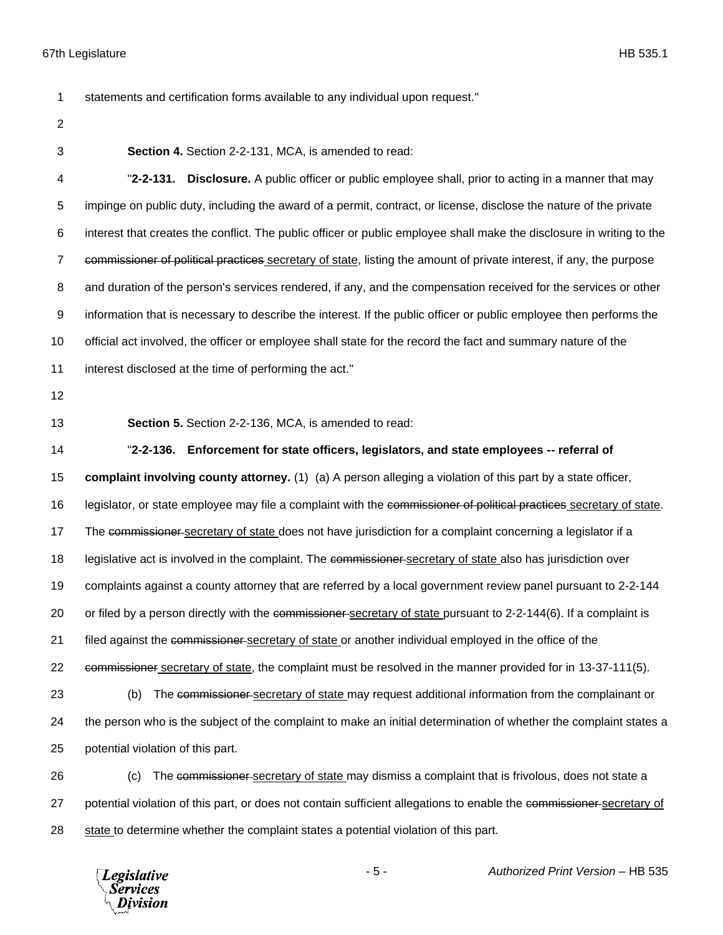statements and certification forms available to any individual upon request."

- 
- 

**Section 4.** Section 2-2-131, MCA, is amended to read:

 "**2-2-131. Disclosure.** A public officer or public employee shall, prior to acting in a manner that may impinge on public duty, including the award of a permit, contract, or license, disclose the nature of the private interest that creates the conflict. The public officer or public employee shall make the disclosure in writing to the 7 commissioner of political practices secretary of state, listing the amount of private interest, if any, the purpose and duration of the person's services rendered, if any, and the compensation received for the services or other information that is necessary to describe the interest. If the public officer or public employee then performs the official act involved, the officer or employee shall state for the record the fact and summary nature of the interest disclosed at the time of performing the act."

- 
- 

**Section 5.** Section 2-2-136, MCA, is amended to read:

 "**2-2-136. Enforcement for state officers, legislators, and state employees -- referral of complaint involving county attorney.** (1) (a) A person alleging a violation of this part by a state officer, 16 legislator, or state employee may file a complaint with the commissioner of political practices secretary of state. 17 The commissioner secretary of state does not have jurisdiction for a complaint concerning a legislator if a 18 legislative act is involved in the complaint. The commissioner secretary of state also has jurisdiction over complaints against a county attorney that are referred by a local government review panel pursuant to 2-2-144 20 or filed by a person directly with the commissioner-secretary of state pursuant to 2-2-144(6). If a complaint is 21 filed against the commissioner secretary of state or another individual employed in the office of the 22 <del>commissioner</del> secretary of state, the complaint must be resolved in the manner provided for in 13-37-111(5). (b) The commissioner secretary of state may request additional information from the complainant or the person who is the subject of the complaint to make an initial determination of whether the complaint states a potential violation of this part. (c) The commissioner secretary of state may dismiss a complaint that is frivolous, does not state a

27 potential violation of this part, or does not contain sufficient allegations to enable the commissioner-secretary of state to determine whether the complaint states a potential violation of this part.

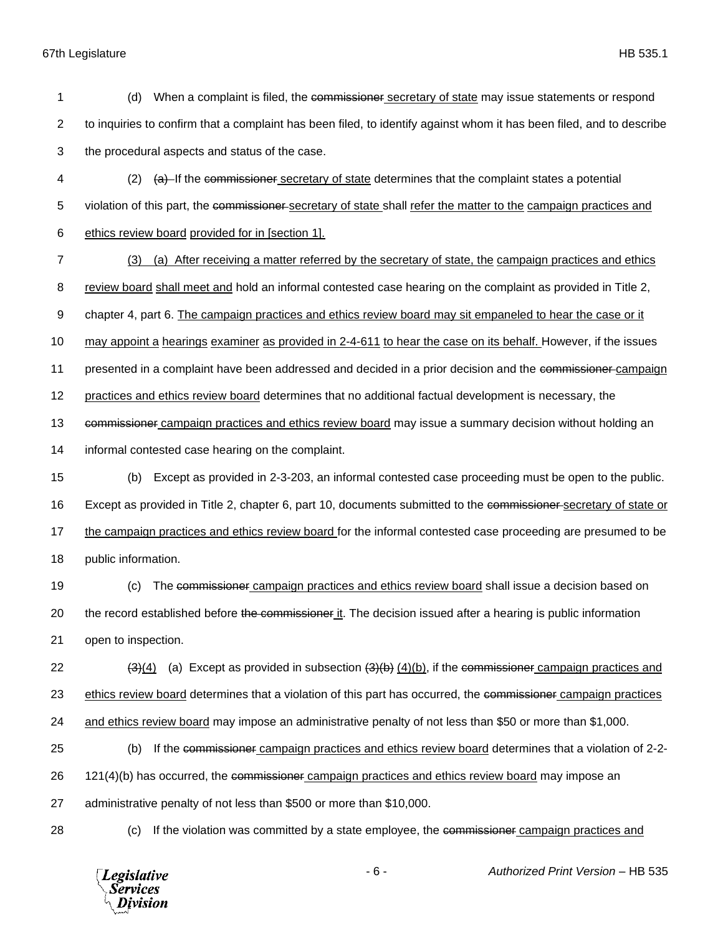| 2<br>3<br>4<br>5<br>6<br>$\overline{7}$ | to inquiries to confirm that a complaint has been filed, to identify against whom it has been filed, and to describe<br>the procedural aspects and status of the case.<br>(a) If the commissioner secretary of state determines that the complaint states a potential<br>(2)<br>violation of this part, the commissioner secretary of state shall refer the matter to the campaign practices and<br>ethics review board provided for in [section 1]. |
|-----------------------------------------|------------------------------------------------------------------------------------------------------------------------------------------------------------------------------------------------------------------------------------------------------------------------------------------------------------------------------------------------------------------------------------------------------------------------------------------------------|
|                                         |                                                                                                                                                                                                                                                                                                                                                                                                                                                      |
|                                         |                                                                                                                                                                                                                                                                                                                                                                                                                                                      |
|                                         |                                                                                                                                                                                                                                                                                                                                                                                                                                                      |
|                                         |                                                                                                                                                                                                                                                                                                                                                                                                                                                      |
|                                         |                                                                                                                                                                                                                                                                                                                                                                                                                                                      |
|                                         | (a) After receiving a matter referred by the secretary of state, the campaign practices and ethics<br>(3)                                                                                                                                                                                                                                                                                                                                            |
| 8                                       | review board shall meet and hold an informal contested case hearing on the complaint as provided in Title 2,                                                                                                                                                                                                                                                                                                                                         |
| 9                                       | chapter 4, part 6. The campaign practices and ethics review board may sit empaneled to hear the case or it                                                                                                                                                                                                                                                                                                                                           |
| 10                                      | may appoint a hearings examiner as provided in 2-4-611 to hear the case on its behalf. However, if the issues                                                                                                                                                                                                                                                                                                                                        |
| 11                                      | presented in a complaint have been addressed and decided in a prior decision and the commissioner campaign                                                                                                                                                                                                                                                                                                                                           |
| 12                                      | practices and ethics review board determines that no additional factual development is necessary, the                                                                                                                                                                                                                                                                                                                                                |
| 13                                      | commissioner campaign practices and ethics review board may issue a summary decision without holding an                                                                                                                                                                                                                                                                                                                                              |
| 14                                      | informal contested case hearing on the complaint.                                                                                                                                                                                                                                                                                                                                                                                                    |
| 15                                      | Except as provided in 2-3-203, an informal contested case proceeding must be open to the public.<br>(b)                                                                                                                                                                                                                                                                                                                                              |
| 16                                      | Except as provided in Title 2, chapter 6, part 10, documents submitted to the commissioner-secretary of state or                                                                                                                                                                                                                                                                                                                                     |
| 17                                      | the campaign practices and ethics review board for the informal contested case proceeding are presumed to be                                                                                                                                                                                                                                                                                                                                         |
| 18                                      | public information.                                                                                                                                                                                                                                                                                                                                                                                                                                  |
| 19                                      | The commissioner campaign practices and ethics review board shall issue a decision based on<br>(c)                                                                                                                                                                                                                                                                                                                                                   |
| 20                                      | the record established before the commissioner it. The decision issued after a hearing is public information                                                                                                                                                                                                                                                                                                                                         |
| 21                                      | open to inspection.                                                                                                                                                                                                                                                                                                                                                                                                                                  |
| 22                                      | $\frac{3(4)}{2}$ (a) Except as provided in subsection $\frac{3(4)}{2}(2)$ if the commissioner campaign practices and                                                                                                                                                                                                                                                                                                                                 |
| 23                                      | ethics review board determines that a violation of this part has occurred, the commissioner campaign practices                                                                                                                                                                                                                                                                                                                                       |
| 24                                      | and ethics review board may impose an administrative penalty of not less than \$50 or more than \$1,000.                                                                                                                                                                                                                                                                                                                                             |
| 25                                      | If the commissioner campaign practices and ethics review board determines that a violation of 2-2-<br>(b)                                                                                                                                                                                                                                                                                                                                            |
| 26                                      | 121(4)(b) has occurred, the commissioner campaign practices and ethics review board may impose an                                                                                                                                                                                                                                                                                                                                                    |
| 27                                      | administrative penalty of not less than \$500 or more than \$10,000.                                                                                                                                                                                                                                                                                                                                                                                 |
| 28                                      | If the violation was committed by a state employee, the commissioner campaign practices and<br>(c)                                                                                                                                                                                                                                                                                                                                                   |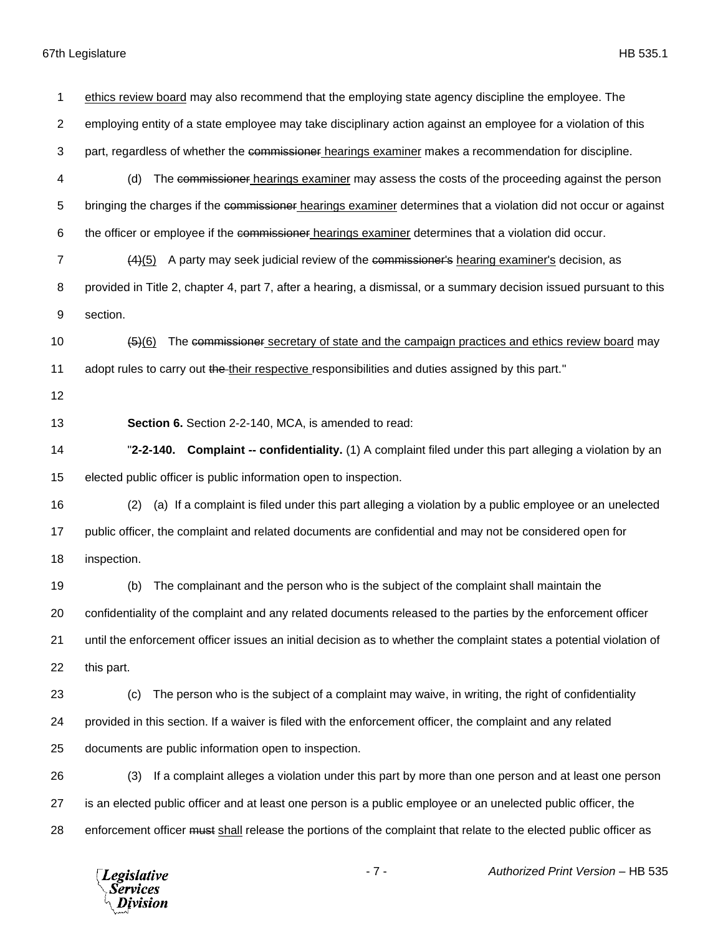ethics review board may also recommend that the employing state agency discipline the employee. The employing entity of a state employee may take disciplinary action against an employee for a violation of this 3 part, regardless of whether the commissioner hearings examiner makes a recommendation for discipline. (d) The commissioner hearings examiner may assess the costs of the proceeding against the person 5 bringing the charges if the commissioner hearings examiner determines that a violation did not occur or against the officer or employee if the commissioner hearings examiner determines that a violation did occur. 7 (4)(5) A party may seek judicial review of the commissioner's hearing examiner's decision, as provided in Title 2, chapter 4, part 7, after a hearing, a dismissal, or a summary decision issued pursuant to this section. (5)(6) The commissioner secretary of state and the campaign practices and ethics review board may 11 adopt rules to carry out the their respective responsibilities and duties assigned by this part." **Section 6.** Section 2-2-140, MCA, is amended to read: "**2-2-140. Complaint -- confidentiality.** (1) A complaint filed under this part alleging a violation by an elected public officer is public information open to inspection. (2) (a) If a complaint is filed under this part alleging a violation by a public employee or an unelected public officer, the complaint and related documents are confidential and may not be considered open for inspection. (b) The complainant and the person who is the subject of the complaint shall maintain the confidentiality of the complaint and any related documents released to the parties by the enforcement officer until the enforcement officer issues an initial decision as to whether the complaint states a potential violation of this part. (c) The person who is the subject of a complaint may waive, in writing, the right of confidentiality provided in this section. If a waiver is filed with the enforcement officer, the complaint and any related documents are public information open to inspection. (3) If a complaint alleges a violation under this part by more than one person and at least one person is an elected public officer and at least one person is a public employee or an unelected public officer, the 28 enforcement officer must shall release the portions of the complaint that relate to the elected public officer as

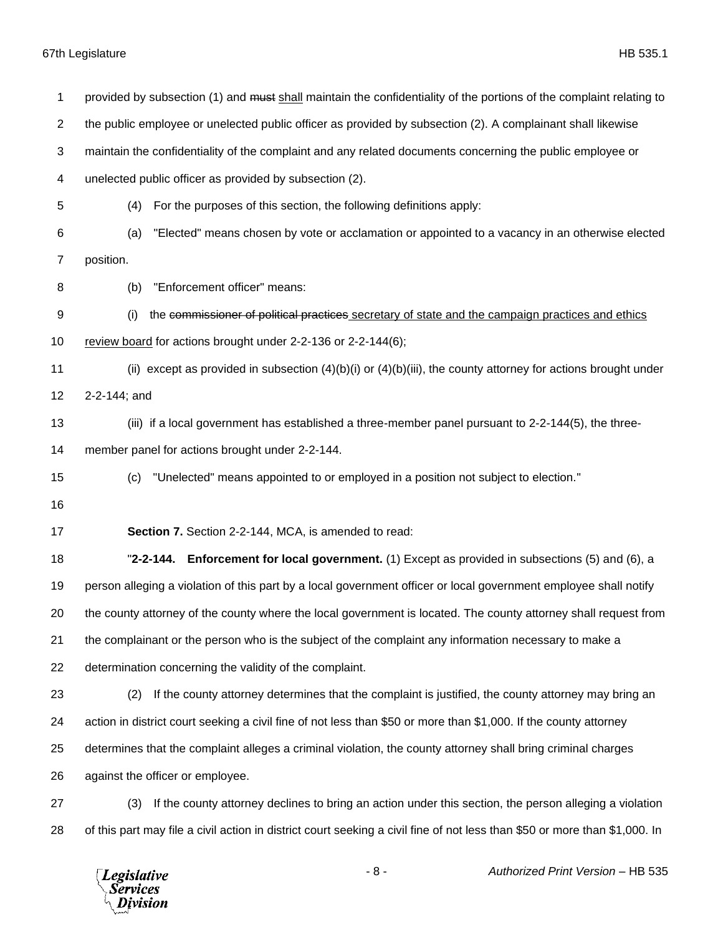| 1  | provided by subsection (1) and must shall maintain the confidentiality of the portions of the complaint relating to        |
|----|----------------------------------------------------------------------------------------------------------------------------|
| 2  | the public employee or unelected public officer as provided by subsection (2). A complainant shall likewise                |
| 3  | maintain the confidentiality of the complaint and any related documents concerning the public employee or                  |
| 4  | unelected public officer as provided by subsection (2).                                                                    |
| 5  | For the purposes of this section, the following definitions apply:<br>(4)                                                  |
| 6  | "Elected" means chosen by vote or acclamation or appointed to a vacancy in an otherwise elected<br>(a)                     |
| 7  | position.                                                                                                                  |
| 8  | "Enforcement officer" means:<br>(b)                                                                                        |
| 9  | the commissioner of political practices secretary of state and the campaign practices and ethics<br>(i)                    |
| 10 | review board for actions brought under 2-2-136 or 2-2-144(6);                                                              |
| 11 | (ii) except as provided in subsection $(4)(b)(i)$ or $(4)(b)(iii)$ , the county attorney for actions brought under         |
| 12 | 2-2-144; and                                                                                                               |
| 13 | (iii) if a local government has established a three-member panel pursuant to 2-2-144(5), the three-                        |
| 14 | member panel for actions brought under 2-2-144.                                                                            |
| 15 | "Unelected" means appointed to or employed in a position not subject to election."<br>(c)                                  |
| 16 |                                                                                                                            |
| 17 | Section 7. Section 2-2-144, MCA, is amended to read:                                                                       |
| 18 | "2-2-144. Enforcement for local government. (1) Except as provided in subsections (5) and (6), a                           |
| 19 | person alleging a violation of this part by a local government officer or local government employee shall notify           |
| 20 | the county attorney of the county where the local government is located. The county attorney shall request from            |
| 21 | the complainant or the person who is the subject of the complaint any information necessary to make a                      |
| 22 | determination concerning the validity of the complaint.                                                                    |
| 23 | If the county attorney determines that the complaint is justified, the county attorney may bring an<br>(2)                 |
| 24 | action in district court seeking a civil fine of not less than \$50 or more than \$1,000. If the county attorney           |
| 25 | determines that the complaint alleges a criminal violation, the county attorney shall bring criminal charges               |
| 26 | against the officer or employee.                                                                                           |
| 27 | If the county attorney declines to bring an action under this section, the person alleging a violation<br>(3)              |
| 28 | of this part may file a civil action in district court seeking a civil fine of not less than \$50 or more than \$1,000. In |

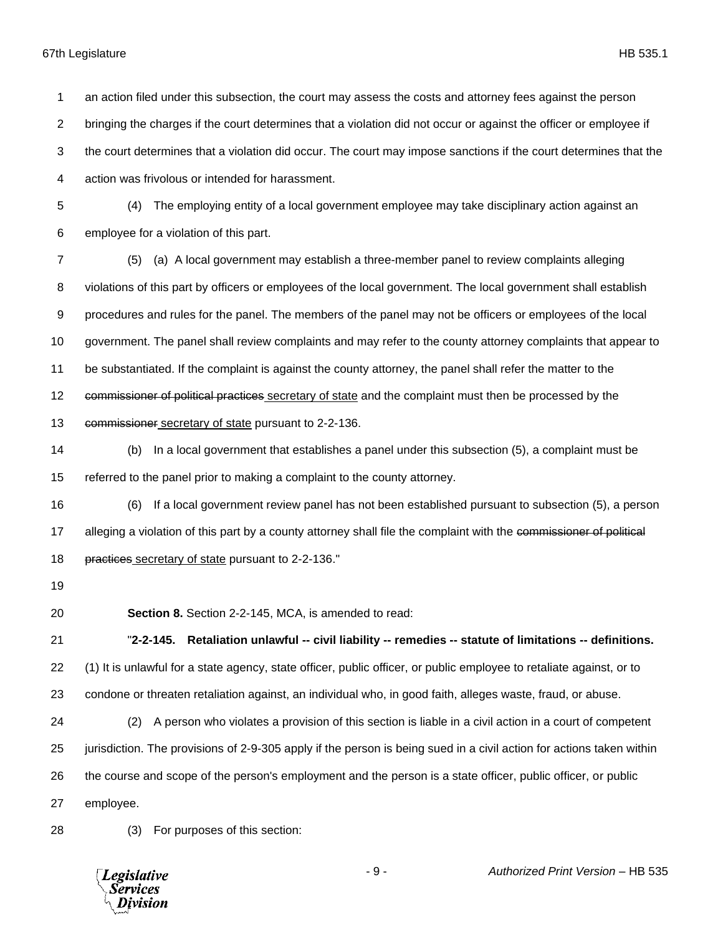an action filed under this subsection, the court may assess the costs and attorney fees against the person bringing the charges if the court determines that a violation did not occur or against the officer or employee if the court determines that a violation did occur. The court may impose sanctions if the court determines that the action was frivolous or intended for harassment.

 (4) The employing entity of a local government employee may take disciplinary action against an employee for a violation of this part.

 (5) (a) A local government may establish a three-member panel to review complaints alleging 8 violations of this part by officers or employees of the local government. The local government shall establish procedures and rules for the panel. The members of the panel may not be officers or employees of the local government. The panel shall review complaints and may refer to the county attorney complaints that appear to be substantiated. If the complaint is against the county attorney, the panel shall refer the matter to the 12 commissioner of political practices secretary of state and the complaint must then be processed by the commissioner secretary of state pursuant to 2-2-136.

 (b) In a local government that establishes a panel under this subsection (5), a complaint must be referred to the panel prior to making a complaint to the county attorney.

 (6) If a local government review panel has not been established pursuant to subsection (5), a person 17 alleging a violation of this part by a county attorney shall file the complaint with the commissioner of political 18 practices secretary of state pursuant to 2-2-136."

**Section 8.** Section 2-2-145, MCA, is amended to read:

 "**2-2-145. Retaliation unlawful -- civil liability -- remedies -- statute of limitations -- definitions.** (1) It is unlawful for a state agency, state officer, public officer, or public employee to retaliate against, or to condone or threaten retaliation against, an individual who, in good faith, alleges waste, fraud, or abuse.

 (2) A person who violates a provision of this section is liable in a civil action in a court of competent jurisdiction. The provisions of 2-9-305 apply if the person is being sued in a civil action for actions taken within the course and scope of the person's employment and the person is a state officer, public officer, or public employee.

(3) For purposes of this section:

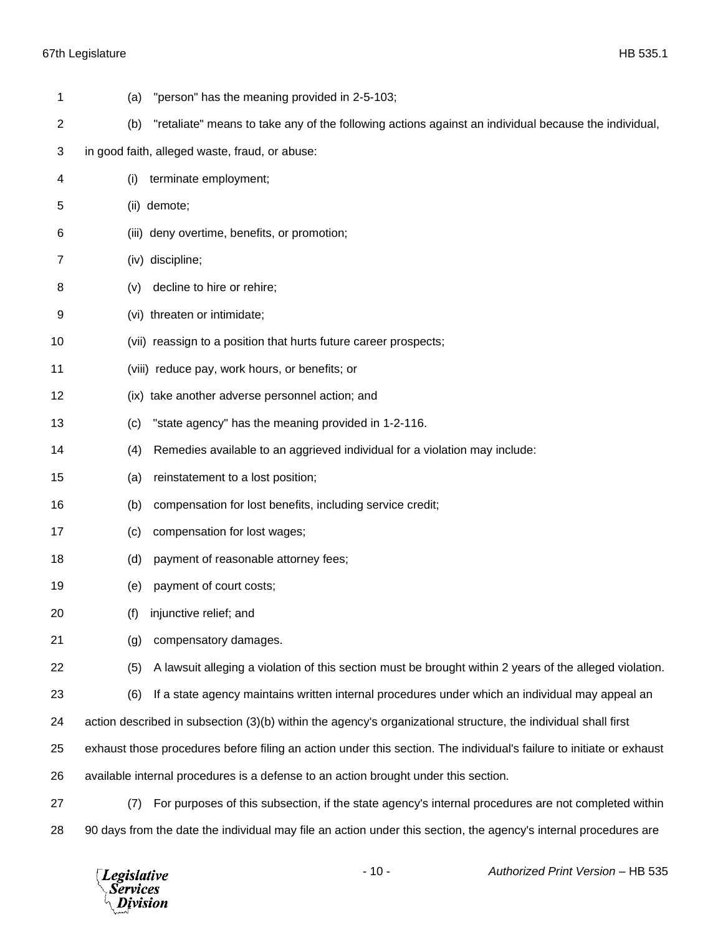| 1  | "person" has the meaning provided in 2-5-103;<br>(a)                                                                 |
|----|----------------------------------------------------------------------------------------------------------------------|
| 2  | "retaliate" means to take any of the following actions against an individual because the individual,<br>(b)          |
| 3  | in good faith, alleged waste, fraud, or abuse:                                                                       |
| 4  | terminate employment;<br>(i)                                                                                         |
| 5  | (ii) demote;                                                                                                         |
| 6  | (iii) deny overtime, benefits, or promotion;                                                                         |
| 7  | (iv) discipline;                                                                                                     |
| 8  | decline to hire or rehire;<br>(v)                                                                                    |
| 9  | (vi) threaten or intimidate;                                                                                         |
| 10 | (vii) reassign to a position that hurts future career prospects;                                                     |
| 11 | (viii) reduce pay, work hours, or benefits; or                                                                       |
| 12 | (ix) take another adverse personnel action; and                                                                      |
| 13 | "state agency" has the meaning provided in 1-2-116.<br>(c)                                                           |
| 14 | Remedies available to an aggrieved individual for a violation may include:<br>(4)                                    |
| 15 | reinstatement to a lost position;<br>(a)                                                                             |
| 16 | compensation for lost benefits, including service credit;<br>(b)                                                     |
| 17 | compensation for lost wages;<br>(c)                                                                                  |
| 18 | (d)<br>payment of reasonable attorney fees;                                                                          |
| 19 | payment of court costs;<br>(e)                                                                                       |
| 20 | injunctive relief; and<br>(f)                                                                                        |
| 21 | compensatory damages.<br>(g)                                                                                         |
| 22 | A lawsuit alleging a violation of this section must be brought within 2 years of the alleged violation.<br>(5)       |
| 23 | If a state agency maintains written internal procedures under which an individual may appeal an<br>(6)               |
| 24 | action described in subsection (3)(b) within the agency's organizational structure, the individual shall first       |
| 25 | exhaust those procedures before filing an action under this section. The individual's failure to initiate or exhaust |
| 26 | available internal procedures is a defense to an action brought under this section.                                  |
| 27 | For purposes of this subsection, if the state agency's internal procedures are not completed within<br>(7)           |
| 28 | 90 days from the date the individual may file an action under this section, the agency's internal procedures are     |

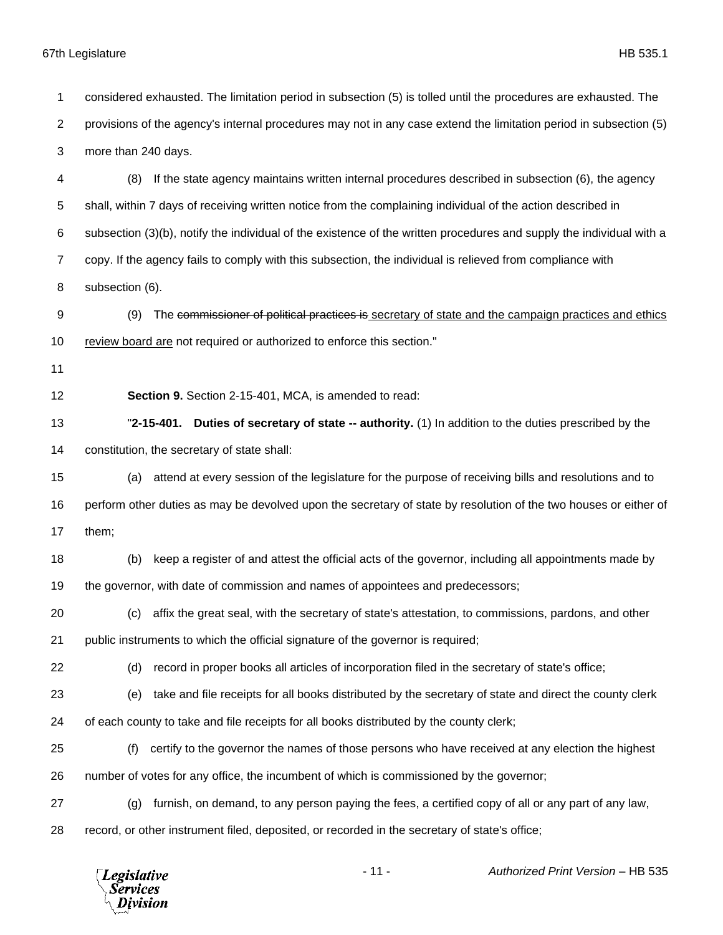provisions of the agency's internal procedures may not in any case extend the limitation period in subsection (5) more than 240 days. (8) If the state agency maintains written internal procedures described in subsection (6), the agency shall, within 7 days of receiving written notice from the complaining individual of the action described in subsection (3)(b), notify the individual of the existence of the written procedures and supply the individual with a copy. If the agency fails to comply with this subsection, the individual is relieved from compliance with subsection (6). 9 (9) The commissioner of political practices is secretary of state and the campaign practices and ethics review board are not required or authorized to enforce this section." **Section 9.** Section 2-15-401, MCA, is amended to read: "**2-15-401. Duties of secretary of state -- authority.** (1) In addition to the duties prescribed by the constitution, the secretary of state shall: (a) attend at every session of the legislature for the purpose of receiving bills and resolutions and to perform other duties as may be devolved upon the secretary of state by resolution of the two houses or either of them; (b) keep a register of and attest the official acts of the governor, including all appointments made by the governor, with date of commission and names of appointees and predecessors; (c) affix the great seal, with the secretary of state's attestation, to commissions, pardons, and other public instruments to which the official signature of the governor is required; (d) record in proper books all articles of incorporation filed in the secretary of state's office; (e) take and file receipts for all books distributed by the secretary of state and direct the county clerk of each county to take and file receipts for all books distributed by the county clerk; (f) certify to the governor the names of those persons who have received at any election the highest number of votes for any office, the incumbent of which is commissioned by the governor; (g) furnish, on demand, to any person paying the fees, a certified copy of all or any part of any law, record, or other instrument filed, deposited, or recorded in the secretary of state's office;- 11 - *Authorized Print Version* – HB 535 **Legislative** Services Division

considered exhausted. The limitation period in subsection (5) is tolled until the procedures are exhausted. The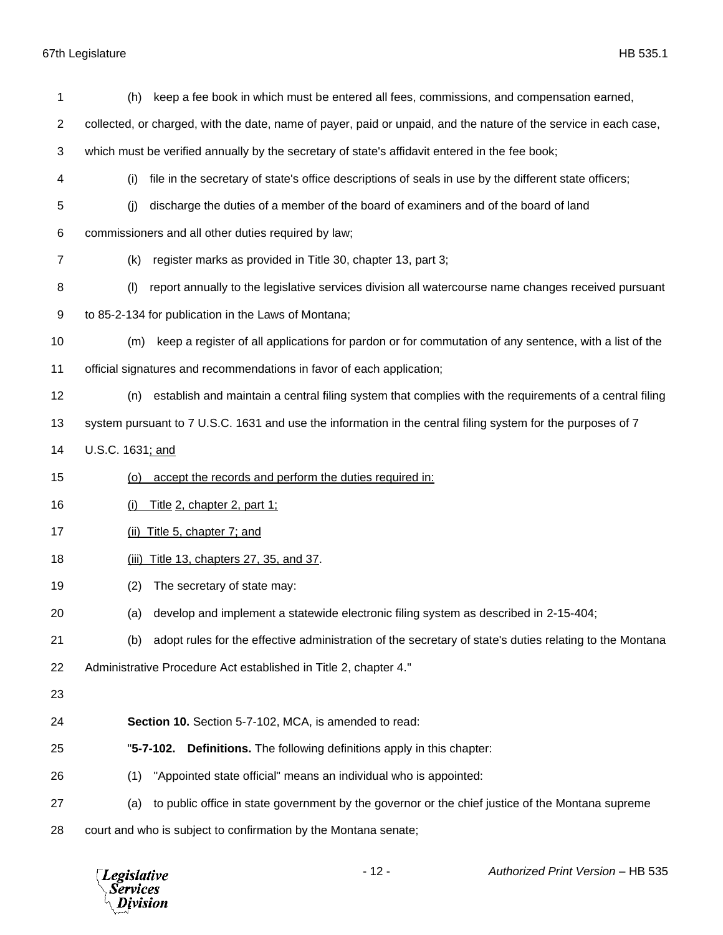| 1  | keep a fee book in which must be entered all fees, commissions, and compensation earned,<br>(h)                  |
|----|------------------------------------------------------------------------------------------------------------------|
| 2  | collected, or charged, with the date, name of payer, paid or unpaid, and the nature of the service in each case, |
| 3  | which must be verified annually by the secretary of state's affidavit entered in the fee book;                   |
| 4  | file in the secretary of state's office descriptions of seals in use by the different state officers;<br>(i)     |
| 5  | discharge the duties of a member of the board of examiners and of the board of land<br>(i)                       |
| 6  | commissioners and all other duties required by law;                                                              |
| 7  | register marks as provided in Title 30, chapter 13, part 3;<br>(k)                                               |
| 8  | report annually to the legislative services division all watercourse name changes received pursuant<br>(1)       |
| 9  | to 85-2-134 for publication in the Laws of Montana;                                                              |
| 10 | (m) keep a register of all applications for pardon or for commutation of any sentence, with a list of the        |
| 11 | official signatures and recommendations in favor of each application;                                            |
| 12 | establish and maintain a central filing system that complies with the requirements of a central filing<br>(n)    |
| 13 | system pursuant to 7 U.S.C. 1631 and use the information in the central filing system for the purposes of 7      |
| 14 | U.S.C. 1631; and                                                                                                 |
| 15 | accept the records and perform the duties required in:<br>(O)                                                    |
| 16 | Title 2, chapter 2, part 1;<br>(i)                                                                               |
| 17 | Title 5, chapter 7; and<br>(ii)                                                                                  |
| 18 | Title 13, chapters 27, 35, and 37.<br>(iii)                                                                      |
| 19 | The secretary of state may:<br>(2)                                                                               |
| 20 | develop and implement a statewide electronic filing system as described in 2-15-404;<br>(a)                      |
| 21 | adopt rules for the effective administration of the secretary of state's duties relating to the Montana<br>(b)   |
| 22 | Administrative Procedure Act established in Title 2, chapter 4."                                                 |
| 23 |                                                                                                                  |
| 24 | Section 10. Section 5-7-102, MCA, is amended to read:                                                            |
| 25 | "5-7-102.<br>Definitions. The following definitions apply in this chapter:                                       |
| 26 | "Appointed state official" means an individual who is appointed:<br>(1)                                          |
| 27 | to public office in state government by the governor or the chief justice of the Montana supreme<br>(a)          |
| 28 | court and who is subject to confirmation by the Montana senate;                                                  |
|    |                                                                                                                  |

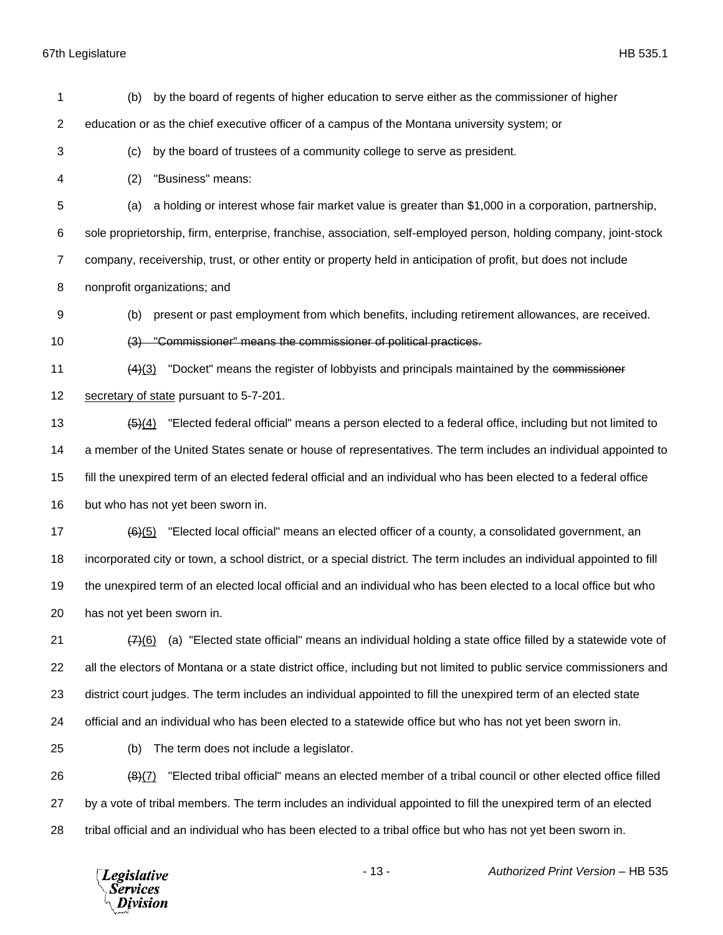

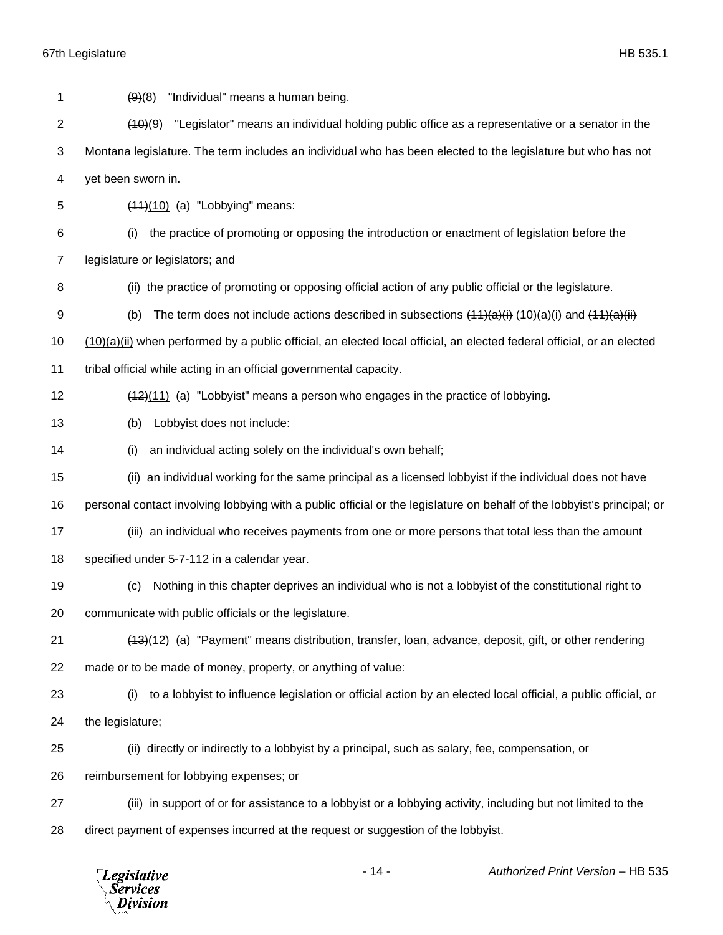| 1              | "Individual" means a human being.<br>(9)(8)                                                                             |
|----------------|-------------------------------------------------------------------------------------------------------------------------|
| $\overline{2}$ | $(10)(9)$ "Legislator" means an individual holding public office as a representative or a senator in the                |
| 3              | Montana legislature. The term includes an individual who has been elected to the legislature but who has not            |
| 4              | yet been sworn in.                                                                                                      |
| 5              | $(11)(10)$ (a) "Lobbying" means:                                                                                        |
| 6              | the practice of promoting or opposing the introduction or enactment of legislation before the<br>(i)                    |
| $\overline{7}$ | legislature or legislators; and                                                                                         |
| 8              | (ii) the practice of promoting or opposing official action of any public official or the legislature.                   |
| 9              | The term does not include actions described in subsections $(11)(a)(i)$ (10)(a)(i) and $(11)(a)(ii)$<br>(b)             |
| 10             | (10)(a)(ii) when performed by a public official, an elected local official, an elected federal official, or an elected  |
| 11             | tribal official while acting in an official governmental capacity.                                                      |
| 12             | $(12)(11)$ (a) "Lobbyist" means a person who engages in the practice of lobbying.                                       |
| 13             | Lobbyist does not include:<br>(b)                                                                                       |
| 14             | an individual acting solely on the individual's own behalf;<br>(i)                                                      |
| 15             | (ii) an individual working for the same principal as a licensed lobbyist if the individual does not have                |
| 16             | personal contact involving lobbying with a public official or the legislature on behalf of the lobbyist's principal; or |
| 17             | (iii) an individual who receives payments from one or more persons that total less than the amount                      |
| 18             | specified under 5-7-112 in a calendar year.                                                                             |
| 19             | Nothing in this chapter deprives an individual who is not a lobbyist of the constitutional right to<br>(c)              |
| 20             | communicate with public officials or the legislature.                                                                   |
| 21             | (43)(12) (a) "Payment" means distribution, transfer, loan, advance, deposit, gift, or other rendering                   |
| 22             | made or to be made of money, property, or anything of value:                                                            |
| 23             | to a lobbyist to influence legislation or official action by an elected local official, a public official, or<br>(i)    |
| 24             | the legislature;                                                                                                        |
| 25             | (ii) directly or indirectly to a lobbyist by a principal, such as salary, fee, compensation, or                         |
| 26             | reimbursement for lobbying expenses; or                                                                                 |
| 27             | (iii) in support of or for assistance to a lobbyist or a lobbying activity, including but not limited to the            |
| 28             | direct payment of expenses incurred at the request or suggestion of the lobbyist.                                       |

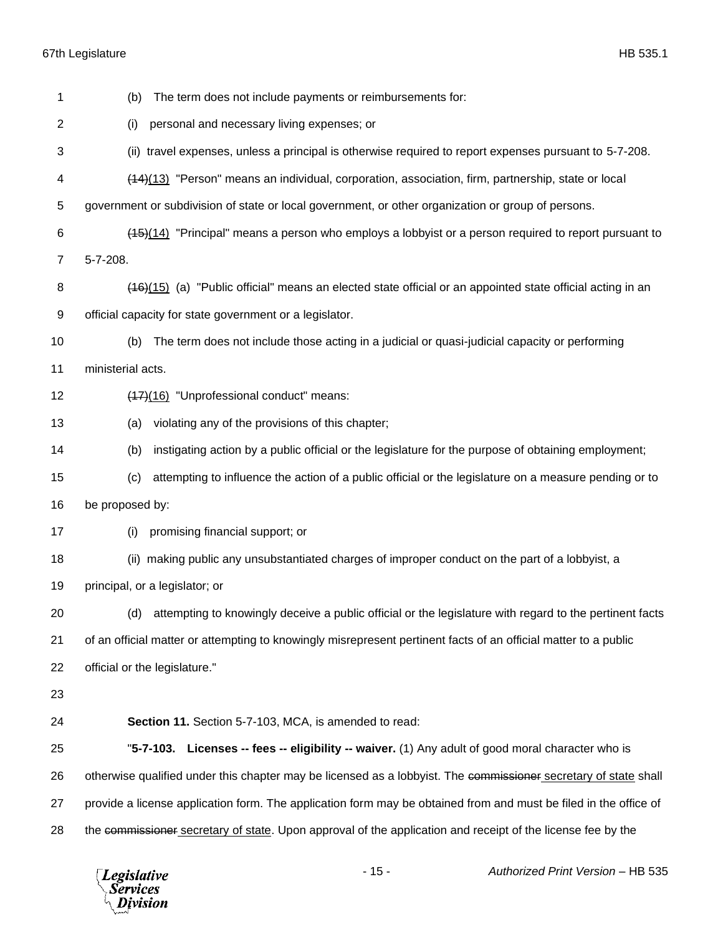| 1  | The term does not include payments or reimbursements for:<br>(b)                                                 |
|----|------------------------------------------------------------------------------------------------------------------|
| 2  | personal and necessary living expenses; or<br>(i)                                                                |
| 3  | (ii) travel expenses, unless a principal is otherwise required to report expenses pursuant to 5-7-208.           |
| 4  | (14)(13) "Person" means an individual, corporation, association, firm, partnership, state or local               |
| 5  | government or subdivision of state or local government, or other organization or group of persons.               |
| 6  | $(15)(14)$ "Principal" means a person who employs a lobbyist or a person required to report pursuant to          |
| 7  | 5-7-208.                                                                                                         |
| 8  | (46)(15) (a) "Public official" means an elected state official or an appointed state official acting in an       |
| 9  | official capacity for state government or a legislator.                                                          |
| 10 | The term does not include those acting in a judicial or quasi-judicial capacity or performing<br>(b)             |
| 11 | ministerial acts.                                                                                                |
| 12 | (17)(16) "Unprofessional conduct" means:                                                                         |
| 13 | violating any of the provisions of this chapter;<br>(a)                                                          |
| 14 | instigating action by a public official or the legislature for the purpose of obtaining employment;<br>(b)       |
| 15 | attempting to influence the action of a public official or the legislature on a measure pending or to<br>(c)     |
| 16 | be proposed by:                                                                                                  |
| 17 | promising financial support; or<br>(i)                                                                           |
| 18 | (ii) making public any unsubstantiated charges of improper conduct on the part of a lobbyist, a                  |
| 19 | principal, or a legislator; or                                                                                   |
| 20 | (d) attempting to knowingly deceive a public official or the legislature with regard to the pertinent facts      |
| 21 | of an official matter or attempting to knowingly misrepresent pertinent facts of an official matter to a public  |
| 22 | official or the legislature."                                                                                    |
| 23 |                                                                                                                  |
| 24 | Section 11. Section 5-7-103, MCA, is amended to read:                                                            |
| 25 | "5-7-103. Licenses -- fees -- eligibility -- waiver. (1) Any adult of good moral character who is                |
| 26 | otherwise qualified under this chapter may be licensed as a lobbyist. The commissioner secretary of state shall  |
| 27 | provide a license application form. The application form may be obtained from and must be filed in the office of |
| 28 | the commissioner secretary of state. Upon approval of the application and receipt of the license fee by the      |
|    |                                                                                                                  |

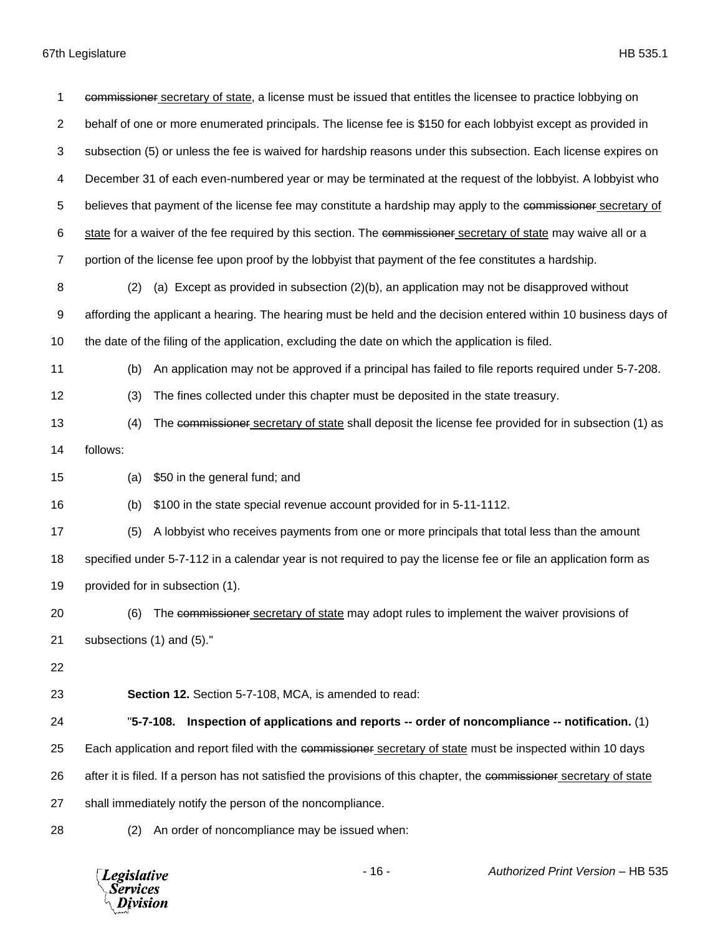| 1              | commissioner secretary of state, a license must be issued that entitles the licensee to practice lobbying on         |
|----------------|----------------------------------------------------------------------------------------------------------------------|
| $\overline{2}$ | behalf of one or more enumerated principals. The license fee is \$150 for each lobbyist except as provided in        |
| 3              | subsection (5) or unless the fee is waived for hardship reasons under this subsection. Each license expires on       |
| 4              | December 31 of each even-numbered year or may be terminated at the request of the lobbyist. A lobbyist who           |
| 5              | believes that payment of the license fee may constitute a hardship may apply to the commissioner secretary of        |
| 6              | state for a waiver of the fee required by this section. The commissioner secretary of state may waive all or a       |
| $\overline{7}$ | portion of the license fee upon proof by the lobbyist that payment of the fee constitutes a hardship.                |
| 8              | (a) Except as provided in subsection (2)(b), an application may not be disapproved without<br>(2)                    |
| 9              | affording the applicant a hearing. The hearing must be held and the decision entered within 10 business days of      |
| 10             | the date of the filing of the application, excluding the date on which the application is filed.                     |
| 11             | An application may not be approved if a principal has failed to file reports required under 5-7-208.<br>(b)          |
| 12             | The fines collected under this chapter must be deposited in the state treasury.<br>(3)                               |
| 13             | (4)<br>The commissioner secretary of state shall deposit the license fee provided for in subsection (1) as           |
| 14             | follows:                                                                                                             |
| 15             | \$50 in the general fund; and<br>(a)                                                                                 |
| 16             | \$100 in the state special revenue account provided for in 5-11-1112.<br>(b)                                         |
| 17             | A lobbyist who receives payments from one or more principals that total less than the amount<br>(5)                  |
| 18             | specified under 5-7-112 in a calendar year is not required to pay the license fee or file an application form as     |
| 19             | provided for in subsection (1).                                                                                      |
| 20             | (6) The commissioner secretary of state may adopt rules to implement the waiver provisions of                        |
| 21             | subsections (1) and (5)."                                                                                            |
| 22             |                                                                                                                      |
| 23             | Section 12. Section 5-7-108, MCA, is amended to read:                                                                |
| 24             | $"5-7-108.$<br>Inspection of applications and reports -- order of noncompliance -- notification. (1)                 |
| 25             | Each application and report filed with the commissioner secretary of state must be inspected within 10 days          |
| 26             | after it is filed. If a person has not satisfied the provisions of this chapter, the commissioner secretary of state |
| 27             | shall immediately notify the person of the noncompliance.                                                            |
| 28             | An order of noncompliance may be issued when:<br>(2)                                                                 |
|                |                                                                                                                      |

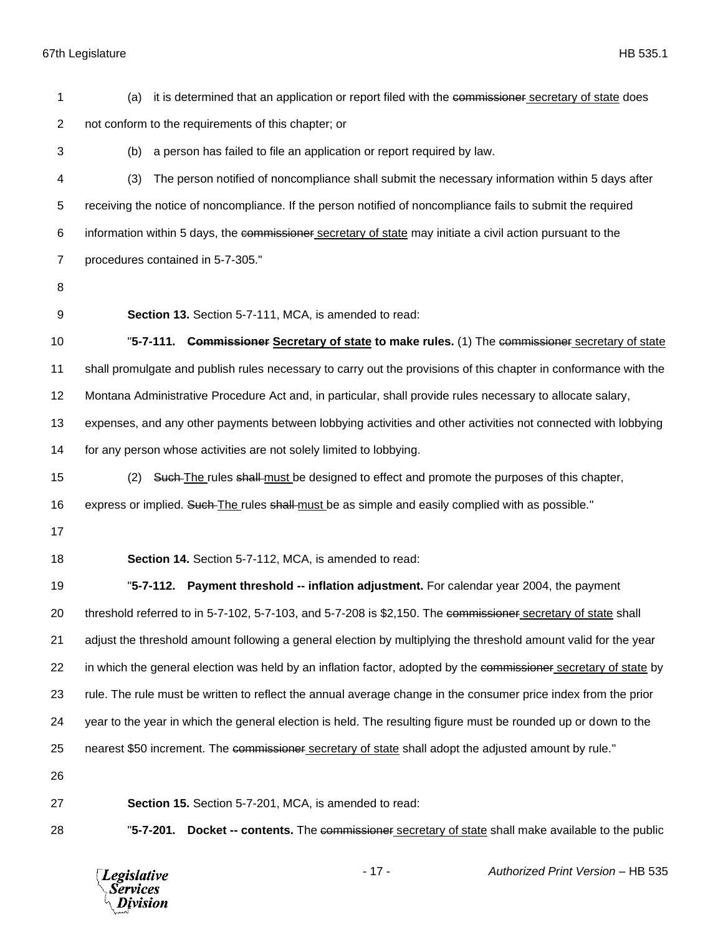| 1              | it is determined that an application or report filed with the commissioner secretary of state does<br>(a)        |
|----------------|------------------------------------------------------------------------------------------------------------------|
| $\overline{2}$ | not conform to the requirements of this chapter; or                                                              |
| 3              | a person has failed to file an application or report required by law.<br>(b)                                     |
| 4              | The person notified of noncompliance shall submit the necessary information within 5 days after<br>(3)           |
| 5              | receiving the notice of noncompliance. If the person notified of noncompliance fails to submit the required      |
| 6              | information within 5 days, the commissioner secretary of state may initiate a civil action pursuant to the       |
| $\overline{7}$ | procedures contained in 5-7-305."                                                                                |
| 8              |                                                                                                                  |
| 9              | Section 13. Section 5-7-111, MCA, is amended to read:                                                            |
| 10             | "5-7-111. Commissioner Secretary of state to make rules. (1) The commissioner secretary of state                 |
| 11             | shall promulgate and publish rules necessary to carry out the provisions of this chapter in conformance with the |
| 12             | Montana Administrative Procedure Act and, in particular, shall provide rules necessary to allocate salary,       |
| 13             | expenses, and any other payments between lobbying activities and other activities not connected with lobbying    |
| 14             | for any person whose activities are not solely limited to lobbying.                                              |
| 15             | Such-The rules shall-must be designed to effect and promote the purposes of this chapter,<br>(2)                 |
| 16             | express or implied. Such The rules shall must be as simple and easily complied with as possible."                |
| 17             |                                                                                                                  |
| 18             | Section 14. Section 5-7-112, MCA, is amended to read:                                                            |
| 19             | "5-7-112. Payment threshold -- inflation adjustment. For calendar year 2004, the payment                         |
| 20             | threshold referred to in 5-7-102, 5-7-103, and 5-7-208 is \$2,150. The commissioner secretary of state shall     |
| 21             | adjust the threshold amount following a general election by multiplying the threshold amount valid for the year  |
| 22             | in which the general election was held by an inflation factor, adopted by the commissioner secretary of state by |
| 23             | rule. The rule must be written to reflect the annual average change in the consumer price index from the prior   |
| 24             | year to the year in which the general election is held. The resulting figure must be rounded up or down to the   |
| 25             | nearest \$50 increment. The commissioner secretary of state shall adopt the adjusted amount by rule."            |
| 26             |                                                                                                                  |
| 27             | Section 15. Section 5-7-201, MCA, is amended to read:                                                            |
| 28             | "5-7-201. Docket -- contents. The commissioner secretary of state shall make available to the public             |

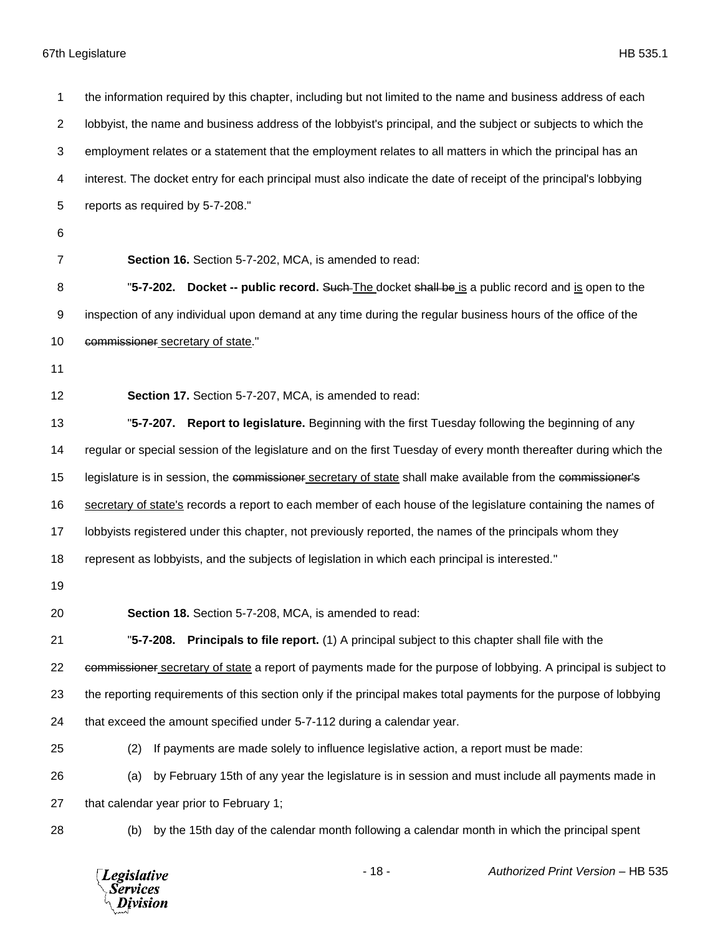| $\mathbf 1$    | the information required by this chapter, including but not limited to the name and business address of each      |
|----------------|-------------------------------------------------------------------------------------------------------------------|
| $\overline{2}$ | lobbyist, the name and business address of the lobbyist's principal, and the subject or subjects to which the     |
| 3              | employment relates or a statement that the employment relates to all matters in which the principal has an        |
| 4              | interest. The docket entry for each principal must also indicate the date of receipt of the principal's lobbying  |
| 5              | reports as required by 5-7-208."                                                                                  |
| 6              |                                                                                                                   |
| 7              | <b>Section 16.</b> Section 5-7-202, MCA, is amended to read:                                                      |
| 8              | "5-7-202. Docket -- public record. Such-The docket shall be is a public record and is open to the                 |
| 9              | inspection of any individual upon demand at any time during the regular business hours of the office of the       |
| 10             | commissioner secretary of state."                                                                                 |
| 11             |                                                                                                                   |
| 12             | Section 17. Section 5-7-207, MCA, is amended to read:                                                             |
| 13             | $"5-7-207.$<br>Report to legislature. Beginning with the first Tuesday following the beginning of any             |
| 14             | regular or special session of the legislature and on the first Tuesday of every month thereafter during which the |
| 15             | legislature is in session, the commissioner secretary of state shall make available from the commissioner's       |
| 16             | secretary of state's records a report to each member of each house of the legislature containing the names of     |
| 17             | lobbyists registered under this chapter, not previously reported, the names of the principals whom they           |
| 18             | represent as lobbyists, and the subjects of legislation in which each principal is interested."                   |
| 19             |                                                                                                                   |
| 20             | <b>Section 18.</b> Section 5-7-208, MCA, is amended to read:                                                      |
| 21             | $"5-7-208.$<br><b>Principals to file report.</b> (1) A principal subject to this chapter shall file with the      |
| 22             | commissioner secretary of state a report of payments made for the purpose of lobbying. A principal is subject to  |
| 23             | the reporting requirements of this section only if the principal makes total payments for the purpose of lobbying |
| 24             | that exceed the amount specified under 5-7-112 during a calendar year.                                            |
| 25             | If payments are made solely to influence legislative action, a report must be made:<br>(2)                        |
| 26             | by February 15th of any year the legislature is in session and must include all payments made in<br>(a)           |
| 27             | that calendar year prior to February 1;                                                                           |
| 28             | by the 15th day of the calendar month following a calendar month in which the principal spent<br>(b)              |
|                |                                                                                                                   |

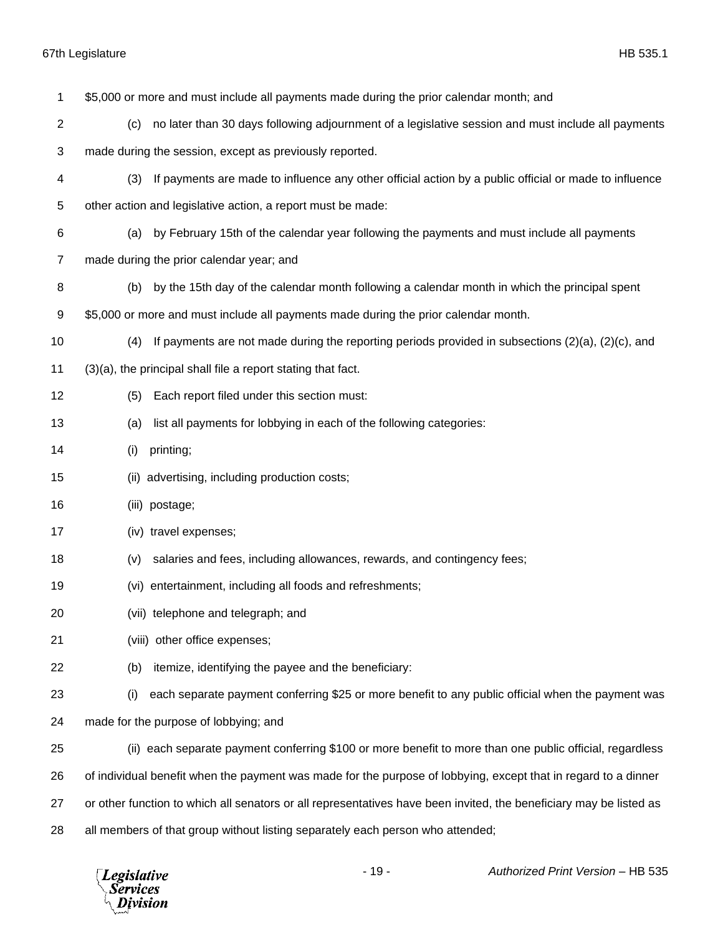| 1              | \$5,000 or more and must include all payments made during the prior calendar month; and                            |
|----------------|--------------------------------------------------------------------------------------------------------------------|
| $\overline{2}$ | no later than 30 days following adjournment of a legislative session and must include all payments<br>(c)          |
| 3              | made during the session, except as previously reported.                                                            |
| 4              | If payments are made to influence any other official action by a public official or made to influence<br>(3)       |
| 5              | other action and legislative action, a report must be made:                                                        |
| 6              | by February 15th of the calendar year following the payments and must include all payments<br>(a)                  |
| 7              | made during the prior calendar year; and                                                                           |
| 8              | by the 15th day of the calendar month following a calendar month in which the principal spent<br>(b)               |
| 9              | \$5,000 or more and must include all payments made during the prior calendar month.                                |
| 10             | If payments are not made during the reporting periods provided in subsections $(2)(a)$ , $(2)(c)$ , and<br>(4)     |
| 11             | (3)(a), the principal shall file a report stating that fact.                                                       |
| 12             | Each report filed under this section must:<br>(5)                                                                  |
| 13             | list all payments for lobbying in each of the following categories:<br>(a)                                         |
| 14             | printing;<br>(i)                                                                                                   |
| 15             | (ii) advertising, including production costs;                                                                      |
| 16             | (iii) postage;                                                                                                     |
| 17             | (iv) travel expenses;                                                                                              |
| 18             | salaries and fees, including allowances, rewards, and contingency fees;<br>(V)                                     |
| 19             | (vi) entertainment, including all foods and refreshments;                                                          |
| 20             | (vii) telephone and telegraph; and                                                                                 |
| 21             | (viii) other office expenses;                                                                                      |
| 22             | itemize, identifying the payee and the beneficiary:<br>(b)                                                         |
| 23             | each separate payment conferring \$25 or more benefit to any public official when the payment was<br>(i)           |
| 24             | made for the purpose of lobbying; and                                                                              |
| 25             | (ii) each separate payment conferring \$100 or more benefit to more than one public official, regardless           |
| 26             | of individual benefit when the payment was made for the purpose of lobbying, except that in regard to a dinner     |
| 27             | or other function to which all senators or all representatives have been invited, the beneficiary may be listed as |
| 28             | all members of that group without listing separately each person who attended;                                     |

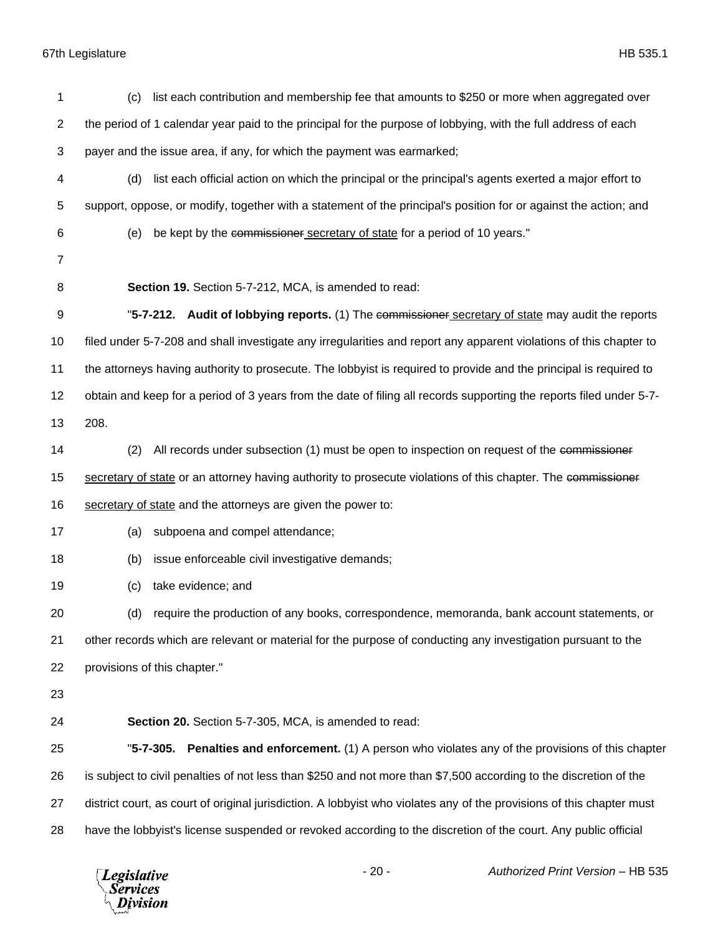| 1  | list each contribution and membership fee that amounts to \$250 or more when aggregated over<br>(c)                   |
|----|-----------------------------------------------------------------------------------------------------------------------|
| 2  | the period of 1 calendar year paid to the principal for the purpose of lobbying, with the full address of each        |
| 3  | payer and the issue area, if any, for which the payment was earmarked;                                                |
| 4  | list each official action on which the principal or the principal's agents exerted a major effort to<br>(d)           |
| 5  | support, oppose, or modify, together with a statement of the principal's position for or against the action; and      |
| 6  | be kept by the commissioner secretary of state for a period of 10 years."<br>(e)                                      |
| 7  |                                                                                                                       |
| 8  | Section 19. Section 5-7-212, MCA, is amended to read:                                                                 |
| 9  | "5-7-212. Audit of lobbying reports. (1) The commissioner secretary of state may audit the reports                    |
| 10 | filed under 5-7-208 and shall investigate any irregularities and report any apparent violations of this chapter to    |
| 11 | the attorneys having authority to prosecute. The lobbyist is required to provide and the principal is required to     |
| 12 | obtain and keep for a period of 3 years from the date of filing all records supporting the reports filed under 5-7-   |
| 13 | 208.                                                                                                                  |
| 14 | All records under subsection (1) must be open to inspection on request of the commissioner<br>(2)                     |
| 15 | secretary of state or an attorney having authority to prosecute violations of this chapter. The commissioner          |
| 16 | secretary of state and the attorneys are given the power to:                                                          |
| 17 | subpoena and compel attendance;<br>(a)                                                                                |
| 18 | issue enforceable civil investigative demands;<br>(b)                                                                 |
| 19 | take evidence; and<br>(c)                                                                                             |
| 20 | require the production of any books, correspondence, memoranda, bank account statements, or<br>(d)                    |
| 21 | other records which are relevant or material for the purpose of conducting any investigation pursuant to the          |
| 22 | provisions of this chapter."                                                                                          |
| 23 |                                                                                                                       |
| 24 | Section 20. Section 5-7-305, MCA, is amended to read:                                                                 |
| 25 | Penalties and enforcement. (1) A person who violates any of the provisions of this chapter<br>$"5-7-305.$             |
| 26 | is subject to civil penalties of not less than \$250 and not more than \$7,500 according to the discretion of the     |
| 27 | district court, as court of original jurisdiction. A lobbyist who violates any of the provisions of this chapter must |
| 28 | have the lobbyist's license suspended or revoked according to the discretion of the court. Any public official        |
|    |                                                                                                                       |

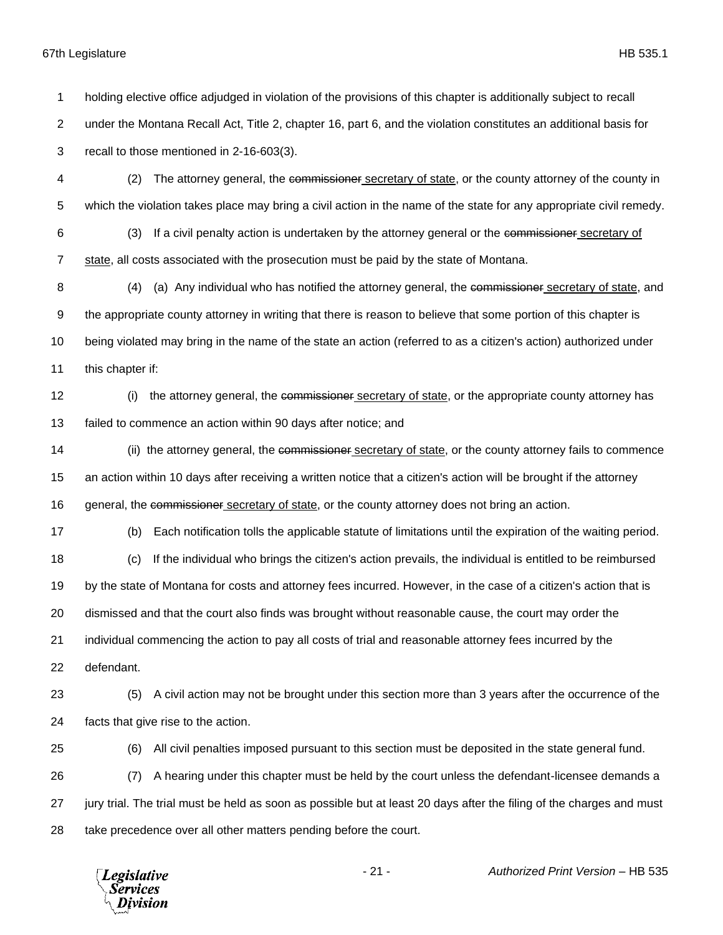holding elective office adjudged in violation of the provisions of this chapter is additionally subject to recall under the Montana Recall Act, Title 2, chapter 16, part 6, and the violation constitutes an additional basis for recall to those mentioned in 2-16-603(3). (2) The attorney general, the commissioner secretary of state, or the county attorney of the county in which the violation takes place may bring a civil action in the name of the state for any appropriate civil remedy. (3) If a civil penalty action is undertaken by the attorney general or the commissioner secretary of state, all costs associated with the prosecution must be paid by the state of Montana. 8 (4) (a) Any individual who has notified the attorney general, the commissioner secretary of state, and the appropriate county attorney in writing that there is reason to believe that some portion of this chapter is being violated may bring in the name of the state an action (referred to as a citizen's action) authorized under this chapter if: 12 (i) the attorney general, the commissioner secretary of state, or the appropriate county attorney has failed to commence an action within 90 days after notice; and 14 (ii) the attorney general, the commissioner secretary of state, or the county attorney fails to commence an action within 10 days after receiving a written notice that a citizen's action will be brought if the attorney 16 general, the commissioner secretary of state, or the county attorney does not bring an action. (b) Each notification tolls the applicable statute of limitations until the expiration of the waiting period. (c) If the individual who brings the citizen's action prevails, the individual is entitled to be reimbursed by the state of Montana for costs and attorney fees incurred. However, in the case of a citizen's action that is dismissed and that the court also finds was brought without reasonable cause, the court may order the individual commencing the action to pay all costs of trial and reasonable attorney fees incurred by the defendant. (5) A civil action may not be brought under this section more than 3 years after the occurrence of the facts that give rise to the action. (6) All civil penalties imposed pursuant to this section must be deposited in the state general fund. (7) A hearing under this chapter must be held by the court unless the defendant-licensee demands a jury trial. The trial must be held as soon as possible but at least 20 days after the filing of the charges and must take precedence over all other matters pending before the court.

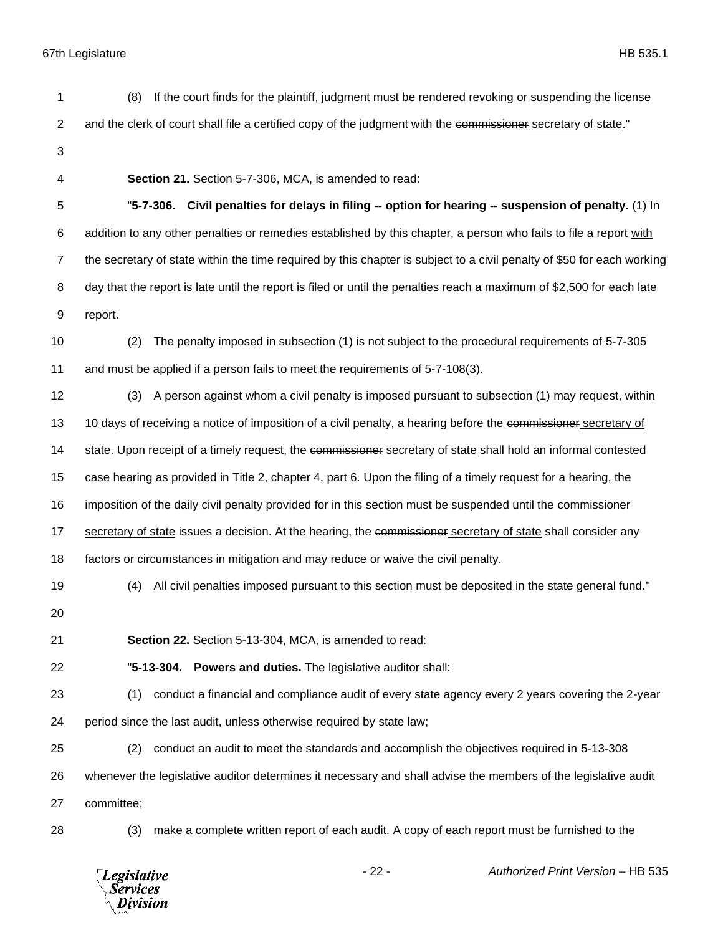- (8) If the court finds for the plaintiff, judgment must be rendered revoking or suspending the license 2 and the clerk of court shall file a certified copy of the judgment with the commissioner secretary of state."
	-

**Section 21.** Section 5-7-306, MCA, is amended to read:

 "**5-7-306. Civil penalties for delays in filing -- option for hearing -- suspension of penalty.** (1) In addition to any other penalties or remedies established by this chapter, a person who fails to file a report with the secretary of state within the time required by this chapter is subject to a civil penalty of \$50 for each working day that the report is late until the report is filed or until the penalties reach a maximum of \$2,500 for each late report.

 (2) The penalty imposed in subsection (1) is not subject to the procedural requirements of 5-7-305 and must be applied if a person fails to meet the requirements of 5-7-108(3).

 (3) A person against whom a civil penalty is imposed pursuant to subsection (1) may request, within 13 10 days of receiving a notice of imposition of a civil penalty, a hearing before the commissioner secretary of 14 state. Upon receipt of a timely request, the commissioner secretary of state shall hold an informal contested case hearing as provided in Title 2, chapter 4, part 6. Upon the filing of a timely request for a hearing, the 16 imposition of the daily civil penalty provided for in this section must be suspended until the commissioner 17 secretary of state issues a decision. At the hearing, the commissioner secretary of state shall consider any factors or circumstances in mitigation and may reduce or waive the civil penalty.

(4) All civil penalties imposed pursuant to this section must be deposited in the state general fund."

**Section 22.** Section 5-13-304, MCA, is amended to read:

"**5-13-304. Powers and duties.** The legislative auditor shall:

 (1) conduct a financial and compliance audit of every state agency every 2 years covering the 2-year period since the last audit, unless otherwise required by state law;

 (2) conduct an audit to meet the standards and accomplish the objectives required in 5-13-308 whenever the legislative auditor determines it necessary and shall advise the members of the legislative audit committee;

(3) make a complete written report of each audit. A copy of each report must be furnished to the

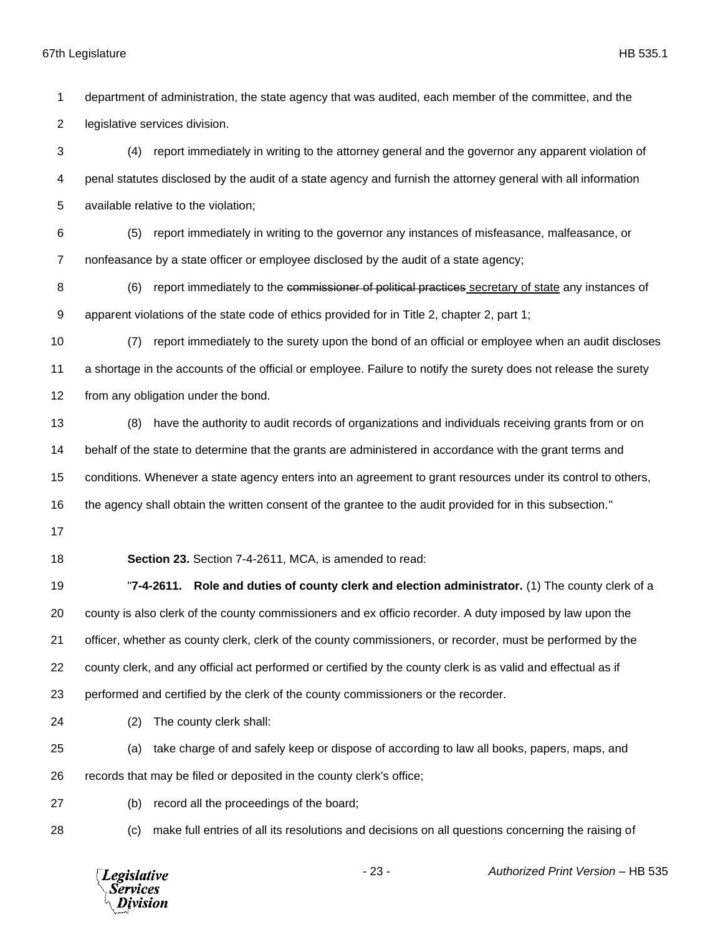department of administration, the state agency that was audited, each member of the committee, and the legislative services division.

 (4) report immediately in writing to the attorney general and the governor any apparent violation of penal statutes disclosed by the audit of a state agency and furnish the attorney general with all information available relative to the violation;

 (5) report immediately in writing to the governor any instances of misfeasance, malfeasance, or nonfeasance by a state officer or employee disclosed by the audit of a state agency;

8 (6) report immediately to the commissioner of political practices secretary of state any instances of apparent violations of the state code of ethics provided for in Title 2, chapter 2, part 1;

 (7) report immediately to the surety upon the bond of an official or employee when an audit discloses a shortage in the accounts of the official or employee. Failure to notify the surety does not release the surety from any obligation under the bond.

 (8) have the authority to audit records of organizations and individuals receiving grants from or on behalf of the state to determine that the grants are administered in accordance with the grant terms and conditions. Whenever a state agency enters into an agreement to grant resources under its control to others, the agency shall obtain the written consent of the grantee to the audit provided for in this subsection."

**Section 23.** Section 7-4-2611, MCA, is amended to read:

 "**7-4-2611. Role and duties of county clerk and election administrator.** (1) The county clerk of a county is also clerk of the county commissioners and ex officio recorder. A duty imposed by law upon the officer, whether as county clerk, clerk of the county commissioners, or recorder, must be performed by the county clerk, and any official act performed or certified by the county clerk is as valid and effectual as if performed and certified by the clerk of the county commissioners or the recorder.

- (2) The county clerk shall:
- (a) take charge of and safely keep or dispose of according to law all books, papers, maps, and records that may be filed or deposited in the county clerk's office;

(b) record all the proceedings of the board;

(c) make full entries of all its resolutions and decisions on all questions concerning the raising of

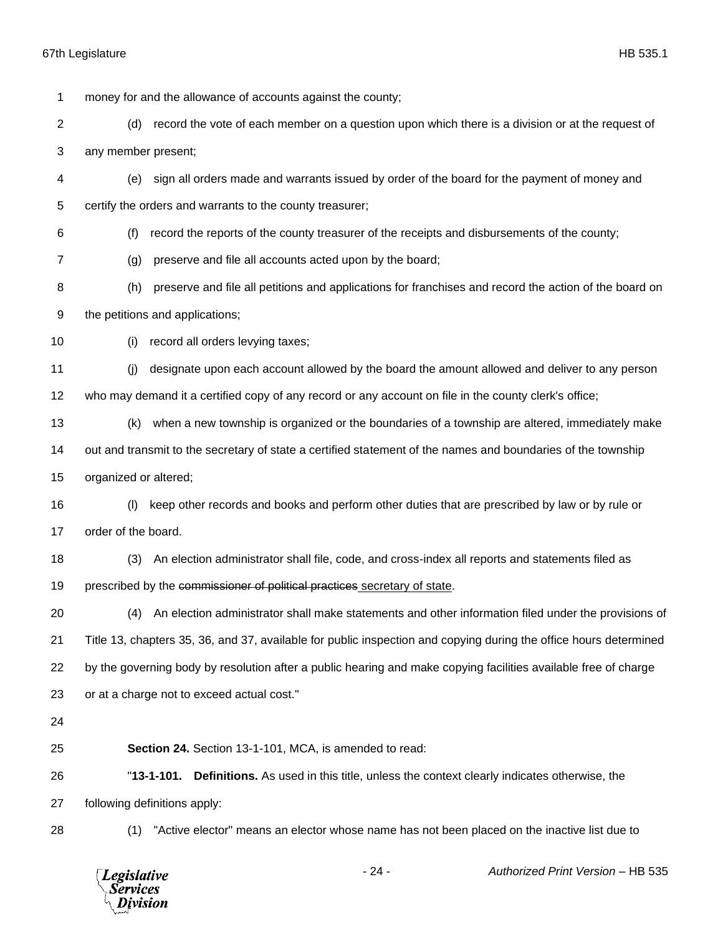money for and the allowance of accounts against the county; (d) record the vote of each member on a question upon which there is a division or at the request of any member present; (e) sign all orders made and warrants issued by order of the board for the payment of money and certify the orders and warrants to the county treasurer; (f) record the reports of the county treasurer of the receipts and disbursements of the county; (g) preserve and file all accounts acted upon by the board; (h) preserve and file all petitions and applications for franchises and record the action of the board on the petitions and applications; (i) record all orders levying taxes; (j) designate upon each account allowed by the board the amount allowed and deliver to any person who may demand it a certified copy of any record or any account on file in the county clerk's office; (k) when a new township is organized or the boundaries of a township are altered, immediately make out and transmit to the secretary of state a certified statement of the names and boundaries of the township organized or altered; (l) keep other records and books and perform other duties that are prescribed by law or by rule or order of the board. (3) An election administrator shall file, code, and cross-index all reports and statements filed as 19 prescribed by the commissioner of political practices secretary of state. (4) An election administrator shall make statements and other information filed under the provisions of Title 13, chapters 35, 36, and 37, available for public inspection and copying during the office hours determined by the governing body by resolution after a public hearing and make copying facilities available free of charge or at a charge not to exceed actual cost." **Section 24.** Section 13-1-101, MCA, is amended to read: "**13-1-101. Definitions.** As used in this title, unless the context clearly indicates otherwise, the following definitions apply: (1) "Active elector" means an elector whose name has not been placed on the inactive list due to

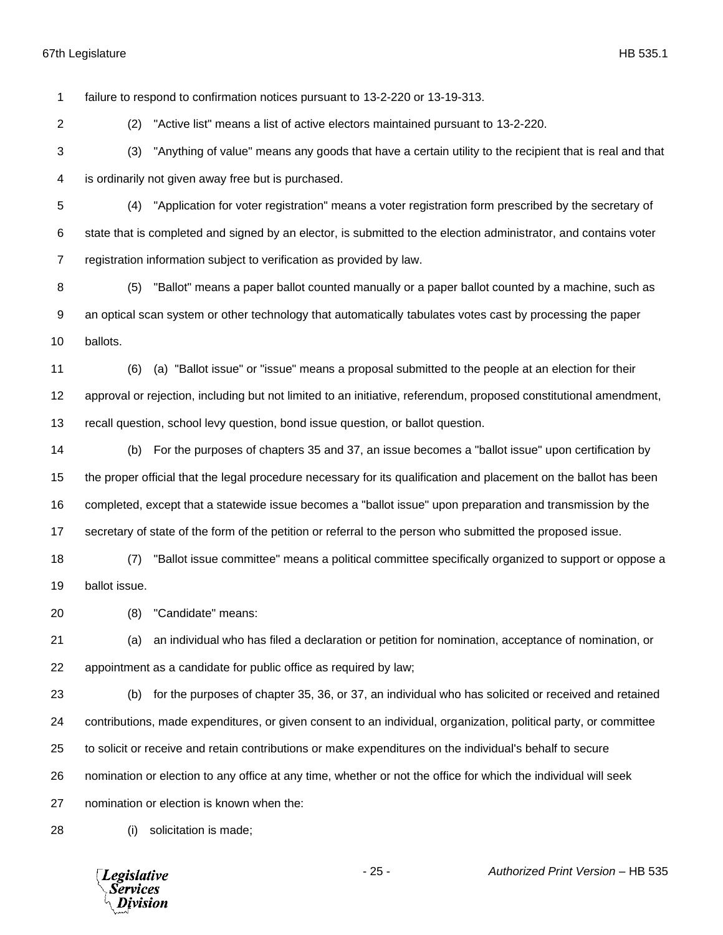failure to respond to confirmation notices pursuant to 13-2-220 or 13-19-313.

(2) "Active list" means a list of active electors maintained pursuant to 13-2-220.

 (3) "Anything of value" means any goods that have a certain utility to the recipient that is real and that is ordinarily not given away free but is purchased.

 (4) "Application for voter registration" means a voter registration form prescribed by the secretary of state that is completed and signed by an elector, is submitted to the election administrator, and contains voter registration information subject to verification as provided by law.

 (5) "Ballot" means a paper ballot counted manually or a paper ballot counted by a machine, such as an optical scan system or other technology that automatically tabulates votes cast by processing the paper ballots.

 (6) (a) "Ballot issue" or "issue" means a proposal submitted to the people at an election for their approval or rejection, including but not limited to an initiative, referendum, proposed constitutional amendment, recall question, school levy question, bond issue question, or ballot question.

 (b) For the purposes of chapters 35 and 37, an issue becomes a "ballot issue" upon certification by the proper official that the legal procedure necessary for its qualification and placement on the ballot has been completed, except that a statewide issue becomes a "ballot issue" upon preparation and transmission by the secretary of state of the form of the petition or referral to the person who submitted the proposed issue.

 (7) "Ballot issue committee" means a political committee specifically organized to support or oppose a ballot issue.

(8) "Candidate" means:

 (a) an individual who has filed a declaration or petition for nomination, acceptance of nomination, or appointment as a candidate for public office as required by law;

 (b) for the purposes of chapter 35, 36, or 37, an individual who has solicited or received and retained contributions, made expenditures, or given consent to an individual, organization, political party, or committee to solicit or receive and retain contributions or make expenditures on the individual's behalf to secure nomination or election to any office at any time, whether or not the office for which the individual will seek

nomination or election is known when the:

(i) solicitation is made;

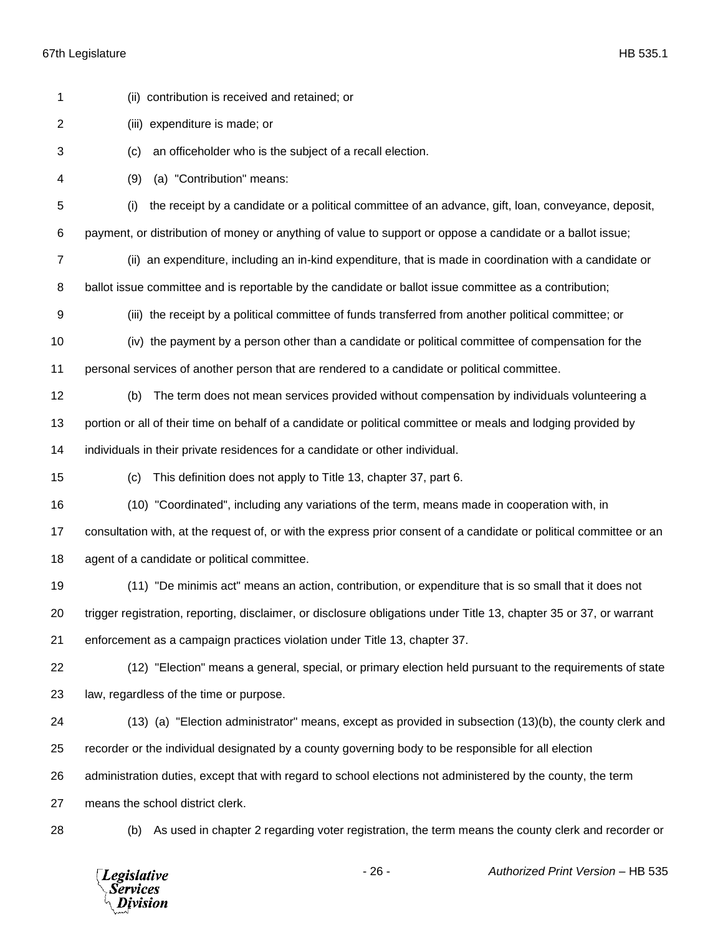| 1              | (ii) contribution is received and retained; or                                                                      |
|----------------|---------------------------------------------------------------------------------------------------------------------|
| $\overline{c}$ | (iii) expenditure is made; or                                                                                       |
| 3              | an officeholder who is the subject of a recall election.<br>(c)                                                     |
| 4              | (a) "Contribution" means:<br>(9)                                                                                    |
| 5              | the receipt by a candidate or a political committee of an advance, gift, loan, conveyance, deposit,<br>(i)          |
| 6              | payment, or distribution of money or anything of value to support or oppose a candidate or a ballot issue;          |
| 7              | (ii) an expenditure, including an in-kind expenditure, that is made in coordination with a candidate or             |
| 8              | ballot issue committee and is reportable by the candidate or ballot issue committee as a contribution;              |
| 9              | (iii) the receipt by a political committee of funds transferred from another political committee; or                |
| 10             | (iv) the payment by a person other than a candidate or political committee of compensation for the                  |
| 11             | personal services of another person that are rendered to a candidate or political committee.                        |
| 12             | The term does not mean services provided without compensation by individuals volunteering a<br>(b)                  |
| 13             | portion or all of their time on behalf of a candidate or political committee or meals and lodging provided by       |
| 14             | individuals in their private residences for a candidate or other individual.                                        |
| 15             | This definition does not apply to Title 13, chapter 37, part 6.<br>(c)                                              |
| 16             | (10) "Coordinated", including any variations of the term, means made in cooperation with, in                        |
| 17             | consultation with, at the request of, or with the express prior consent of a candidate or political committee or an |
| 18             | agent of a candidate or political committee.                                                                        |
| 19             | (11) "De minimis act" means an action, contribution, or expenditure that is so small that it does not               |
| 20             | trigger registration, reporting, disclaimer, or disclosure obligations under Title 13, chapter 35 or 37, or warrant |
| 21             | enforcement as a campaign practices violation under Title 13, chapter 37.                                           |
| 22             | (12) "Election" means a general, special, or primary election held pursuant to the requirements of state            |
| 23             | law, regardless of the time or purpose.                                                                             |
| 24             | (13) (a) "Election administrator" means, except as provided in subsection (13)(b), the county clerk and             |
| 25             | recorder or the individual designated by a county governing body to be responsible for all election                 |
| 26             | administration duties, except that with regard to school elections not administered by the county, the term         |
| 27             | means the school district clerk.                                                                                    |
| 28             | As used in chapter 2 regarding voter registration, the term means the county clerk and recorder or<br>(b)           |
|                |                                                                                                                     |

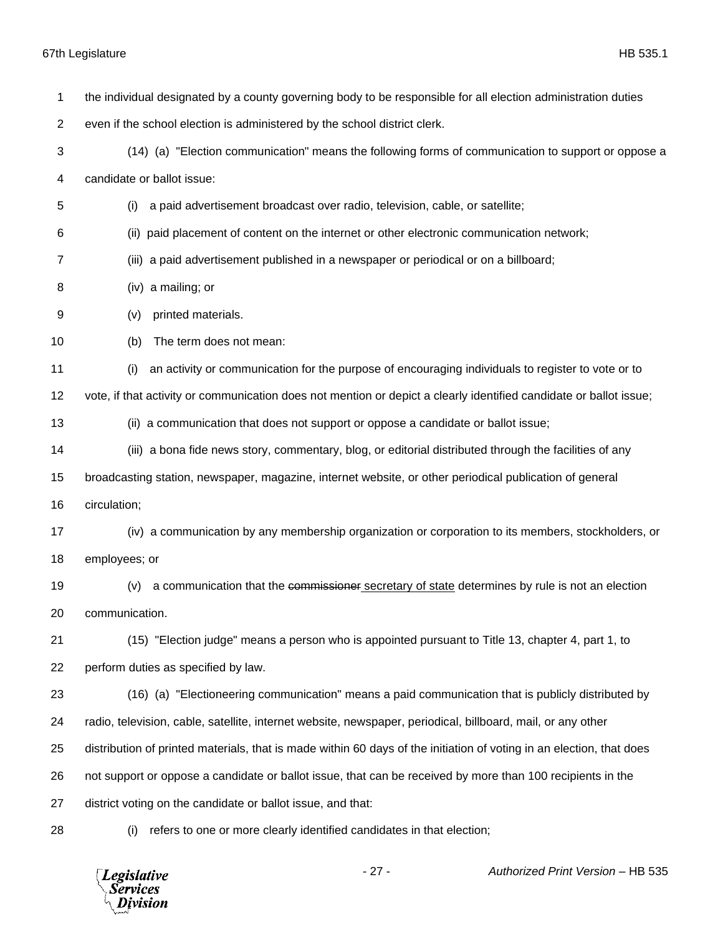| 1  | the individual designated by a county governing body to be responsible for all election administration duties        |
|----|----------------------------------------------------------------------------------------------------------------------|
| 2  | even if the school election is administered by the school district clerk.                                            |
| 3  | (14) (a) "Election communication" means the following forms of communication to support or oppose a                  |
| 4  | candidate or ballot issue:                                                                                           |
| 5  | a paid advertisement broadcast over radio, television, cable, or satellite;<br>(i)                                   |
| 6  | paid placement of content on the internet or other electronic communication network;<br>(ii)                         |
| 7  | (iii) a paid advertisement published in a newspaper or periodical or on a billboard;                                 |
| 8  | (iv) a mailing; or                                                                                                   |
| 9  | printed materials.<br>(v)                                                                                            |
| 10 | The term does not mean:<br>(b)                                                                                       |
| 11 | an activity or communication for the purpose of encouraging individuals to register to vote or to<br>(i)             |
| 12 | vote, if that activity or communication does not mention or depict a clearly identified candidate or ballot issue;   |
| 13 | (ii) a communication that does not support or oppose a candidate or ballot issue;                                    |
| 14 | (iii) a bona fide news story, commentary, blog, or editorial distributed through the facilities of any               |
| 15 | broadcasting station, newspaper, magazine, internet website, or other periodical publication of general              |
| 16 | circulation;                                                                                                         |
| 17 | (iv) a communication by any membership organization or corporation to its members, stockholders, or                  |
| 18 | employees; or                                                                                                        |
| 19 | a communication that the commissioner secretary of state determines by rule is not an election<br>(v)                |
| 20 | communication.                                                                                                       |
| 21 | (15) "Election judge" means a person who is appointed pursuant to Title 13, chapter 4, part 1, to                    |
| 22 | perform duties as specified by law.                                                                                  |
| 23 | (16) (a) "Electioneering communication" means a paid communication that is publicly distributed by                   |
| 24 | radio, television, cable, satellite, internet website, newspaper, periodical, billboard, mail, or any other          |
| 25 | distribution of printed materials, that is made within 60 days of the initiation of voting in an election, that does |
| 26 | not support or oppose a candidate or ballot issue, that can be received by more than 100 recipients in the           |
| 27 | district voting on the candidate or ballot issue, and that:                                                          |
| 28 | refers to one or more clearly identified candidates in that election;<br>(i)                                         |

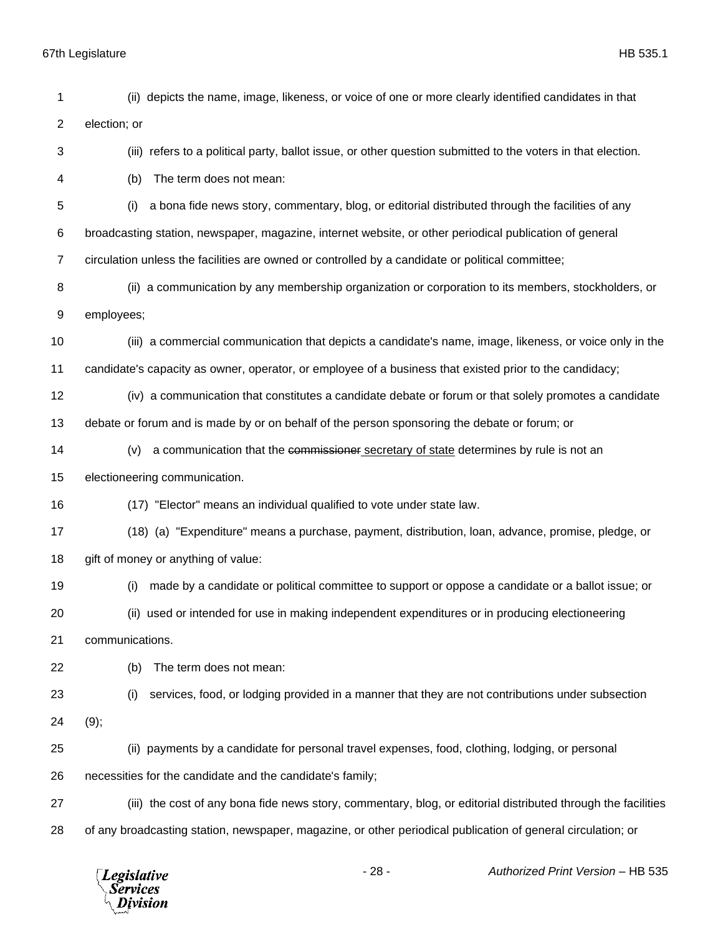| 1              |                 | (ii) depicts the name, image, likeness, or voice of one or more clearly identified candidates in that         |
|----------------|-----------------|---------------------------------------------------------------------------------------------------------------|
| $\overline{2}$ | election; or    |                                                                                                               |
| 3              |                 | (iii) refers to a political party, ballot issue, or other question submitted to the voters in that election.  |
| 4              | (b)             | The term does not mean:                                                                                       |
| 5              | (i)             | a bona fide news story, commentary, blog, or editorial distributed through the facilities of any              |
| 6              |                 | broadcasting station, newspaper, magazine, internet website, or other periodical publication of general       |
| 7              |                 | circulation unless the facilities are owned or controlled by a candidate or political committee;              |
| 8              |                 | (ii) a communication by any membership organization or corporation to its members, stockholders, or           |
| 9              | employees;      |                                                                                                               |
| 10             |                 | (iii) a commercial communication that depicts a candidate's name, image, likeness, or voice only in the       |
| 11             |                 | candidate's capacity as owner, operator, or employee of a business that existed prior to the candidacy;       |
| 12             |                 | (iv) a communication that constitutes a candidate debate or forum or that solely promotes a candidate         |
| 13             |                 | debate or forum and is made by or on behalf of the person sponsoring the debate or forum; or                  |
| 14             | (v)             | a communication that the commissioner secretary of state determines by rule is not an                         |
| 15             |                 | electioneering communication.                                                                                 |
| 16             |                 | (17) "Elector" means an individual qualified to vote under state law.                                         |
| 17             |                 | (18) (a) "Expenditure" means a purchase, payment, distribution, loan, advance, promise, pledge, or            |
| 18             |                 | gift of money or anything of value:                                                                           |
| 19             | (i)             | made by a candidate or political committee to support or oppose a candidate or a ballot issue; or             |
| 20             |                 | (ii) used or intended for use in making independent expenditures or in producing electioneering               |
| 21             | communications. |                                                                                                               |
| 22             | (b)             | The term does not mean:                                                                                       |
| 23             | (i)             | services, food, or lodging provided in a manner that they are not contributions under subsection              |
| 24             | (9);            |                                                                                                               |
| 25             |                 | (ii) payments by a candidate for personal travel expenses, food, clothing, lodging, or personal               |
| 26             |                 | necessities for the candidate and the candidate's family;                                                     |
| 27             |                 | (iii) the cost of any bona fide news story, commentary, blog, or editorial distributed through the facilities |
| 28             |                 | of any broadcasting station, newspaper, magazine, or other periodical publication of general circulation; or  |

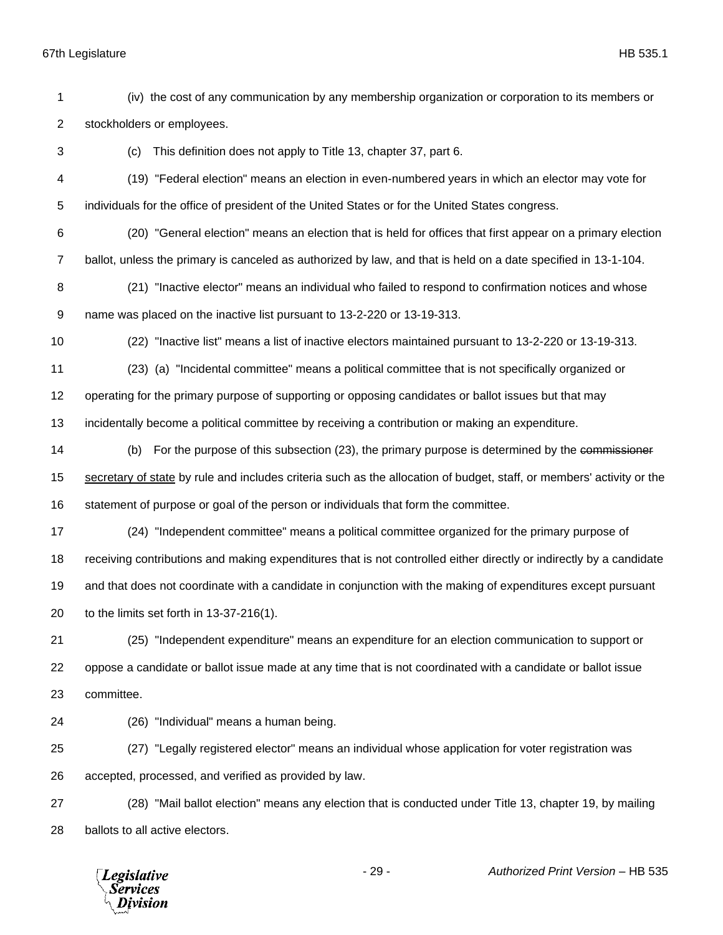(iv) the cost of any communication by any membership organization or corporation to its members or stockholders or employees.

(c) This definition does not apply to Title 13, chapter 37, part 6.

 (19) "Federal election" means an election in even-numbered years in which an elector may vote for individuals for the office of president of the United States or for the United States congress.

 (20) "General election" means an election that is held for offices that first appear on a primary election ballot, unless the primary is canceled as authorized by law, and that is held on a date specified in 13-1-104.

 (21) "Inactive elector" means an individual who failed to respond to confirmation notices and whose name was placed on the inactive list pursuant to 13-2-220 or 13-19-313.

(22) "Inactive list" means a list of inactive electors maintained pursuant to 13-2-220 or 13-19-313.

(23) (a) "Incidental committee" means a political committee that is not specifically organized or

operating for the primary purpose of supporting or opposing candidates or ballot issues but that may

incidentally become a political committee by receiving a contribution or making an expenditure.

14 (b) For the purpose of this subsection (23), the primary purpose is determined by the commissioner secretary of state by rule and includes criteria such as the allocation of budget, staff, or members' activity or the statement of purpose or goal of the person or individuals that form the committee.

 (24) "Independent committee" means a political committee organized for the primary purpose of receiving contributions and making expenditures that is not controlled either directly or indirectly by a candidate and that does not coordinate with a candidate in conjunction with the making of expenditures except pursuant to the limits set forth in 13-37-216(1).

 (25) "Independent expenditure" means an expenditure for an election communication to support or oppose a candidate or ballot issue made at any time that is not coordinated with a candidate or ballot issue committee.

(26) "Individual" means a human being.

 (27) "Legally registered elector" means an individual whose application for voter registration was accepted, processed, and verified as provided by law.

 (28) "Mail ballot election" means any election that is conducted under Title 13, chapter 19, by mailing ballots to all active electors.

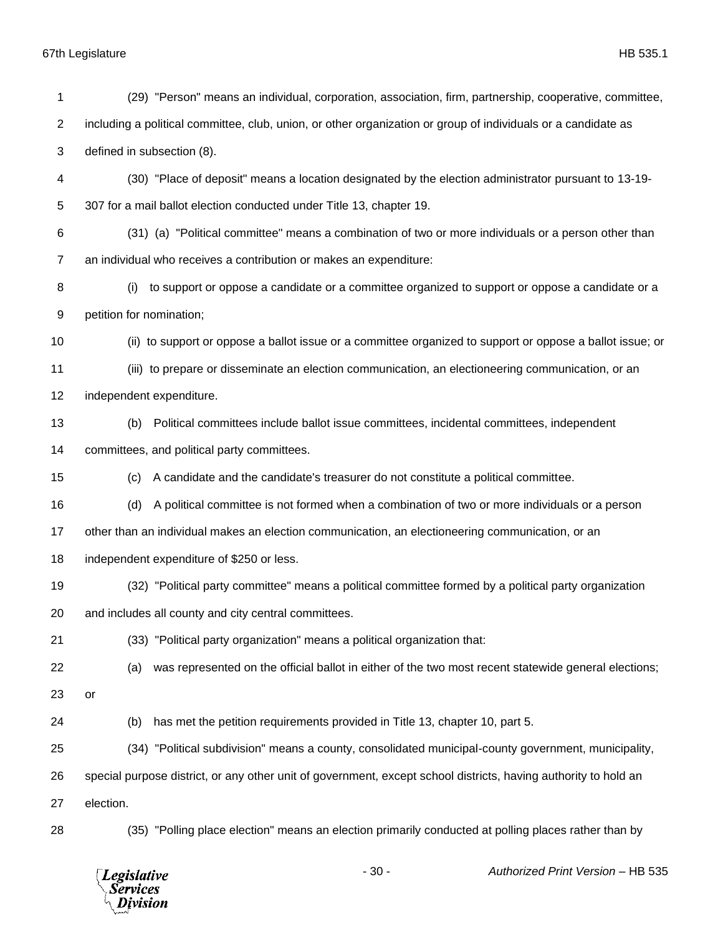| 1              | (29) "Person" means an individual, corporation, association, firm, partnership, cooperative, committee,         |
|----------------|-----------------------------------------------------------------------------------------------------------------|
| $\overline{2}$ | including a political committee, club, union, or other organization or group of individuals or a candidate as   |
| 3              | defined in subsection (8).                                                                                      |
| 4              | (30) "Place of deposit" means a location designated by the election administrator pursuant to 13-19-            |
| 5              | 307 for a mail ballot election conducted under Title 13, chapter 19.                                            |
| 6              | (31) (a) "Political committee" means a combination of two or more individuals or a person other than            |
| $\overline{7}$ | an individual who receives a contribution or makes an expenditure:                                              |
| 8              | to support or oppose a candidate or a committee organized to support or oppose a candidate or a<br>(i)          |
| 9              | petition for nomination;                                                                                        |
| 10             | (ii) to support or oppose a ballot issue or a committee organized to support or oppose a ballot issue; or       |
| 11             | (iii) to prepare or disseminate an election communication, an electioneering communication, or an               |
| 12             | independent expenditure.                                                                                        |
| 13             | Political committees include ballot issue committees, incidental committees, independent<br>(b)                 |
| 14             | committees, and political party committees.                                                                     |
| 15             | A candidate and the candidate's treasurer do not constitute a political committee.<br>(c)                       |
| 16             | A political committee is not formed when a combination of two or more individuals or a person<br>(d)            |
| 17             | other than an individual makes an election communication, an electioneering communication, or an                |
| 18             | independent expenditure of \$250 or less.                                                                       |
| 19             | (32) "Political party committee" means a political committee formed by a political party organization           |
| 20             | and includes all county and city central committees.                                                            |
| 21             | (33) "Political party organization" means a political organization that:                                        |
| 22             | was represented on the official ballot in either of the two most recent statewide general elections;<br>(a)     |
| 23             | or                                                                                                              |
| 24             | has met the petition requirements provided in Title 13, chapter 10, part 5.<br>(b)                              |
| 25             | (34) "Political subdivision" means a county, consolidated municipal-county government, municipality,            |
| 26             | special purpose district, or any other unit of government, except school districts, having authority to hold an |
| 27             | election.                                                                                                       |
| 28             | (35) "Polling place election" means an election primarily conducted at polling places rather than by            |

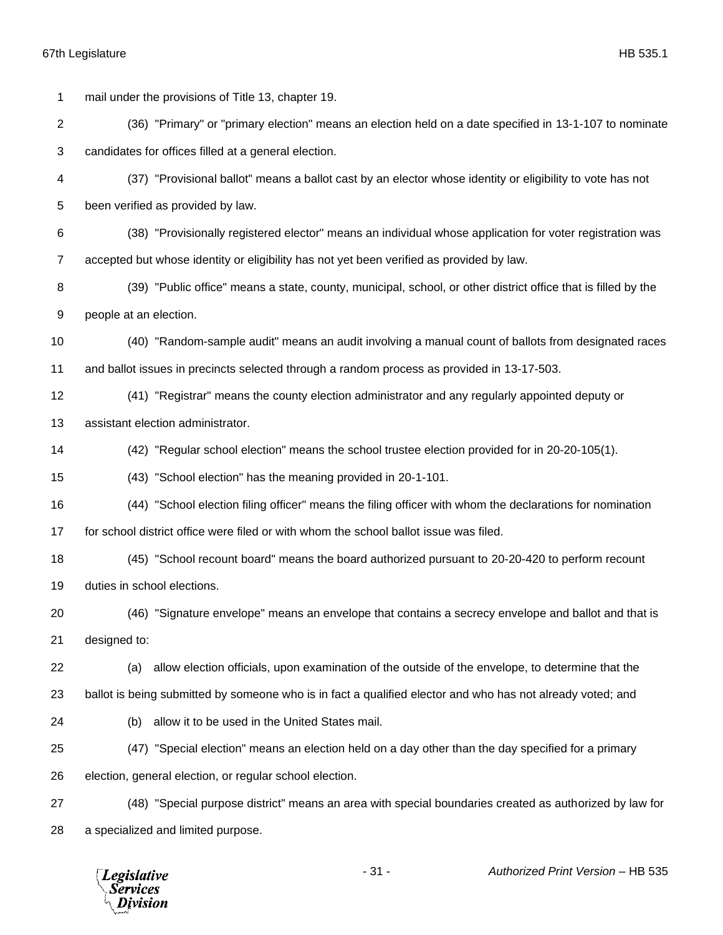mail under the provisions of Title 13, chapter 19. (36) "Primary" or "primary election" means an election held on a date specified in 13-1-107 to nominate candidates for offices filled at a general election. (37) "Provisional ballot" means a ballot cast by an elector whose identity or eligibility to vote has not been verified as provided by law. (38) "Provisionally registered elector" means an individual whose application for voter registration was accepted but whose identity or eligibility has not yet been verified as provided by law. (39) "Public office" means a state, county, municipal, school, or other district office that is filled by the people at an election. (40) "Random-sample audit" means an audit involving a manual count of ballots from designated races and ballot issues in precincts selected through a random process as provided in 13-17-503. (41) "Registrar" means the county election administrator and any regularly appointed deputy or assistant election administrator. (42) "Regular school election" means the school trustee election provided for in 20-20-105(1). (43) "School election" has the meaning provided in 20-1-101. (44) "School election filing officer" means the filing officer with whom the declarations for nomination for school district office were filed or with whom the school ballot issue was filed. (45) "School recount board" means the board authorized pursuant to 20-20-420 to perform recount duties in school elections. (46) "Signature envelope" means an envelope that contains a secrecy envelope and ballot and that is designed to: (a) allow election officials, upon examination of the outside of the envelope, to determine that the ballot is being submitted by someone who is in fact a qualified elector and who has not already voted; and (b) allow it to be used in the United States mail. (47) "Special election" means an election held on a day other than the day specified for a primary election, general election, or regular school election. (48) "Special purpose district" means an area with special boundaries created as authorized by law for a specialized and limited purpose.

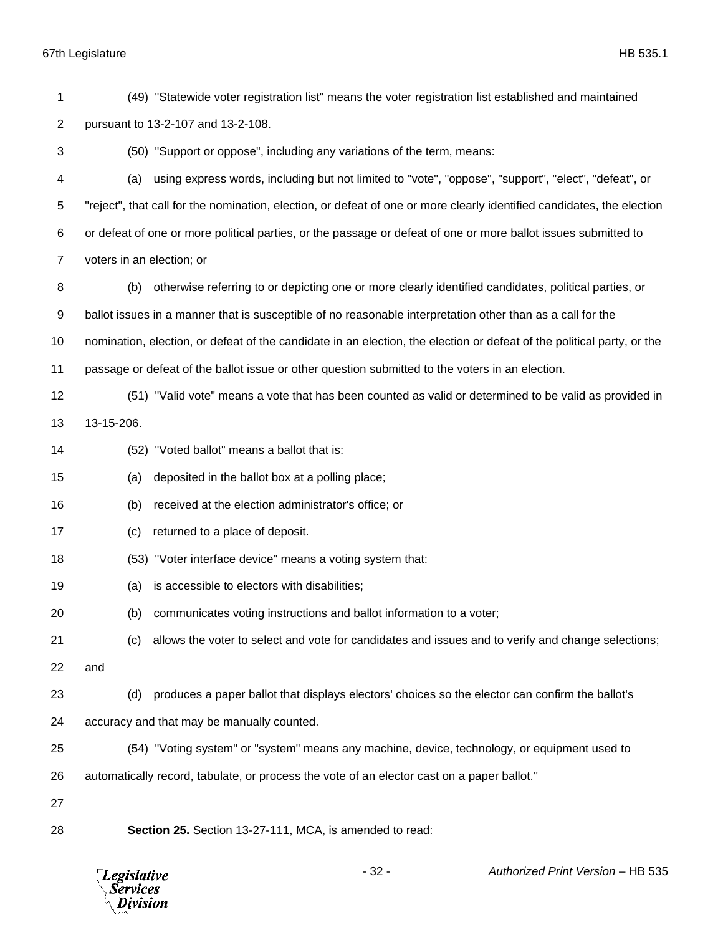| 1              | (49) "Statewide voter registration list" means the voter registration list established and maintained                  |
|----------------|------------------------------------------------------------------------------------------------------------------------|
| 2              | pursuant to 13-2-107 and 13-2-108.                                                                                     |
| 3              | (50) "Support or oppose", including any variations of the term, means:                                                 |
| 4              | using express words, including but not limited to "vote", "oppose", "support", "elect", "defeat", or<br>(a)            |
| 5              | "reject", that call for the nomination, election, or defeat of one or more clearly identified candidates, the election |
| 6              | or defeat of one or more political parties, or the passage or defeat of one or more ballot issues submitted to         |
| $\overline{7}$ | voters in an election; or                                                                                              |
| 8              | otherwise referring to or depicting one or more clearly identified candidates, political parties, or<br>(b)            |
| 9              | ballot issues in a manner that is susceptible of no reasonable interpretation other than as a call for the             |
| 10             | nomination, election, or defeat of the candidate in an election, the election or defeat of the political party, or the |
| 11             | passage or defeat of the ballot issue or other question submitted to the voters in an election.                        |
| 12             | (51) "Valid vote" means a vote that has been counted as valid or determined to be valid as provided in                 |
| 13             | 13-15-206.                                                                                                             |
| 14             | (52) "Voted ballot" means a ballot that is:                                                                            |
| 15             | deposited in the ballot box at a polling place;<br>(a)                                                                 |
| 16             | received at the election administrator's office; or<br>(b)                                                             |
| 17             | returned to a place of deposit.<br>(c)                                                                                 |
| 18             | (53) "Voter interface device" means a voting system that:                                                              |
| 19             | is accessible to electors with disabilities;<br>(a)                                                                    |
| 20             | (b) communicates voting instructions and ballot information to a voter;                                                |
| 21             | allows the voter to select and vote for candidates and issues and to verify and change selections;<br>(c)              |
| 22             | and                                                                                                                    |
| 23             | produces a paper ballot that displays electors' choices so the elector can confirm the ballot's<br>(d)                 |
| 24             | accuracy and that may be manually counted.                                                                             |
| 25             | (54) "Voting system" or "system" means any machine, device, technology, or equipment used to                           |
| 26             | automatically record, tabulate, or process the vote of an elector cast on a paper ballot."                             |
| 27             |                                                                                                                        |
| 28             | Section 25. Section 13-27-111, MCA, is amended to read:                                                                |

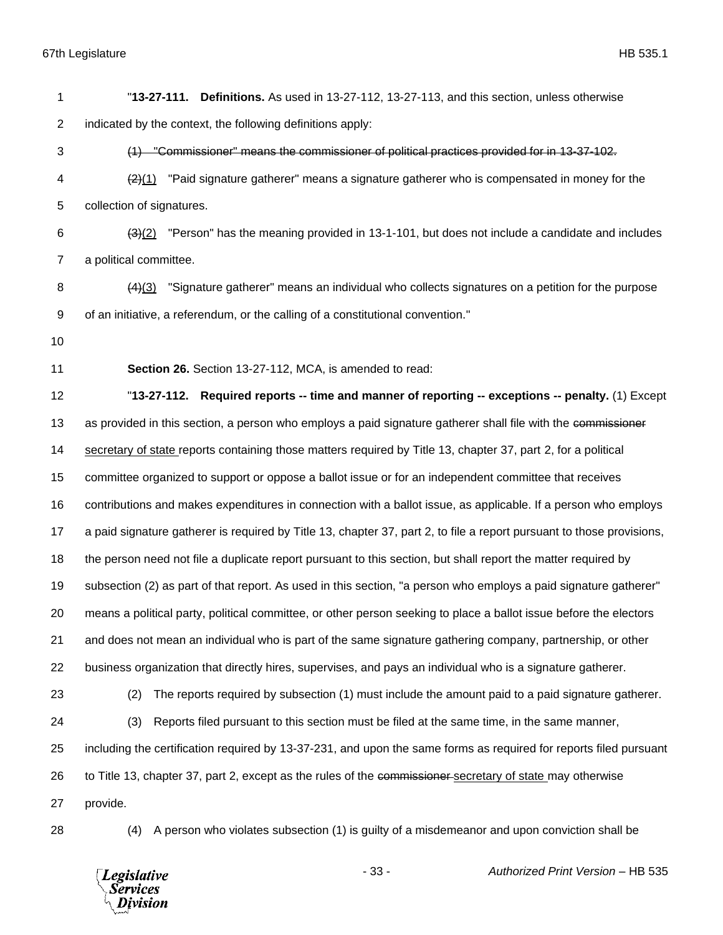| 1              | "13-27-111. Definitions. As used in 13-27-112, 13-27-113, and this section, unless otherwise                          |
|----------------|-----------------------------------------------------------------------------------------------------------------------|
| $\overline{2}$ | indicated by the context, the following definitions apply:                                                            |
| 3              | (1) "Commissioner" means the commissioner of political practices provided for in 13-37-102.                           |
| 4              | "Paid signature gatherer" means a signature gatherer who is compensated in money for the<br>(2)(1)                    |
| 5              | collection of signatures.                                                                                             |
| 6              | "Person" has the meaning provided in 13-1-101, but does not include a candidate and includes<br>(3)(2)                |
| $\overline{7}$ | a political committee.                                                                                                |
| 8              | "Signature gatherer" means an individual who collects signatures on a petition for the purpose<br>(4)(3)              |
| 9              | of an initiative, a referendum, or the calling of a constitutional convention."                                       |
| 10             |                                                                                                                       |
| 11             | Section 26. Section 13-27-112, MCA, is amended to read:                                                               |
| 12             | "13-27-112. Required reports -- time and manner of reporting -- exceptions -- penalty. (1) Except                     |
| 13             | as provided in this section, a person who employs a paid signature gatherer shall file with the commissioner          |
| 14             | secretary of state reports containing those matters required by Title 13, chapter 37, part 2, for a political         |
| 15             | committee organized to support or oppose a ballot issue or for an independent committee that receives                 |
| 16             | contributions and makes expenditures in connection with a ballot issue, as applicable. If a person who employs        |
| 17             | a paid signature gatherer is required by Title 13, chapter 37, part 2, to file a report pursuant to those provisions, |
| 18             | the person need not file a duplicate report pursuant to this section, but shall report the matter required by         |
| 19             | subsection (2) as part of that report. As used in this section, "a person who employs a paid signature gatherer"      |
| 20             | means a political party, political committee, or other person seeking to place a ballot issue before the electors     |
| 21             | and does not mean an individual who is part of the same signature gathering company, partnership, or other            |
| 22             | business organization that directly hires, supervises, and pays an individual who is a signature gatherer.            |
| 23             | The reports required by subsection (1) must include the amount paid to a paid signature gatherer.<br>(2)              |
| 24             | Reports filed pursuant to this section must be filed at the same time, in the same manner,<br>(3)                     |
| 25             | including the certification required by 13-37-231, and upon the same forms as required for reports filed pursuant     |
| 26             | to Title 13, chapter 37, part 2, except as the rules of the commissioner-secretary of state may otherwise             |
| 27             | provide.                                                                                                              |
| 28             | A person who violates subsection (1) is guilty of a misdemeanor and upon conviction shall be<br>(4)                   |



- 33 - *Authorized Print Version* – HB 535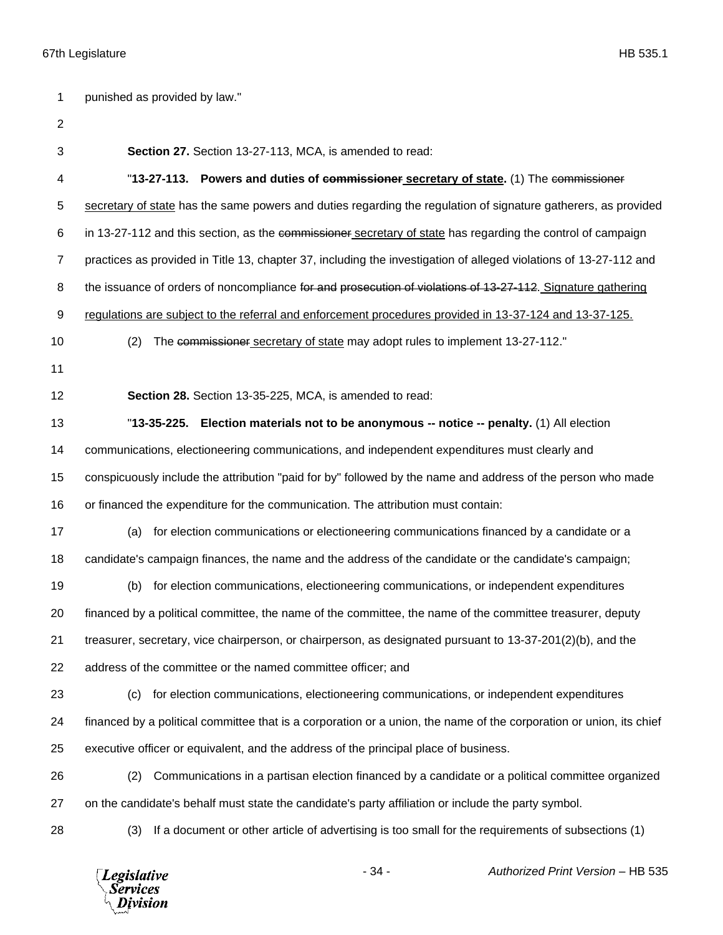punished as provided by law."

**Section 27.** Section 13-27-113, MCA, is amended to read:

"**13-27-113. Powers and duties of commissioner secretary of state.** (1) The commissioner

secretary of state has the same powers and duties regarding the regulation of signature gatherers, as provided

in 13-27-112 and this section, as the commissioner secretary of state has regarding the control of campaign

practices as provided in Title 13, chapter 37, including the investigation of alleged violations of 13-27-112 and

8 the issuance of orders of noncompliance for and prosecution of violations of 13-27-112. Signature gathering

regulations are subject to the referral and enforcement procedures provided in 13-37-124 and 13-37-125.

- (2) The commissioner secretary of state may adopt rules to implement 13-27-112."
- 
- 

**Section 28.** Section 13-35-225, MCA, is amended to read:

 "**13-35-225. Election materials not to be anonymous -- notice -- penalty.** (1) All election communications, electioneering communications, and independent expenditures must clearly and conspicuously include the attribution "paid for by" followed by the name and address of the person who made or financed the expenditure for the communication. The attribution must contain: (a) for election communications or electioneering communications financed by a candidate or a

candidate's campaign finances, the name and the address of the candidate or the candidate's campaign;

(b) for election communications, electioneering communications, or independent expenditures

financed by a political committee, the name of the committee, the name of the committee treasurer, deputy

treasurer, secretary, vice chairperson, or chairperson, as designated pursuant to 13-37-201(2)(b), and the

address of the committee or the named committee officer; and

 (c) for election communications, electioneering communications, or independent expenditures financed by a political committee that is a corporation or a union, the name of the corporation or union, its chief

executive officer or equivalent, and the address of the principal place of business.

 (2) Communications in a partisan election financed by a candidate or a political committee organized on the candidate's behalf must state the candidate's party affiliation or include the party symbol.

(3) If a document or other article of advertising is too small for the requirements of subsections (1)

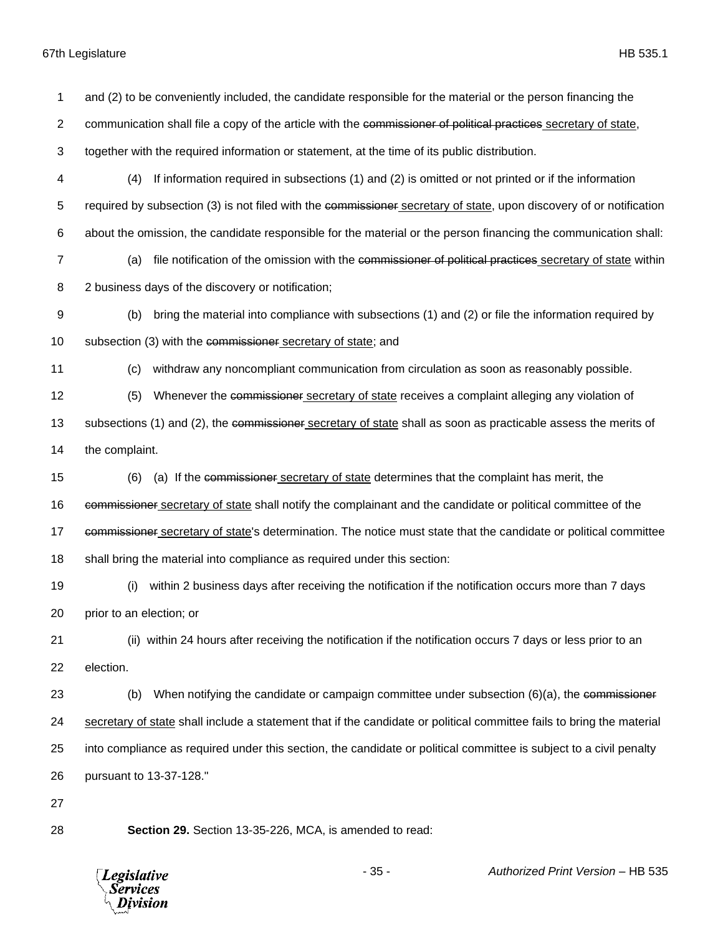and (2) to be conveniently included, the candidate responsible for the material or the person financing the 2 communication shall file a copy of the article with the commissioner of political practices secretary of state, together with the required information or statement, at the time of its public distribution. (4) If information required in subsections (1) and (2) is omitted or not printed or if the information 5 required by subsection (3) is not filed with the commissioner secretary of state, upon discovery of or notification about the omission, the candidate responsible for the material or the person financing the communication shall: 7 (a) file notification of the omission with the commissioner of political practices secretary of state within 2 business days of the discovery or notification; (b) bring the material into compliance with subsections (1) and (2) or file the information required by 10 subsection (3) with the commissioner secretary of state; and (c) withdraw any noncompliant communication from circulation as soon as reasonably possible. 12 (5) Whenever the commissioner secretary of state receives a complaint alleging any violation of 13 subsections (1) and (2), the commissioner secretary of state shall as soon as practicable assess the merits of the complaint. (6) (a) If the commissioner secretary of state determines that the complaint has merit, the 16 commissioner secretary of state shall notify the complainant and the candidate or political committee of the 17 commissioner secretary of state's determination. The notice must state that the candidate or political committee shall bring the material into compliance as required under this section: (i) within 2 business days after receiving the notification if the notification occurs more than 7 days prior to an election; or (ii) within 24 hours after receiving the notification if the notification occurs 7 days or less prior to an election. 23 (b) When notifying the candidate or campaign committee under subsection (6)(a), the commissioner secretary of state shall include a statement that if the candidate or political committee fails to bring the material into compliance as required under this section, the candidate or political committee is subject to a civil penalty pursuant to 13-37-128." 

**Section 29.** Section 13-35-226, MCA, is amended to read:

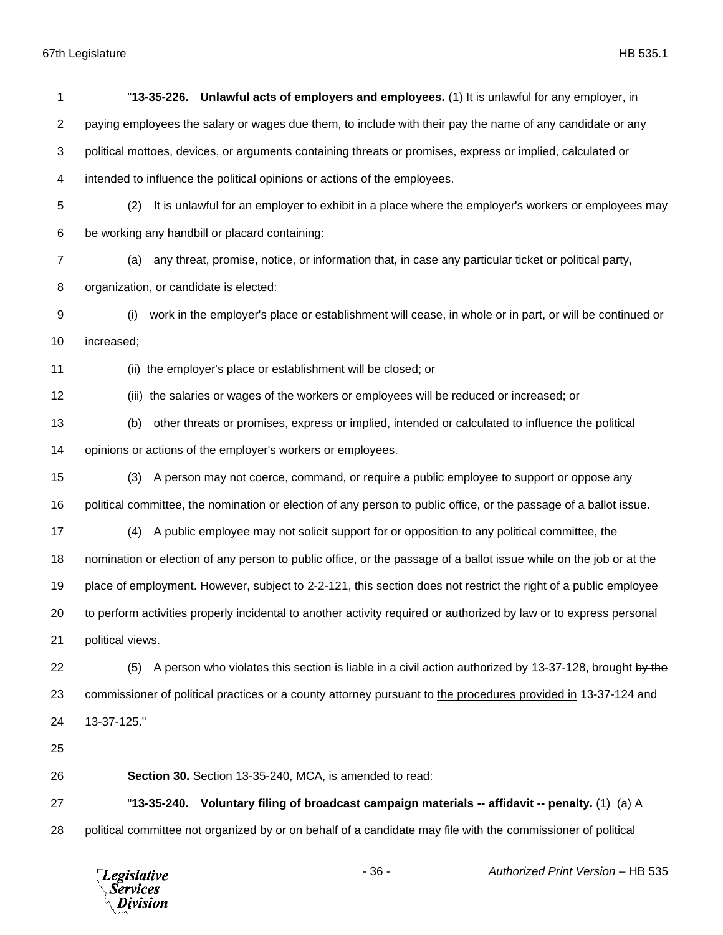| 1              | Unlawful acts of employers and employees. (1) It is unlawful for any employer, in<br>"13-35-226.                   |
|----------------|--------------------------------------------------------------------------------------------------------------------|
| $\overline{2}$ | paying employees the salary or wages due them, to include with their pay the name of any candidate or any          |
| 3              | political mottoes, devices, or arguments containing threats or promises, express or implied, calculated or         |
| $\overline{4}$ | intended to influence the political opinions or actions of the employees.                                          |
| 5              | It is unlawful for an employer to exhibit in a place where the employer's workers or employees may<br>(2)          |
| 6              | be working any handbill or placard containing:                                                                     |
| 7              | any threat, promise, notice, or information that, in case any particular ticket or political party,<br>(a)         |
| 8              | organization, or candidate is elected:                                                                             |
| 9              | work in the employer's place or establishment will cease, in whole or in part, or will be continued or<br>(i)      |
| 10             | increased;                                                                                                         |
| 11             | (ii) the employer's place or establishment will be closed; or                                                      |
| 12             | (iii) the salaries or wages of the workers or employees will be reduced or increased; or                           |
| 13             | other threats or promises, express or implied, intended or calculated to influence the political<br>(b)            |
| 14             | opinions or actions of the employer's workers or employees.                                                        |
| 15             | A person may not coerce, command, or require a public employee to support or oppose any<br>(3)                     |
| 16             | political committee, the nomination or election of any person to public office, or the passage of a ballot issue.  |
| 17             | A public employee may not solicit support for or opposition to any political committee, the<br>(4)                 |
| 18             | nomination or election of any person to public office, or the passage of a ballot issue while on the job or at the |
| 19             | place of employment. However, subject to 2-2-121, this section does not restrict the right of a public employee    |
| 20             | to perform activities properly incidental to another activity required or authorized by law or to express personal |
| 21             | political views.                                                                                                   |
| 22             | A person who violates this section is liable in a civil action authorized by 13-37-128, brought by the<br>(5)      |
| 23             | commissioner of political practices or a county attorney pursuant to the procedures provided in 13-37-124 and      |
| 24             | 13-37-125."                                                                                                        |
| 25             |                                                                                                                    |
| 26             | Section 30. Section 13-35-240, MCA, is amended to read:                                                            |
| 27             | Voluntary filing of broadcast campaign materials -- affidavit -- penalty. (1) (a) A<br>"13-35-240.                 |
| 28             | political committee not organized by or on behalf of a candidate may file with the commissioner of political       |

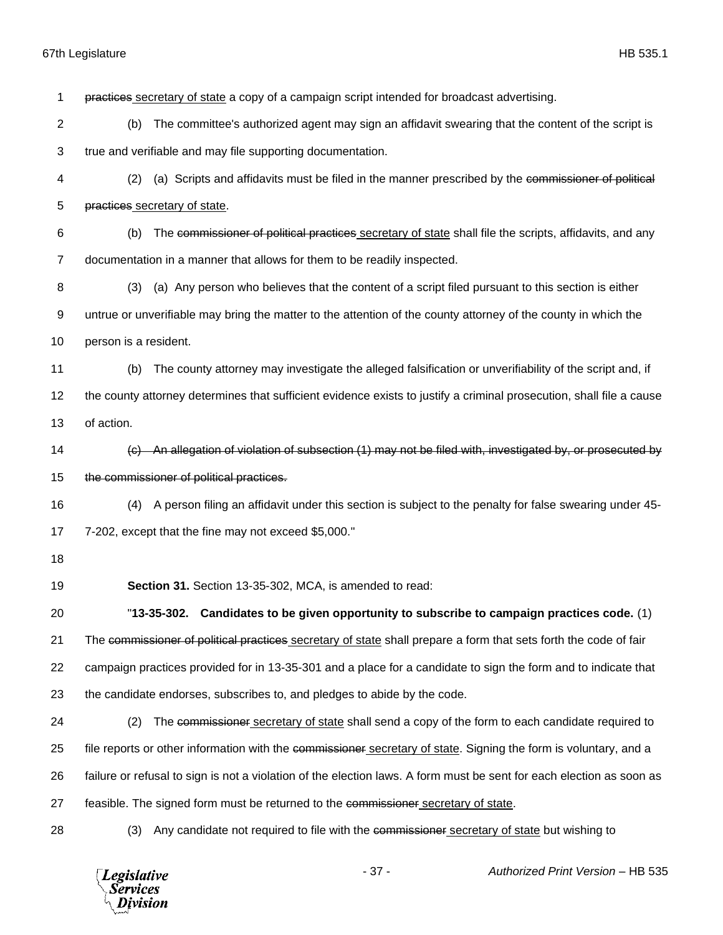**Legislative** *Services* Division

1 practices secretary of state a copy of a campaign script intended for broadcast advertising. (b) The committee's authorized agent may sign an affidavit swearing that the content of the script is true and verifiable and may file supporting documentation. (2) (a) Scripts and affidavits must be filed in the manner prescribed by the commissioner of political practices secretary of state. (b) The commissioner of political practices secretary of state shall file the scripts, affidavits, and any documentation in a manner that allows for them to be readily inspected. (3) (a) Any person who believes that the content of a script filed pursuant to this section is either untrue or unverifiable may bring the matter to the attention of the county attorney of the county in which the person is a resident. (b) The county attorney may investigate the alleged falsification or unverifiability of the script and, if the county attorney determines that sufficient evidence exists to justify a criminal prosecution, shall file a cause of action. (c) An allegation of violation of subsection (1) may not be filed with, investigated by, or prosecuted by the commissioner of political practices. (4) A person filing an affidavit under this section is subject to the penalty for false swearing under 45- 7-202, except that the fine may not exceed \$5,000." **Section 31.** Section 13-35-302, MCA, is amended to read: "**13-35-302. Candidates to be given opportunity to subscribe to campaign practices code.** (1) 21 The commissioner of political practices secretary of state shall prepare a form that sets forth the code of fair campaign practices provided for in 13-35-301 and a place for a candidate to sign the form and to indicate that the candidate endorses, subscribes to, and pledges to abide by the code. (2) The commissioner secretary of state shall send a copy of the form to each candidate required to 25 file reports or other information with the commissioner secretary of state. Signing the form is voluntary, and a failure or refusal to sign is not a violation of the election laws. A form must be sent for each election as soon as 27 feasible. The signed form must be returned to the commissioner secretary of state. 28 (3) Any candidate not required to file with the commissioner secretary of state but wishing to

- 37 - *Authorized Print Version* – HB 535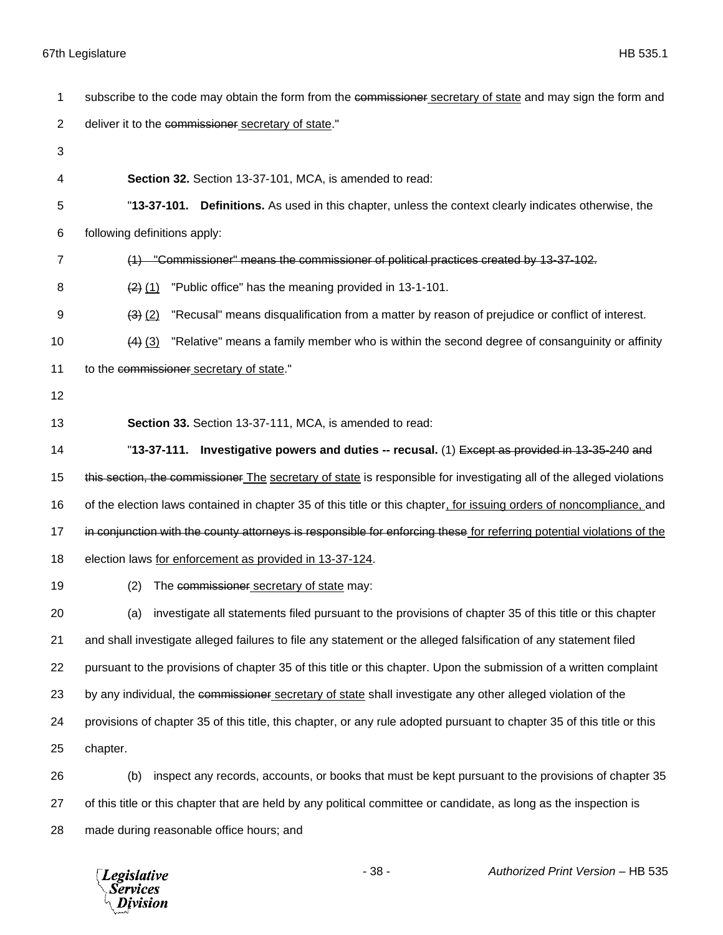| 1              | subscribe to the code may obtain the form from the commissioner secretary of state and may sign the form and           |
|----------------|------------------------------------------------------------------------------------------------------------------------|
| $\overline{2}$ | deliver it to the commissioner secretary of state."                                                                    |
| 3              |                                                                                                                        |
|                |                                                                                                                        |
| 4              | Section 32. Section 13-37-101, MCA, is amended to read:                                                                |
| 5              | "13-37-101. Definitions. As used in this chapter, unless the context clearly indicates otherwise, the                  |
| 6              | following definitions apply:                                                                                           |
| 7              | (1) "Commissioner" means the commissioner of political practices created by 13-37-102.                                 |
| 8              | "Public office" has the meaning provided in 13-1-101.<br>$(2)$ $(1)$                                                   |
| 9              | "Recusal" means disqualification from a matter by reason of prejudice or conflict of interest.<br>$(3)$ $(2)$          |
| 10             | "Relative" means a family member who is within the second degree of consanguinity or affinity<br>$(4)$ $(3)$           |
| 11             | to the commissioner secretary of state."                                                                               |
| 12             |                                                                                                                        |
| 13             | Section 33. Section 13-37-111, MCA, is amended to read:                                                                |
| 14             | "13-37-111. Investigative powers and duties -- recusal. (1) Except as provided in 13-35-240 and                        |
| 15             | this section, the commissioner The secretary of state is responsible for investigating all of the alleged violations   |
| 16             | of the election laws contained in chapter 35 of this title or this chapter, for issuing orders of noncompliance, and   |
| 17             | in conjunction with the county attorneys is responsible for enforcing these for referring potential violations of the  |
| 18             | election laws for enforcement as provided in 13-37-124.                                                                |
| 19             | (2)<br>The commissioner secretary of state may:                                                                        |
| 20             | investigate all statements filed pursuant to the provisions of chapter 35 of this title or this chapter<br>(a)         |
| 21             | and shall investigate alleged failures to file any statement or the alleged falsification of any statement filed       |
| 22             | pursuant to the provisions of chapter 35 of this title or this chapter. Upon the submission of a written complaint     |
| 23             | by any individual, the commissioner secretary of state shall investigate any other alleged violation of the            |
| 24             | provisions of chapter 35 of this title, this chapter, or any rule adopted pursuant to chapter 35 of this title or this |
| 25             | chapter.                                                                                                               |
| 26             | inspect any records, accounts, or books that must be kept pursuant to the provisions of chapter 35<br>(b)              |
| 27             | of this title or this chapter that are held by any political committee or candidate, as long as the inspection is      |
| 28             | made during reasonable office hours; and                                                                               |

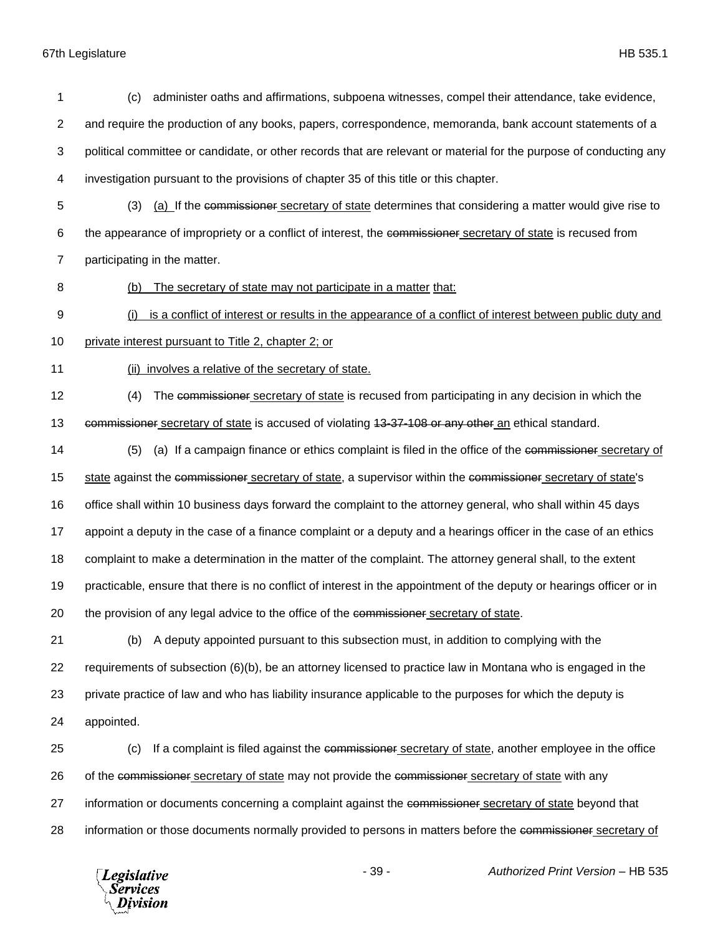(c) administer oaths and affirmations, subpoena witnesses, compel their attendance, take evidence, and require the production of any books, papers, correspondence, memoranda, bank account statements of a political committee or candidate, or other records that are relevant or material for the purpose of conducting any investigation pursuant to the provisions of chapter 35 of this title or this chapter. (3) (a) If the commissioner secretary of state determines that considering a matter would give rise to 6 the appearance of impropriety or a conflict of interest, the commissioner secretary of state is recused from participating in the matter. (b) The secretary of state may not participate in a matter that: (i) is a conflict of interest or results in the appearance of a conflict of interest between public duty and private interest pursuant to Title 2, chapter 2; or (ii) involves a relative of the secretary of state. (4) The commissioner secretary of state is recused from participating in any decision in which the 13 commissioner secretary of state is accused of violating 13-37-108 or any other an ethical standard. (5) (a) If a campaign finance or ethics complaint is filed in the office of the commissioner secretary of 15 state against the commissioner secretary of state, a supervisor within the commissioner secretary of state's office shall within 10 business days forward the complaint to the attorney general, who shall within 45 days appoint a deputy in the case of a finance complaint or a deputy and a hearings officer in the case of an ethics complaint to make a determination in the matter of the complaint. The attorney general shall, to the extent practicable, ensure that there is no conflict of interest in the appointment of the deputy or hearings officer or in the provision of any legal advice to the office of the commissioner secretary of state. (b) A deputy appointed pursuant to this subsection must, in addition to complying with the requirements of subsection (6)(b), be an attorney licensed to practice law in Montana who is engaged in the private practice of law and who has liability insurance applicable to the purposes for which the deputy is appointed. 25 (c) If a complaint is filed against the commissioner secretary of state, another employee in the office 26 of the commissioner secretary of state may not provide the commissioner secretary of state with any 27 information or documents concerning a complaint against the commissioner secretary of state beyond that 28 information or those documents normally provided to persons in matters before the commissioner secretary of

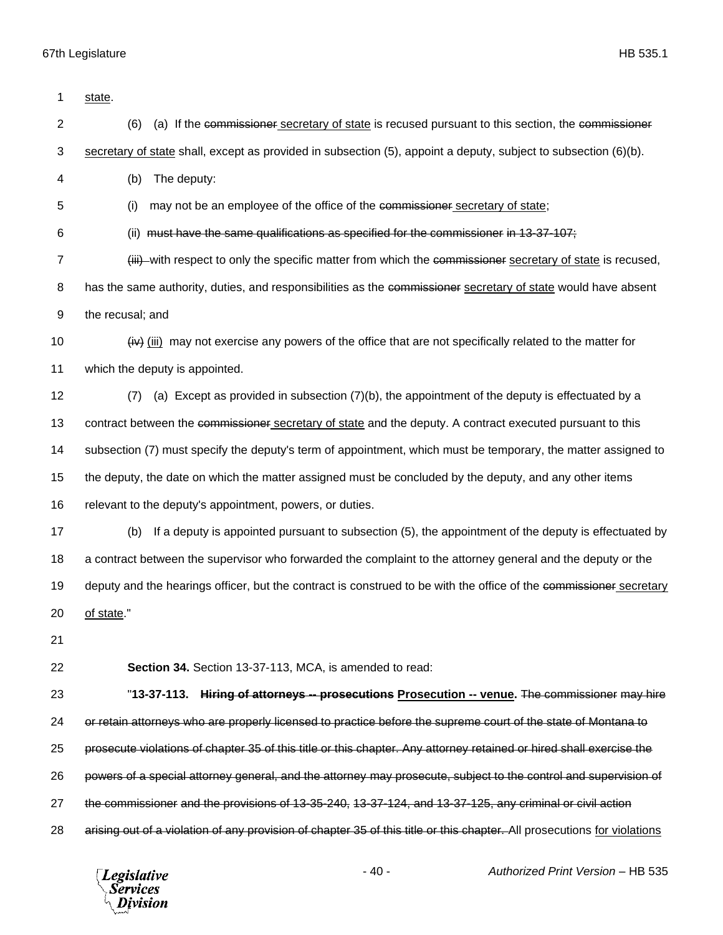| 1              | state.                                                                                                                   |
|----------------|--------------------------------------------------------------------------------------------------------------------------|
| $\overline{2}$ | (a) If the commissioner secretary of state is recused pursuant to this section, the commissioner<br>(6)                  |
| 3              | secretary of state shall, except as provided in subsection (5), appoint a deputy, subject to subsection (6)(b).          |
| 4              | The deputy:<br>(b)                                                                                                       |
| 5              | may not be an employee of the office of the commissioner secretary of state;<br>(i)                                      |
| 6              | (ii) must have the same qualifications as specified for the commissioner in 13-37-107;                                   |
| $\overline{7}$ | with respect to only the specific matter from which the commissioner secretary of state is recused,                      |
| 8              | has the same authority, duties, and responsibilities as the commissioner secretary of state would have absent            |
| 9              | the recusal; and                                                                                                         |
| 10             | $\overline{f(x)}$ (iii) may not exercise any powers of the office that are not specifically related to the matter for    |
| 11             | which the deputy is appointed.                                                                                           |
| 12             | (a) Except as provided in subsection (7)(b), the appointment of the deputy is effectuated by a<br>(7)                    |
| 13             | contract between the commissioner secretary of state and the deputy. A contract executed pursuant to this                |
| 14             | subsection (7) must specify the deputy's term of appointment, which must be temporary, the matter assigned to            |
| 15             | the deputy, the date on which the matter assigned must be concluded by the deputy, and any other items                   |
| 16             | relevant to the deputy's appointment, powers, or duties.                                                                 |
| 17             | If a deputy is appointed pursuant to subsection (5), the appointment of the deputy is effectuated by<br>(b)              |
| 18             | a contract between the supervisor who forwarded the complaint to the attorney general and the deputy or the              |
| 19             | deputy and the hearings officer, but the contract is construed to be with the office of the commissioner secretary       |
| 20             | of state."                                                                                                               |
| 21             |                                                                                                                          |
| 22             | Section 34. Section 13-37-113, MCA, is amended to read:                                                                  |
| 23             | "13-37-113. Hiring of attorneys -- prosecutions Prosecution -- venue. The commissioner may hire                          |
| 24             | or retain attorneys who are properly licensed to practice before the supreme court of the state of Montana to            |
| 25             | prosecute violations of chapter 35 of this title or this chapter. Any attorney retained or hired shall exercise the      |
| 26             | powers of a special attorney general, and the attorney may prosecute, subject to the control and supervision of          |
| 27             | the commissioner and the provisions of 13-35-240, 13-37-124, and 13-37-125, any criminal or civil action                 |
| 28             | arising out of a violation of any provision of chapter 35 of this title or this chapter. All prosecutions for violations |
|                |                                                                                                                          |

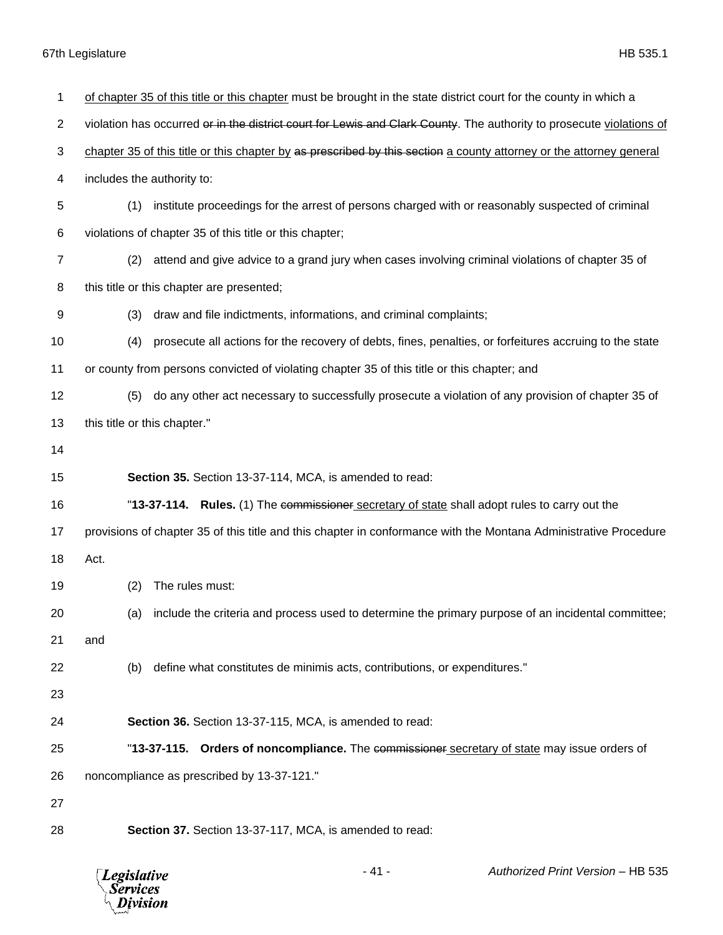| 1              | of chapter 35 of this title or this chapter must be brought in the state district court for the county in which a    |
|----------------|----------------------------------------------------------------------------------------------------------------------|
| $\overline{2}$ | violation has occurred or in the district court for Lewis and Clark County. The authority to prosecute violations of |
| 3              | chapter 35 of this title or this chapter by as prescribed by this section a county attorney or the attorney general  |
| 4              | includes the authority to:                                                                                           |
| 5              | institute proceedings for the arrest of persons charged with or reasonably suspected of criminal<br>(1)              |
| 6              | violations of chapter 35 of this title or this chapter;                                                              |
| $\overline{7}$ | attend and give advice to a grand jury when cases involving criminal violations of chapter 35 of<br>(2)              |
| 8              | this title or this chapter are presented;                                                                            |
| 9              | draw and file indictments, informations, and criminal complaints;<br>(3)                                             |
| 10             | prosecute all actions for the recovery of debts, fines, penalties, or forfeitures accruing to the state<br>(4)       |
| 11             | or county from persons convicted of violating chapter 35 of this title or this chapter; and                          |
| 12             | do any other act necessary to successfully prosecute a violation of any provision of chapter 35 of<br>(5)            |
| 13             | this title or this chapter."                                                                                         |
| 14             |                                                                                                                      |
| 15             | Section 35. Section 13-37-114, MCA, is amended to read:                                                              |
| 16             | "13-37-114. Rules. (1) The commissioner secretary of state shall adopt rules to carry out the                        |
| 17             | provisions of chapter 35 of this title and this chapter in conformance with the Montana Administrative Procedure     |
| 18             | Act.                                                                                                                 |
| 19             | The rules must:<br>(2)                                                                                               |
| 20             | (a) include the criteria and process used to determine the primary purpose of an incidental committee;               |
| 21             | and                                                                                                                  |
| 22             | define what constitutes de minimis acts, contributions, or expenditures."<br>(b)                                     |
| 23             |                                                                                                                      |
| 24             | Section 36. Section 13-37-115, MCA, is amended to read:                                                              |
| 25             | Orders of noncompliance. The commissioner secretary of state may issue orders of<br>"13-37-115.                      |
| 26             | noncompliance as prescribed by 13-37-121."                                                                           |
| 27             |                                                                                                                      |
| 28             | Section 37. Section 13-37-117, MCA, is amended to read:                                                              |
|                | $-41-$<br>Authorized Print Version - HB 535<br><b>Legislative</b><br>Services<br>ivision                             |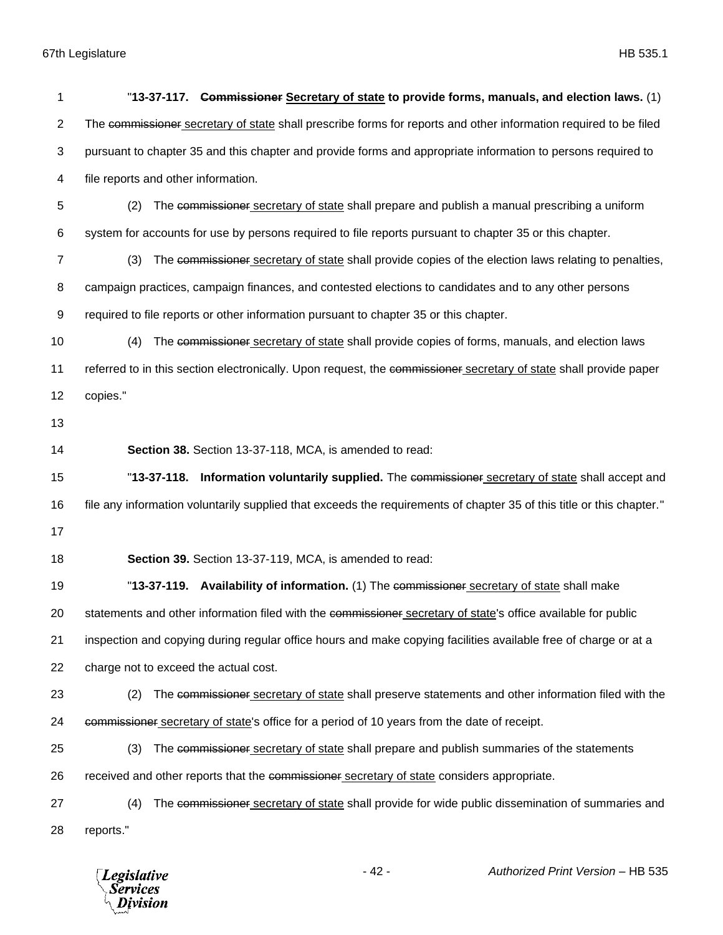| 1              | "13-37-117. <del>Commissioner Secretary of state</del> to provide forms, manuals, and election laws. (1)              |
|----------------|-----------------------------------------------------------------------------------------------------------------------|
| $\overline{2}$ | The commissioner secretary of state shall prescribe forms for reports and other information required to be filed      |
| 3              | pursuant to chapter 35 and this chapter and provide forms and appropriate information to persons required to          |
| 4              | file reports and other information.                                                                                   |
| 5              | The commissioner secretary of state shall prepare and publish a manual prescribing a uniform<br>(2)                   |
| 6              | system for accounts for use by persons required to file reports pursuant to chapter 35 or this chapter.               |
| 7              | (3)<br>The commissioner secretary of state shall provide copies of the election laws relating to penalties,           |
| 8              | campaign practices, campaign finances, and contested elections to candidates and to any other persons                 |
| 9              | required to file reports or other information pursuant to chapter 35 or this chapter.                                 |
| 10             | The commissioner secretary of state shall provide copies of forms, manuals, and election laws<br>(4)                  |
| 11             | referred to in this section electronically. Upon request, the commissioner secretary of state shall provide paper     |
| 12             | copies."                                                                                                              |
| 13             |                                                                                                                       |
| 14             | Section 38. Section 13-37-118, MCA, is amended to read:                                                               |
| 15             | "13-37-118. Information voluntarily supplied. The commissioner secretary of state shall accept and                    |
| 16             | file any information voluntarily supplied that exceeds the requirements of chapter 35 of this title or this chapter." |
| 17             |                                                                                                                       |
| 18             | Section 39. Section 13-37-119, MCA, is amended to read:                                                               |
| 19             | "13-37-119. Availability of information. (1) The commissioner secretary of state shall make                           |
| 20             | statements and other information filed with the commissioner secretary of state's office available for public         |
| 21             | inspection and copying during regular office hours and make copying facilities available free of charge or at a       |
| 22             | charge not to exceed the actual cost.                                                                                 |
| 23             | The commissioner secretary of state shall preserve statements and other information filed with the<br>(2)             |
| 24             | commissioner secretary of state's office for a period of 10 years from the date of receipt.                           |
| 25             | The commissioner secretary of state shall prepare and publish summaries of the statements<br>(3)                      |
| 26             | received and other reports that the commissioner secretary of state considers appropriate.                            |
| 27             | The commissioner secretary of state shall provide for wide public dissemination of summaries and<br>(4)               |
| 28             | reports."                                                                                                             |

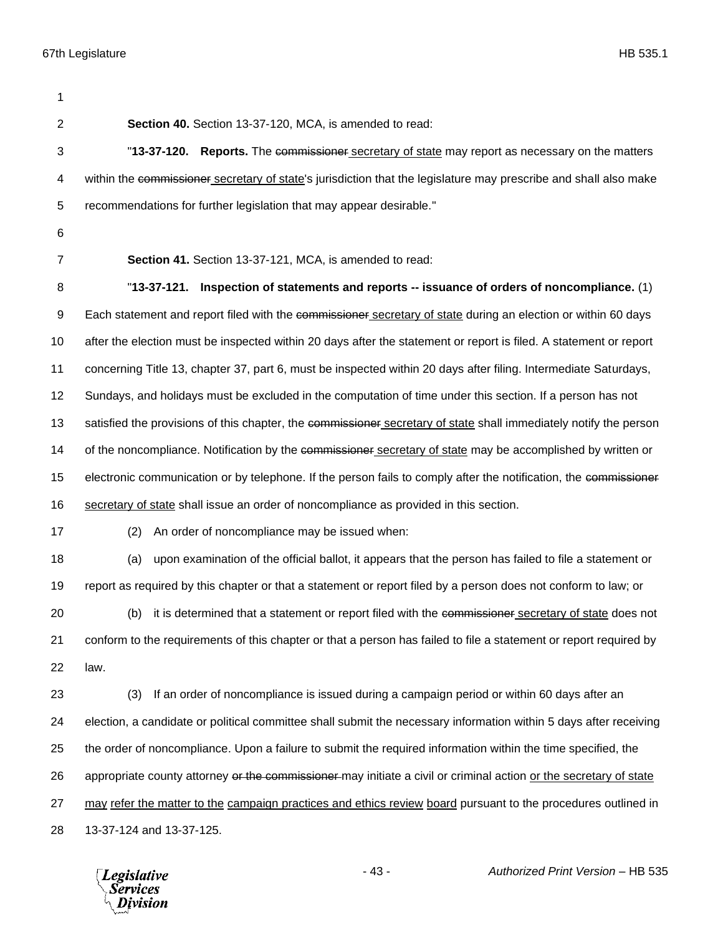| 1              |                                                                                                                   |
|----------------|-------------------------------------------------------------------------------------------------------------------|
| $\overline{2}$ | Section 40. Section 13-37-120, MCA, is amended to read:                                                           |
| 3              | "13-37-120. Reports. The commissioner secretary of state may report as necessary on the matters                   |
| 4              | within the commissioner secretary of state's jurisdiction that the legislature may prescribe and shall also make  |
| 5              | recommendations for further legislation that may appear desirable."                                               |
| 6              |                                                                                                                   |
| $\overline{7}$ | Section 41. Section 13-37-121, MCA, is amended to read:                                                           |
| 8              | "13-37-121. Inspection of statements and reports -- issuance of orders of noncompliance. (1)                      |
| 9              | Each statement and report filed with the commissioner secretary of state during an election or within 60 days     |
| 10             | after the election must be inspected within 20 days after the statement or report is filed. A statement or report |
| 11             | concerning Title 13, chapter 37, part 6, must be inspected within 20 days after filing. Intermediate Saturdays,   |
| 12             | Sundays, and holidays must be excluded in the computation of time under this section. If a person has not         |
| 13             | satisfied the provisions of this chapter, the commissioner secretary of state shall immediately notify the person |
| 14             | of the noncompliance. Notification by the commissioner secretary of state may be accomplished by written or       |
| 15             | electronic communication or by telephone. If the person fails to comply after the notification, the commissioner  |
| 16             | secretary of state shall issue an order of noncompliance as provided in this section.                             |
| 17             | An order of noncompliance may be issued when:<br>(2)                                                              |
| 18             | upon examination of the official ballot, it appears that the person has failed to file a statement or<br>(a)      |
| 19             | report as required by this chapter or that a statement or report filed by a person does not conform to law; or    |
| 20             | it is determined that a statement or report filed with the commissioner secretary of state does not<br>(b)        |
| 21             | conform to the requirements of this chapter or that a person has failed to file a statement or report required by |
| 22             | law.                                                                                                              |
| 23             | If an order of noncompliance is issued during a campaign period or within 60 days after an<br>(3)                 |
| 24             | election, a candidate or political committee shall submit the necessary information within 5 days after receiving |
| 25             | the order of noncompliance. Upon a failure to submit the required information within the time specified, the      |
| 26             | appropriate county attorney or the commissioner may initiate a civil or criminal action or the secretary of state |
| 27             | may refer the matter to the campaign practices and ethics review board pursuant to the procedures outlined in     |
| 28             | 13-37-124 and 13-37-125.                                                                                          |
|                |                                                                                                                   |

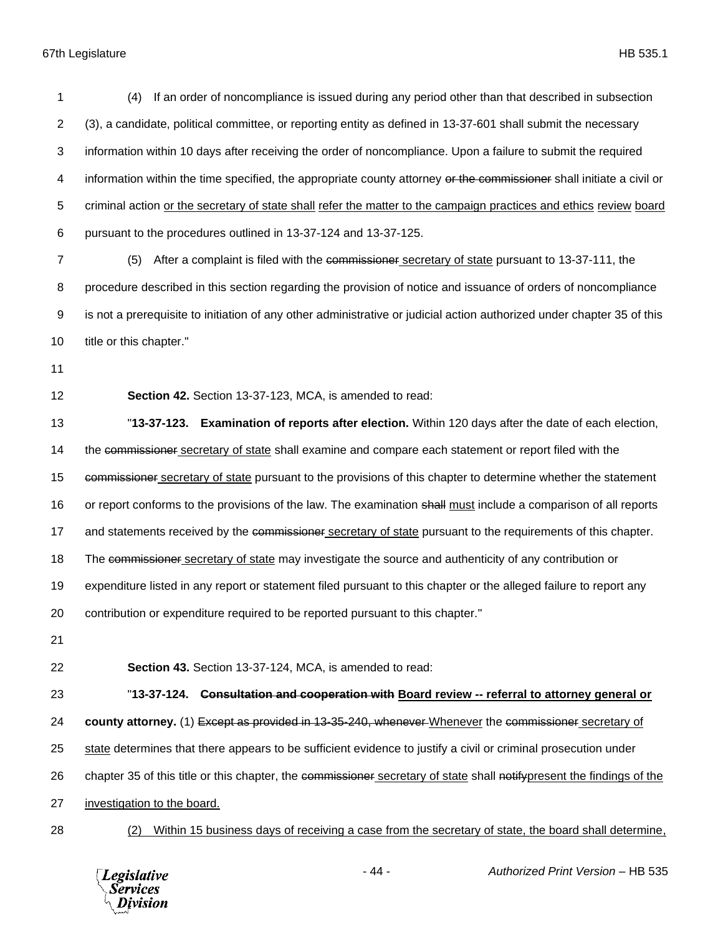(4) If an order of noncompliance is issued during any period other than that described in subsection (3), a candidate, political committee, or reporting entity as defined in 13-37-601 shall submit the necessary information within 10 days after receiving the order of noncompliance. Upon a failure to submit the required 4 information within the time specified, the appropriate county attorney or the commissioner shall initiate a civil or criminal action or the secretary of state shall refer the matter to the campaign practices and ethics review board pursuant to the procedures outlined in 13-37-124 and 13-37-125. (5) After a complaint is filed with the commissioner secretary of state pursuant to 13-37-111, the procedure described in this section regarding the provision of notice and issuance of orders of noncompliance is not a prerequisite to initiation of any other administrative or judicial action authorized under chapter 35 of this title or this chapter." **Section 42.** Section 13-37-123, MCA, is amended to read: "**13-37-123. Examination of reports after election.** Within 120 days after the date of each election, 14 the commissioner secretary of state shall examine and compare each statement or report filed with the 15 commissioner secretary of state pursuant to the provisions of this chapter to determine whether the statement 16 or report conforms to the provisions of the law. The examination shall must include a comparison of all reports 17 and statements received by the commissioner secretary of state pursuant to the requirements of this chapter. 18 The commissioner secretary of state may investigate the source and authenticity of any contribution or expenditure listed in any report or statement filed pursuant to this chapter or the alleged failure to report any contribution or expenditure required to be reported pursuant to this chapter." **Section 43.** Section 13-37-124, MCA, is amended to read: "**13-37-124. Consultation and cooperation with Board review -- referral to attorney general or county attorney.** (1) Except as provided in 13-35-240, whenever Whenever the commissioner secretary of state determines that there appears to be sufficient evidence to justify a civil or criminal prosecution under 26 chapter 35 of this title or this chapter, the commissioner secretary of state shall notifypresent the findings of the investigation to the board. (2) Within 15 business days of receiving a case from the secretary of state, the board shall determine,

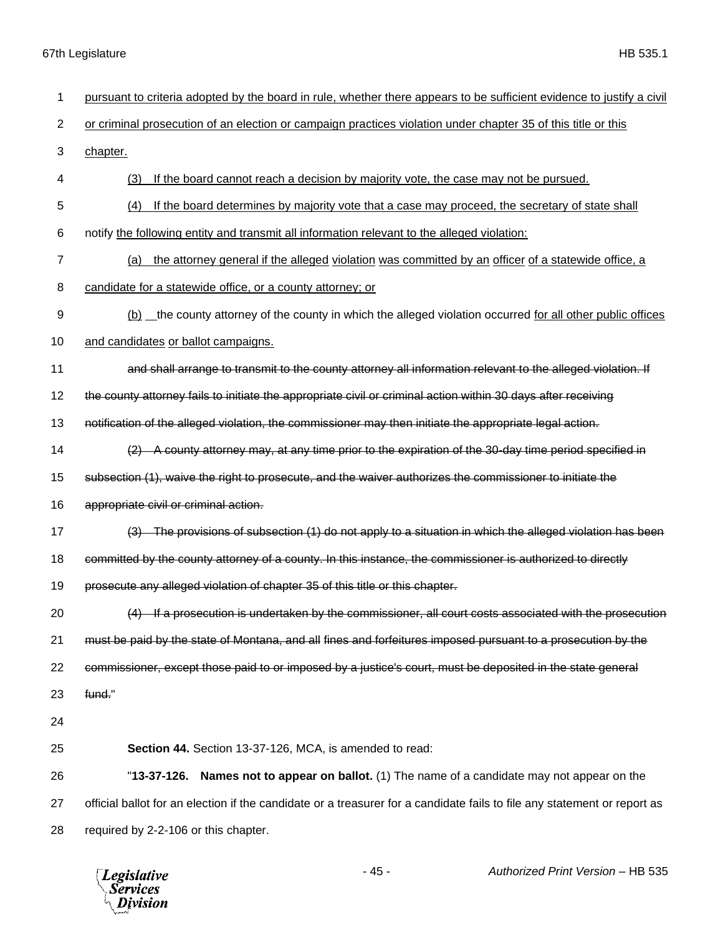| 1              | pursuant to criteria adopted by the board in rule, whether there appears to be sufficient evidence to justify a civil    |  |  |  |
|----------------|--------------------------------------------------------------------------------------------------------------------------|--|--|--|
| $\overline{2}$ | or criminal prosecution of an election or campaign practices violation under chapter 35 of this title or this            |  |  |  |
| 3              | chapter.                                                                                                                 |  |  |  |
| 4              | If the board cannot reach a decision by majority vote, the case may not be pursued.<br>(3)                               |  |  |  |
| 5              | If the board determines by majority vote that a case may proceed, the secretary of state shall<br>(4)                    |  |  |  |
| 6              | notify the following entity and transmit all information relevant to the alleged violation:                              |  |  |  |
| 7              | the attorney general if the alleged violation was committed by an officer of a statewide office, a<br>(a)                |  |  |  |
| 8              | candidate for a statewide office, or a county attorney; or                                                               |  |  |  |
| 9              | (b) the county attorney of the county in which the alleged violation occurred for all other public offices               |  |  |  |
| 10             | and candidates or ballot campaigns.                                                                                      |  |  |  |
| 11             | and shall arrange to transmit to the county attorney all information relevant to the alleged violation. If               |  |  |  |
| 12             | the county attorney fails to initiate the appropriate civil or criminal action within 30 days after receiving            |  |  |  |
| 13             | notification of the alleged violation, the commissioner may then initiate the appropriate legal action.                  |  |  |  |
| 14             | (2) A county attorney may, at any time prior to the expiration of the 30-day time period specified in                    |  |  |  |
| 15             | subsection (1), waive the right to prosecute, and the waiver authorizes the commissioner to initiate the                 |  |  |  |
| 16             | appropriate civil or criminal action.                                                                                    |  |  |  |
| 17             | (3) The provisions of subsection (1) do not apply to a situation in which the alleged violation has been                 |  |  |  |
| 18             | committed by the county attorney of a county. In this instance, the commissioner is authorized to directly               |  |  |  |
| 19             | prosecute any alleged violation of chapter 35 of this title or this chapter.                                             |  |  |  |
| 20             | (4) If a prosecution is undertaken by the commissioner, all court costs associated with the prosecution                  |  |  |  |
| 21             | must be paid by the state of Montana, and all fines and forfeitures imposed pursuant to a prosecution by the             |  |  |  |
| 22             | commissioner, except those paid to or imposed by a justice's court, must be deposited in the state general               |  |  |  |
| 23             | fund."                                                                                                                   |  |  |  |
| 24             |                                                                                                                          |  |  |  |
| 25             | Section 44. Section 13-37-126, MCA, is amended to read:                                                                  |  |  |  |
| 26             | "13-37-126.<br>Names not to appear on ballot. (1) The name of a candidate may not appear on the                          |  |  |  |
| 27             | official ballot for an election if the candidate or a treasurer for a candidate fails to file any statement or report as |  |  |  |
| 28             | required by 2-2-106 or this chapter.                                                                                     |  |  |  |

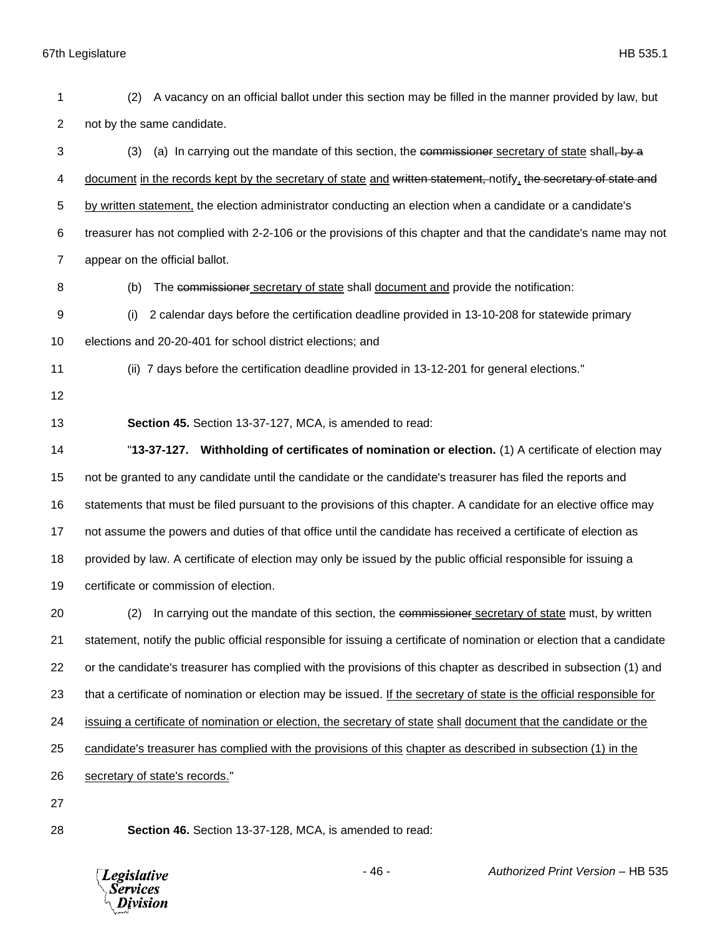$Division$ 

| $\overline{2}$ | not by the same candidate.                                                                                             |  |  |  |
|----------------|------------------------------------------------------------------------------------------------------------------------|--|--|--|
| 3              | (3)<br>(a) In carrying out the mandate of this section, the commissioner secretary of state shall, by a                |  |  |  |
| 4              | document in the records kept by the secretary of state and written statement, notify, the secretary of state and       |  |  |  |
| 5              | by written statement, the election administrator conducting an election when a candidate or a candidate's              |  |  |  |
| 6              | treasurer has not complied with 2-2-106 or the provisions of this chapter and that the candidate's name may not        |  |  |  |
| 7              | appear on the official ballot.                                                                                         |  |  |  |
| 8              | The commissioner secretary of state shall document and provide the notification:<br>(b)                                |  |  |  |
| 9              | 2 calendar days before the certification deadline provided in 13-10-208 for statewide primary<br>(i)                   |  |  |  |
| 10             | elections and 20-20-401 for school district elections; and                                                             |  |  |  |
| 11             | (ii) 7 days before the certification deadline provided in 13-12-201 for general elections."                            |  |  |  |
| 12             |                                                                                                                        |  |  |  |
| 13             | Section 45. Section 13-37-127, MCA, is amended to read:                                                                |  |  |  |
| 14             | "13-37-127. Withholding of certificates of nomination or election. (1) A certificate of election may                   |  |  |  |
| 15             | not be granted to any candidate until the candidate or the candidate's treasurer has filed the reports and             |  |  |  |
| 16             | statements that must be filed pursuant to the provisions of this chapter. A candidate for an elective office may       |  |  |  |
| 17             | not assume the powers and duties of that office until the candidate has received a certificate of election as          |  |  |  |
| 18             | provided by law. A certificate of election may only be issued by the public official responsible for issuing a         |  |  |  |
| 19             | certificate or commission of election.                                                                                 |  |  |  |
| 20             | (2)<br>In carrying out the mandate of this section, the commissioner secretary of state must, by written               |  |  |  |
| 21             | statement, notify the public official responsible for issuing a certificate of nomination or election that a candidate |  |  |  |
| 22             | or the candidate's treasurer has complied with the provisions of this chapter as described in subsection (1) and       |  |  |  |
| 23             | that a certificate of nomination or election may be issued. If the secretary of state is the official responsible for  |  |  |  |
| 24             | issuing a certificate of nomination or election, the secretary of state shall document that the candidate or the       |  |  |  |
| 25             | candidate's treasurer has complied with the provisions of this chapter as described in subsection (1) in the           |  |  |  |
| 26             | secretary of state's records."                                                                                         |  |  |  |
| 27             |                                                                                                                        |  |  |  |
| 28             | Section 46. Section 13-37-128, MCA, is amended to read:                                                                |  |  |  |
|                | $-46-$<br>Authorized Print Version - HB 535<br><b>Legislative</b><br><b>Services</b>                                   |  |  |  |

(2) A vacancy on an official ballot under this section may be filled in the manner provided by law, but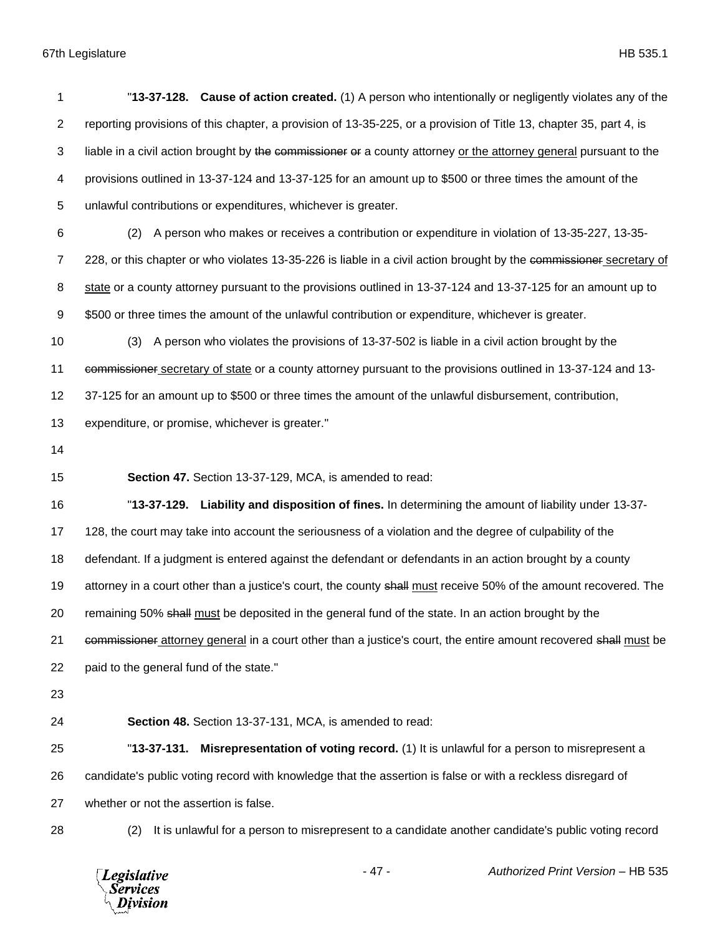| 1              | "13-37-128. Cause of action created. (1) A person who intentionally or negligently violates any of the              |  |  |  |  |
|----------------|---------------------------------------------------------------------------------------------------------------------|--|--|--|--|
| $\mathbf{2}$   | reporting provisions of this chapter, a provision of 13-35-225, or a provision of Title 13, chapter 35, part 4, is  |  |  |  |  |
| 3              | liable in a civil action brought by the commissioner or a county attorney or the attorney general pursuant to the   |  |  |  |  |
| 4              | provisions outlined in 13-37-124 and 13-37-125 for an amount up to \$500 or three times the amount of the           |  |  |  |  |
| 5              | unlawful contributions or expenditures, whichever is greater.                                                       |  |  |  |  |
| 6              | A person who makes or receives a contribution or expenditure in violation of 13-35-227, 13-35-<br>(2)               |  |  |  |  |
| $\overline{7}$ | 228, or this chapter or who violates 13-35-226 is liable in a civil action brought by the commissioner secretary of |  |  |  |  |
| 8              | state or a county attorney pursuant to the provisions outlined in 13-37-124 and 13-37-125 for an amount up to       |  |  |  |  |
| 9              | \$500 or three times the amount of the unlawful contribution or expenditure, whichever is greater.                  |  |  |  |  |
| 10             | A person who violates the provisions of 13-37-502 is liable in a civil action brought by the<br>(3)                 |  |  |  |  |
| 11             | eommissioner secretary of state or a county attorney pursuant to the provisions outlined in 13-37-124 and 13-       |  |  |  |  |
| 12             | 37-125 for an amount up to \$500 or three times the amount of the unlawful disbursement, contribution,              |  |  |  |  |
| 13             | expenditure, or promise, whichever is greater."                                                                     |  |  |  |  |
| 14             |                                                                                                                     |  |  |  |  |
| 15             | Section 47. Section 13-37-129, MCA, is amended to read:                                                             |  |  |  |  |
| 16             | "13-37-129. Liability and disposition of fines. In determining the amount of liability under 13-37-                 |  |  |  |  |
| 17             | 128, the court may take into account the seriousness of a violation and the degree of culpability of the            |  |  |  |  |
| 18             | defendant. If a judgment is entered against the defendant or defendants in an action brought by a county            |  |  |  |  |
| 19             | attorney in a court other than a justice's court, the county shall must receive 50% of the amount recovered. The    |  |  |  |  |
| 20             | remaining 50% shall must be deposited in the general fund of the state. In an action brought by the                 |  |  |  |  |
| 21             | commissioner attorney general in a court other than a justice's court, the entire amount recovered shall must be    |  |  |  |  |
| 22             | paid to the general fund of the state."                                                                             |  |  |  |  |
| 23             |                                                                                                                     |  |  |  |  |
| 24             | Section 48. Section 13-37-131, MCA, is amended to read:                                                             |  |  |  |  |
| 25             | <b>Misrepresentation of voting record.</b> (1) It is unlawful for a person to misrepresent a<br>$"13-37-131.$       |  |  |  |  |
| 26             | candidate's public voting record with knowledge that the assertion is false or with a reckless disregard of         |  |  |  |  |
| 27             | whether or not the assertion is false.                                                                              |  |  |  |  |
| 28             | It is unlawful for a person to misrepresent to a candidate another candidate's public voting record<br>(2)          |  |  |  |  |
|                |                                                                                                                     |  |  |  |  |

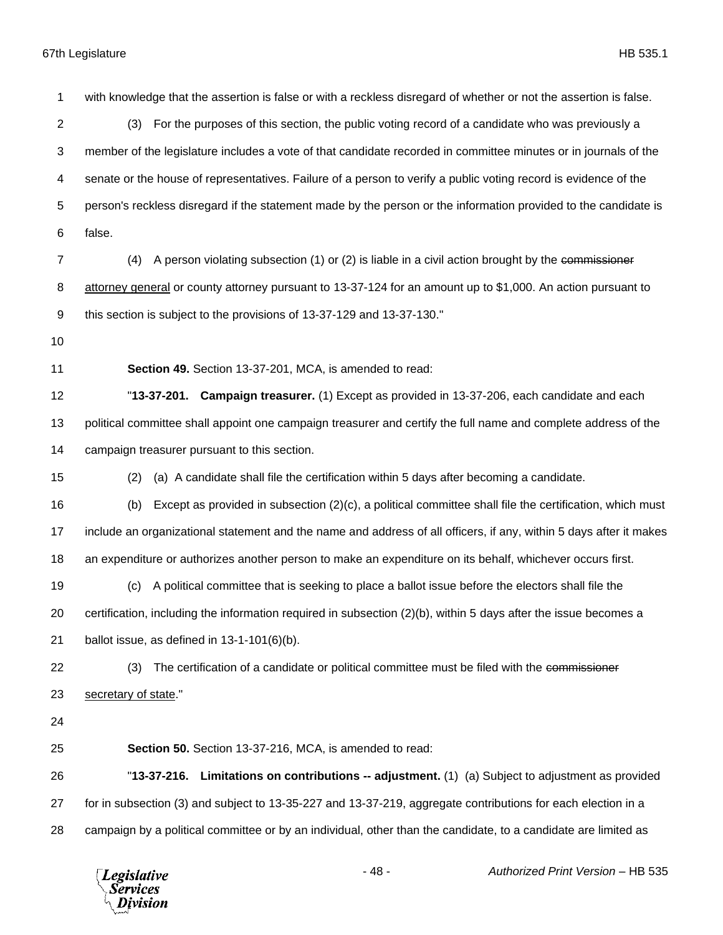| 1              | with knowledge that the assertion is false or with a reckless disregard of whether or not the assertion is false.  |  |  |  |
|----------------|--------------------------------------------------------------------------------------------------------------------|--|--|--|
| $\overline{c}$ | For the purposes of this section, the public voting record of a candidate who was previously a<br>(3)              |  |  |  |
| 3              | member of the legislature includes a vote of that candidate recorded in committee minutes or in journals of the    |  |  |  |
| 4              | senate or the house of representatives. Failure of a person to verify a public voting record is evidence of the    |  |  |  |
| 5              | person's reckless disregard if the statement made by the person or the information provided to the candidate is    |  |  |  |
| 6              | false.                                                                                                             |  |  |  |
| $\overline{7}$ | A person violating subsection (1) or (2) is liable in a civil action brought by the commissioner<br>(4)            |  |  |  |
| 8              | attorney general or county attorney pursuant to 13-37-124 for an amount up to \$1,000. An action pursuant to       |  |  |  |
| 9              | this section is subject to the provisions of 13-37-129 and 13-37-130."                                             |  |  |  |
| 10             |                                                                                                                    |  |  |  |
| 11             | Section 49. Section 13-37-201, MCA, is amended to read:                                                            |  |  |  |
| 12             | "13-37-201. Campaign treasurer. (1) Except as provided in 13-37-206, each candidate and each                       |  |  |  |
| 13             | political committee shall appoint one campaign treasurer and certify the full name and complete address of the     |  |  |  |
| 14             | campaign treasurer pursuant to this section.                                                                       |  |  |  |
| 15             | (a) A candidate shall file the certification within 5 days after becoming a candidate.<br>(2)                      |  |  |  |
| 16             | Except as provided in subsection $(2)(c)$ , a political committee shall file the certification, which must<br>(b)  |  |  |  |
| 17             | include an organizational statement and the name and address of all officers, if any, within 5 days after it makes |  |  |  |
| 18             | an expenditure or authorizes another person to make an expenditure on its behalf, whichever occurs first.          |  |  |  |
| 19             | A political committee that is seeking to place a ballot issue before the electors shall file the<br>(c)            |  |  |  |
| 20             | certification, including the information required in subsection (2)(b), within 5 days after the issue becomes a    |  |  |  |
| 21             | ballot issue, as defined in $13-1-101(6)(b)$ .                                                                     |  |  |  |
| 22             | The certification of a candidate or political committee must be filed with the commissioner<br>(3)                 |  |  |  |
| 23             | secretary of state."                                                                                               |  |  |  |
| 24             |                                                                                                                    |  |  |  |
| 25             | Section 50. Section 13-37-216, MCA, is amended to read:                                                            |  |  |  |
| 26             | Limitations on contributions -- adjustment. (1) (a) Subject to adjustment as provided<br>"13-37-216.               |  |  |  |
| 27             | for in subsection (3) and subject to 13-35-227 and 13-37-219, aggregate contributions for each election in a       |  |  |  |
| 28             | campaign by a political committee or by an individual, other than the candidate, to a candidate are limited as     |  |  |  |
|                |                                                                                                                    |  |  |  |

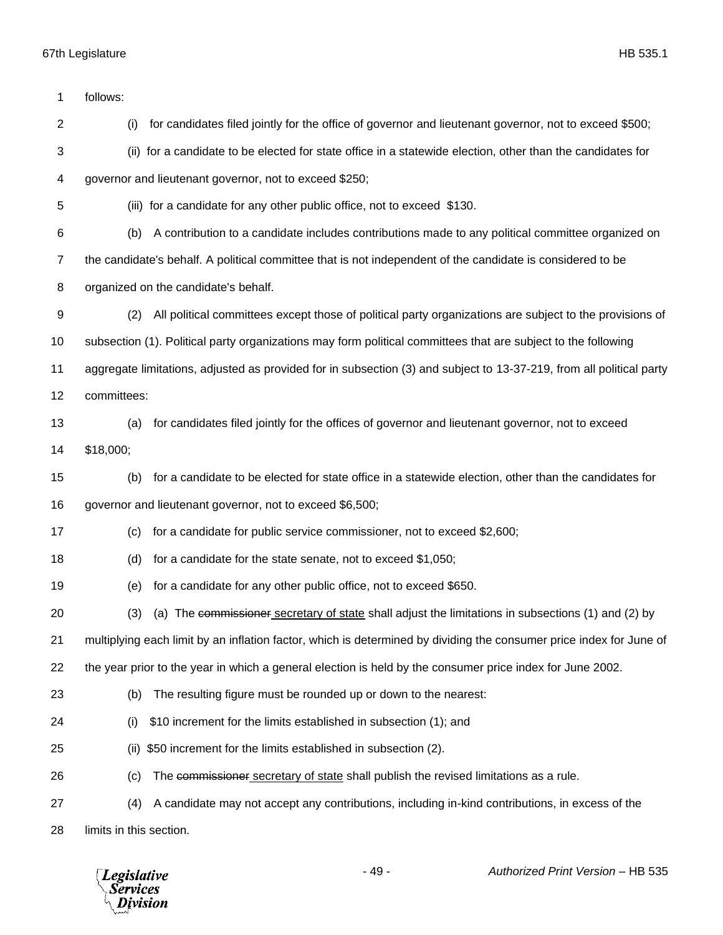follows: (i) for candidates filed jointly for the office of governor and lieutenant governor, not to exceed \$500; (ii) for a candidate to be elected for state office in a statewide election, other than the candidates for governor and lieutenant governor, not to exceed \$250; (iii) for a candidate for any other public office, not to exceed \$130. (b) A contribution to a candidate includes contributions made to any political committee organized on the candidate's behalf. A political committee that is not independent of the candidate is considered to be organized on the candidate's behalf. (2) All political committees except those of political party organizations are subject to the provisions of subsection (1). Political party organizations may form political committees that are subject to the following aggregate limitations, adjusted as provided for in subsection (3) and subject to 13-37-219, from all political party committees: (a) for candidates filed jointly for the offices of governor and lieutenant governor, not to exceed \$18,000; (b) for a candidate to be elected for state office in a statewide election, other than the candidates for 16 governor and lieutenant governor, not to exceed \$6,500; (c) for a candidate for public service commissioner, not to exceed \$2,600; (d) for a candidate for the state senate, not to exceed \$1,050; (e) for a candidate for any other public office, not to exceed \$650. (3) (a) The commissioner secretary of state shall adjust the limitations in subsections (1) and (2) by multiplying each limit by an inflation factor, which is determined by dividing the consumer price index for June of the year prior to the year in which a general election is held by the consumer price index for June 2002. (b) The resulting figure must be rounded up or down to the nearest: (i) \$10 increment for the limits established in subsection (1); and (ii) \$50 increment for the limits established in subsection (2). (c) The commissioner secretary of state shall publish the revised limitations as a rule. (4) A candidate may not accept any contributions, including in-kind contributions, in excess of the limits in this section.

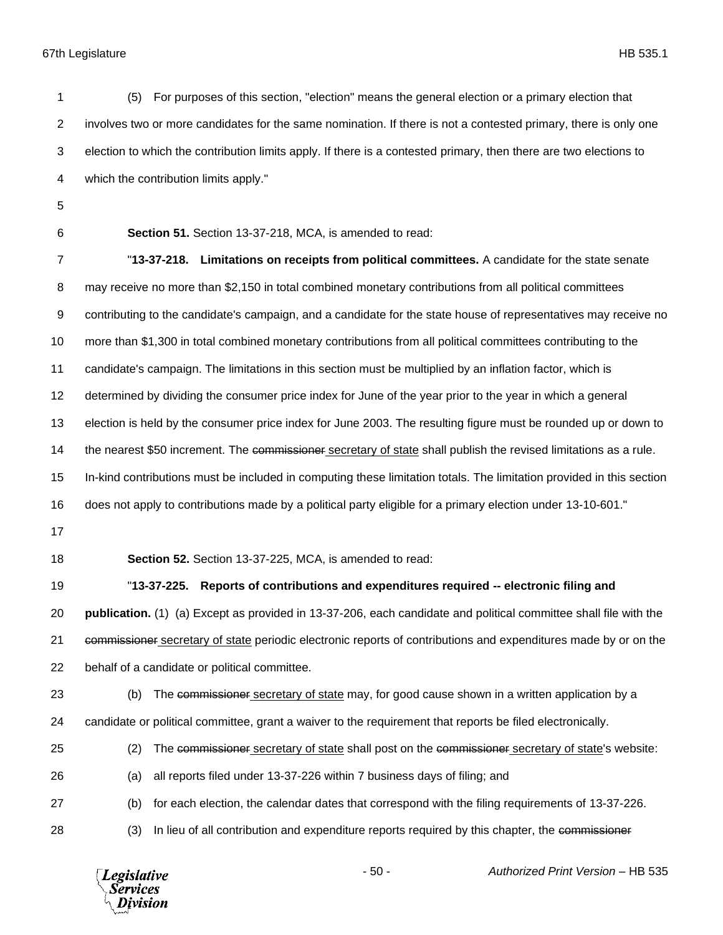| 1               | For purposes of this section, "election" means the general election or a primary election that<br>(5)                |  |  |  |
|-----------------|----------------------------------------------------------------------------------------------------------------------|--|--|--|
| $\overline{2}$  | involves two or more candidates for the same nomination. If there is not a contested primary, there is only one      |  |  |  |
| 3               | election to which the contribution limits apply. If there is a contested primary, then there are two elections to    |  |  |  |
| 4               | which the contribution limits apply."                                                                                |  |  |  |
| 5               |                                                                                                                      |  |  |  |
| 6               | Section 51. Section 13-37-218, MCA, is amended to read:                                                              |  |  |  |
| $\overline{7}$  | "13-37-218. Limitations on receipts from political committees. A candidate for the state senate                      |  |  |  |
| 8               | may receive no more than \$2,150 in total combined monetary contributions from all political committees              |  |  |  |
| 9               | contributing to the candidate's campaign, and a candidate for the state house of representatives may receive no      |  |  |  |
| 10              | more than \$1,300 in total combined monetary contributions from all political committees contributing to the         |  |  |  |
| 11              | candidate's campaign. The limitations in this section must be multiplied by an inflation factor, which is            |  |  |  |
| 12 <sub>2</sub> | determined by dividing the consumer price index for June of the year prior to the year in which a general            |  |  |  |
| 13              | election is held by the consumer price index for June 2003. The resulting figure must be rounded up or down to       |  |  |  |
| 14              | the nearest \$50 increment. The commissioner secretary of state shall publish the revised limitations as a rule.     |  |  |  |
| 15              | In-kind contributions must be included in computing these limitation totals. The limitation provided in this section |  |  |  |
| 16              | does not apply to contributions made by a political party eligible for a primary election under 13-10-601."          |  |  |  |
| 17              |                                                                                                                      |  |  |  |
| 18              | Section 52. Section 13-37-225, MCA, is amended to read:                                                              |  |  |  |
| 19              | "13-37-225. Reports of contributions and expenditures required -- electronic filing and                              |  |  |  |
| 20              | publication. (1) (a) Except as provided in 13-37-206, each candidate and political committee shall file with the     |  |  |  |
| 21              | commissioner secretary of state periodic electronic reports of contributions and expenditures made by or on the      |  |  |  |
| 22              | behalf of a candidate or political committee.                                                                        |  |  |  |
| 23              | The commissioner secretary of state may, for good cause shown in a written application by a<br>(b)                   |  |  |  |
| 24              | candidate or political committee, grant a waiver to the requirement that reports be filed electronically.            |  |  |  |
| 25              | The commissioner secretary of state shall post on the commissioner secretary of state's website:<br>(2)              |  |  |  |
| 26              | all reports filed under 13-37-226 within 7 business days of filing; and<br>(a)                                       |  |  |  |
| 27              | for each election, the calendar dates that correspond with the filing requirements of 13-37-226.<br>(b)              |  |  |  |
| 28              | In lieu of all contribution and expenditure reports required by this chapter, the commissioner<br>(3)                |  |  |  |
|                 |                                                                                                                      |  |  |  |

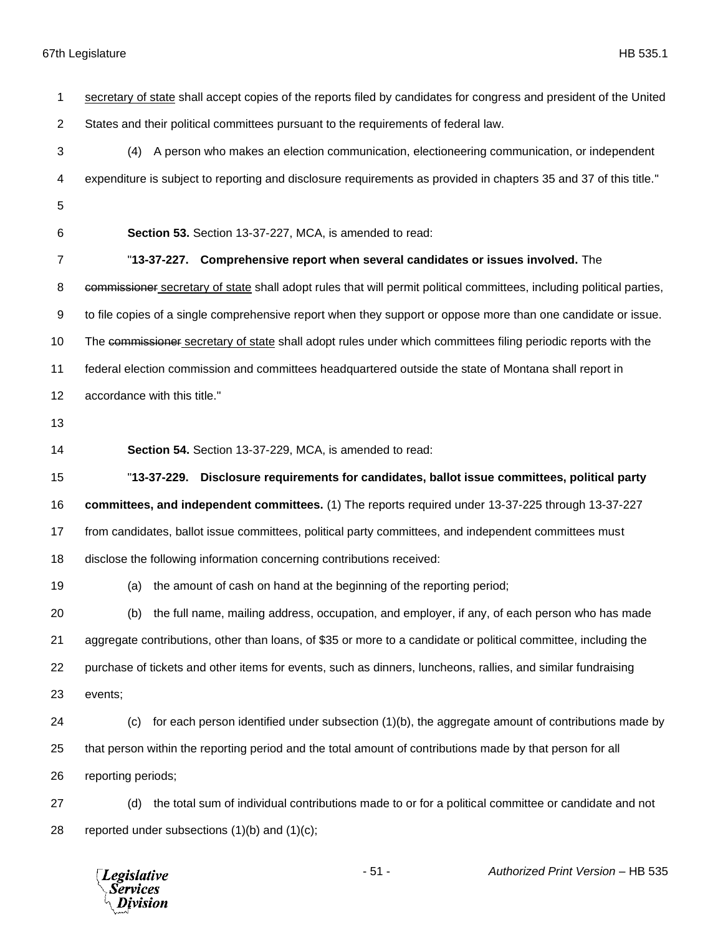| 1              | secretary of state shall accept copies of the reports filed by candidates for congress and president of the United    |  |  |  |
|----------------|-----------------------------------------------------------------------------------------------------------------------|--|--|--|
| $\overline{c}$ | States and their political committees pursuant to the requirements of federal law.                                    |  |  |  |
| 3              | A person who makes an election communication, electioneering communication, or independent<br>(4)                     |  |  |  |
| 4              | expenditure is subject to reporting and disclosure requirements as provided in chapters 35 and 37 of this title."     |  |  |  |
| 5              |                                                                                                                       |  |  |  |
| 6              | Section 53. Section 13-37-227, MCA, is amended to read:                                                               |  |  |  |
| $\overline{7}$ | "13-37-227. Comprehensive report when several candidates or issues involved. The                                      |  |  |  |
| 8              | commissioner secretary of state shall adopt rules that will permit political committees, including political parties, |  |  |  |
| 9              | to file copies of a single comprehensive report when they support or oppose more than one candidate or issue.         |  |  |  |
| 10             | The commissioner secretary of state shall adopt rules under which committees filing periodic reports with the         |  |  |  |
| 11             | federal election commission and committees headquartered outside the state of Montana shall report in                 |  |  |  |
| 12             | accordance with this title."                                                                                          |  |  |  |
| 13             |                                                                                                                       |  |  |  |
| 14             | Section 54. Section 13-37-229, MCA, is amended to read:                                                               |  |  |  |
| 15             | "13-37-229. Disclosure requirements for candidates, ballot issue committees, political party                          |  |  |  |
| 16             | committees, and independent committees. (1) The reports required under 13-37-225 through 13-37-227                    |  |  |  |
| 17             | from candidates, ballot issue committees, political party committees, and independent committees must                 |  |  |  |
| 18             | disclose the following information concerning contributions received:                                                 |  |  |  |
| 19             | the amount of cash on hand at the beginning of the reporting period;<br>(a)                                           |  |  |  |
| 20             | (b) the full name, mailing address, occupation, and employer, if any, of each person who has made                     |  |  |  |
| 21             | aggregate contributions, other than loans, of \$35 or more to a candidate or political committee, including the       |  |  |  |
| 22             | purchase of tickets and other items for events, such as dinners, luncheons, rallies, and similar fundraising          |  |  |  |
| 23             | events;                                                                                                               |  |  |  |
| 24             | for each person identified under subsection (1)(b), the aggregate amount of contributions made by<br>(c)              |  |  |  |
| 25             | that person within the reporting period and the total amount of contributions made by that person for all             |  |  |  |
| 26             | reporting periods;                                                                                                    |  |  |  |
| 27             | the total sum of individual contributions made to or for a political committee or candidate and not<br>(d)            |  |  |  |
| 28             | reported under subsections $(1)(b)$ and $(1)(c)$ ;                                                                    |  |  |  |
|                |                                                                                                                       |  |  |  |

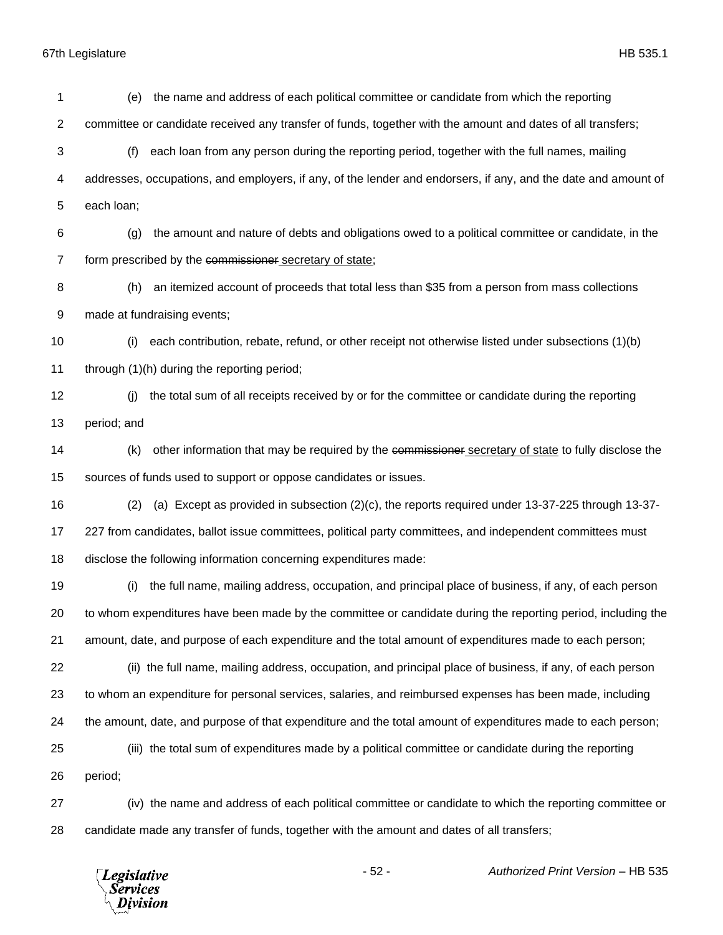(e) the name and address of each political committee or candidate from which the reporting committee or candidate received any transfer of funds, together with the amount and dates of all transfers; (f) each loan from any person during the reporting period, together with the full names, mailing addresses, occupations, and employers, if any, of the lender and endorsers, if any, and the date and amount of each loan; (g) the amount and nature of debts and obligations owed to a political committee or candidate, in the 7 form prescribed by the commissioner secretary of state; (h) an itemized account of proceeds that total less than \$35 from a person from mass collections made at fundraising events; (i) each contribution, rebate, refund, or other receipt not otherwise listed under subsections (1)(b) through (1)(h) during the reporting period; (j) the total sum of all receipts received by or for the committee or candidate during the reporting period; and 14 (k) other information that may be required by the commissioner secretary of state to fully disclose the sources of funds used to support or oppose candidates or issues. (2) (a) Except as provided in subsection (2)(c), the reports required under 13-37-225 through 13-37- 227 from candidates, ballot issue committees, political party committees, and independent committees must disclose the following information concerning expenditures made: (i) the full name, mailing address, occupation, and principal place of business, if any, of each person to whom expenditures have been made by the committee or candidate during the reporting period, including the amount, date, and purpose of each expenditure and the total amount of expenditures made to each person; (ii) the full name, mailing address, occupation, and principal place of business, if any, of each person to whom an expenditure for personal services, salaries, and reimbursed expenses has been made, including the amount, date, and purpose of that expenditure and the total amount of expenditures made to each person; (iii) the total sum of expenditures made by a political committee or candidate during the reporting period; (iv) the name and address of each political committee or candidate to which the reporting committee or candidate made any transfer of funds, together with the amount and dates of all transfers;

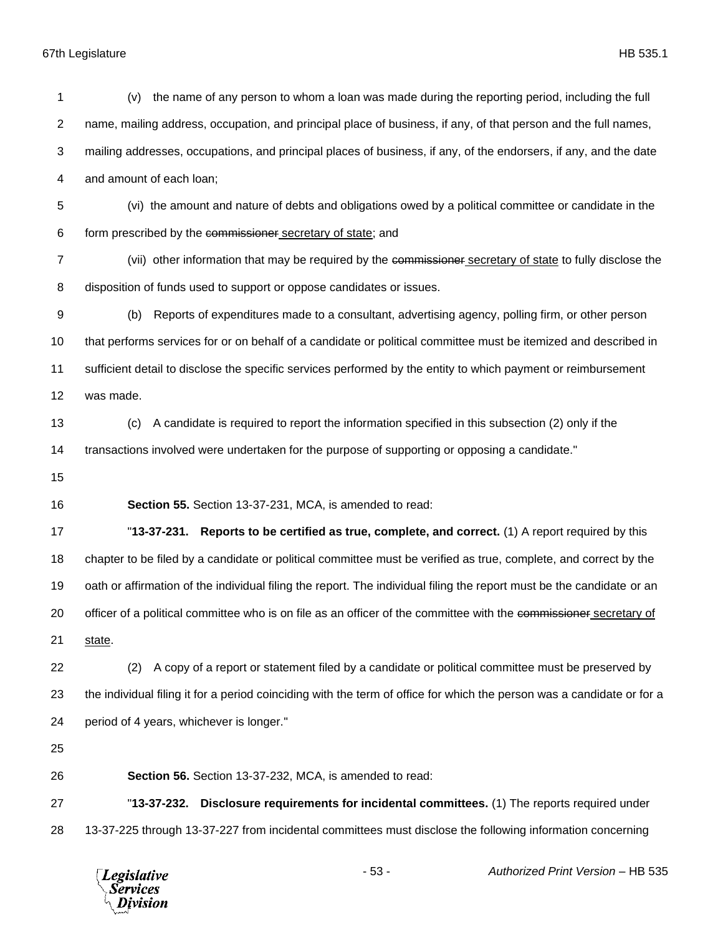| 1              | the name of any person to whom a loan was made during the reporting period, including the full<br>(v)                  |  |  |  |
|----------------|------------------------------------------------------------------------------------------------------------------------|--|--|--|
| $\overline{c}$ | name, mailing address, occupation, and principal place of business, if any, of that person and the full names,         |  |  |  |
| 3              | mailing addresses, occupations, and principal places of business, if any, of the endorsers, if any, and the date       |  |  |  |
| 4              | and amount of each loan;                                                                                               |  |  |  |
| 5              | (vi) the amount and nature of debts and obligations owed by a political committee or candidate in the                  |  |  |  |
| 6              | form prescribed by the commissioner secretary of state; and                                                            |  |  |  |
| $\overline{7}$ | (vii) other information that may be required by the commissioner secretary of state to fully disclose the              |  |  |  |
| 8              | disposition of funds used to support or oppose candidates or issues.                                                   |  |  |  |
| 9              | Reports of expenditures made to a consultant, advertising agency, polling firm, or other person<br>(b)                 |  |  |  |
| 10             | that performs services for or on behalf of a candidate or political committee must be itemized and described in        |  |  |  |
| 11             | sufficient detail to disclose the specific services performed by the entity to which payment or reimbursement          |  |  |  |
| 12             | was made.                                                                                                              |  |  |  |
| 13             | A candidate is required to report the information specified in this subsection (2) only if the<br>(c)                  |  |  |  |
| 14             | transactions involved were undertaken for the purpose of supporting or opposing a candidate."                          |  |  |  |
| 15             |                                                                                                                        |  |  |  |
| 16             | Section 55. Section 13-37-231, MCA, is amended to read:                                                                |  |  |  |
| 17             | "13-37-231. Reports to be certified as true, complete, and correct. (1) A report required by this                      |  |  |  |
| 18             | chapter to be filed by a candidate or political committee must be verified as true, complete, and correct by the       |  |  |  |
| 19             | oath or affirmation of the individual filing the report. The individual filing the report must be the candidate or an  |  |  |  |
| 20             | officer of a political committee who is on file as an officer of the committee with the commissioner secretary of      |  |  |  |
| 21             | state.                                                                                                                 |  |  |  |
| 22             | A copy of a report or statement filed by a candidate or political committee must be preserved by<br>(2)                |  |  |  |
| 23             | the individual filing it for a period coinciding with the term of office for which the person was a candidate or for a |  |  |  |
| 24             | period of 4 years, whichever is longer."                                                                               |  |  |  |
| 25             |                                                                                                                        |  |  |  |
| 26             | Section 56. Section 13-37-232, MCA, is amended to read:                                                                |  |  |  |
| 27             | Disclosure requirements for incidental committees. (1) The reports required under<br>"13-37-232.                       |  |  |  |
| 28             | 13-37-225 through 13-37-227 from incidental committees must disclose the following information concerning              |  |  |  |
|                | $-53-$<br>Authorized Print Version - HB 535<br><b>Legislative</b><br><b>Services</b><br>Division                       |  |  |  |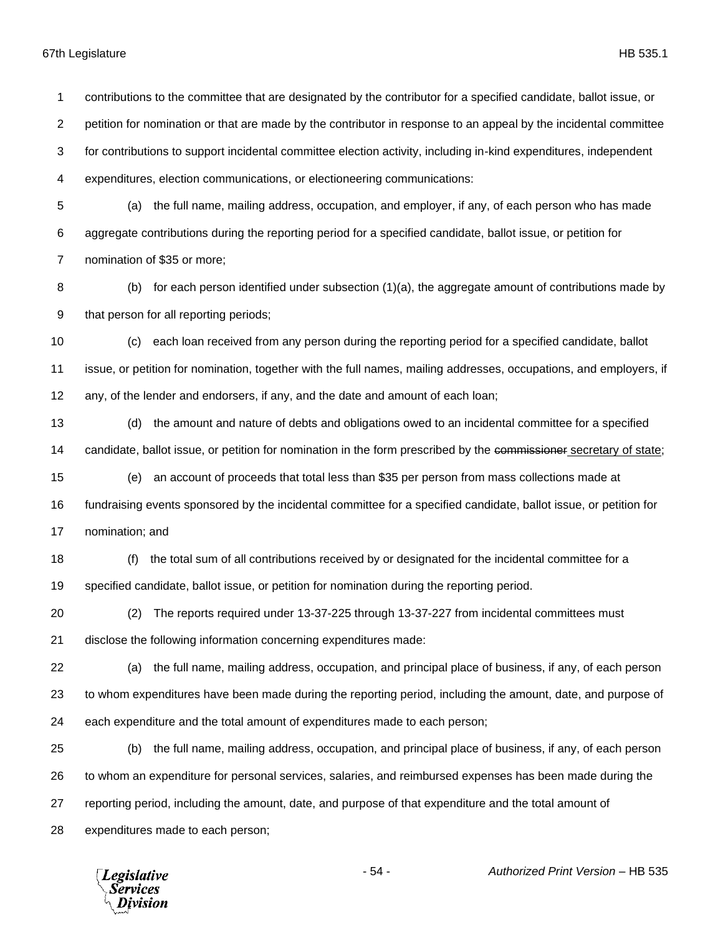contributions to the committee that are designated by the contributor for a specified candidate, ballot issue, or petition for nomination or that are made by the contributor in response to an appeal by the incidental committee for contributions to support incidental committee election activity, including in-kind expenditures, independent expenditures, election communications, or electioneering communications: (a) the full name, mailing address, occupation, and employer, if any, of each person who has made aggregate contributions during the reporting period for a specified candidate, ballot issue, or petition for nomination of \$35 or more; (b) for each person identified under subsection (1)(a), the aggregate amount of contributions made by that person for all reporting periods; (c) each loan received from any person during the reporting period for a specified candidate, ballot issue, or petition for nomination, together with the full names, mailing addresses, occupations, and employers, if any, of the lender and endorsers, if any, and the date and amount of each loan; (d) the amount and nature of debts and obligations owed to an incidental committee for a specified 14 candidate, ballot issue, or petition for nomination in the form prescribed by the commissioner secretary of state; (e) an account of proceeds that total less than \$35 per person from mass collections made at fundraising events sponsored by the incidental committee for a specified candidate, ballot issue, or petition for nomination; and (f) the total sum of all contributions received by or designated for the incidental committee for a specified candidate, ballot issue, or petition for nomination during the reporting period. (2) The reports required under 13-37-225 through 13-37-227 from incidental committees must disclose the following information concerning expenditures made: (a) the full name, mailing address, occupation, and principal place of business, if any, of each person to whom expenditures have been made during the reporting period, including the amount, date, and purpose of each expenditure and the total amount of expenditures made to each person; (b) the full name, mailing address, occupation, and principal place of business, if any, of each person to whom an expenditure for personal services, salaries, and reimbursed expenses has been made during the reporting period, including the amount, date, and purpose of that expenditure and the total amount of expenditures made to each person;

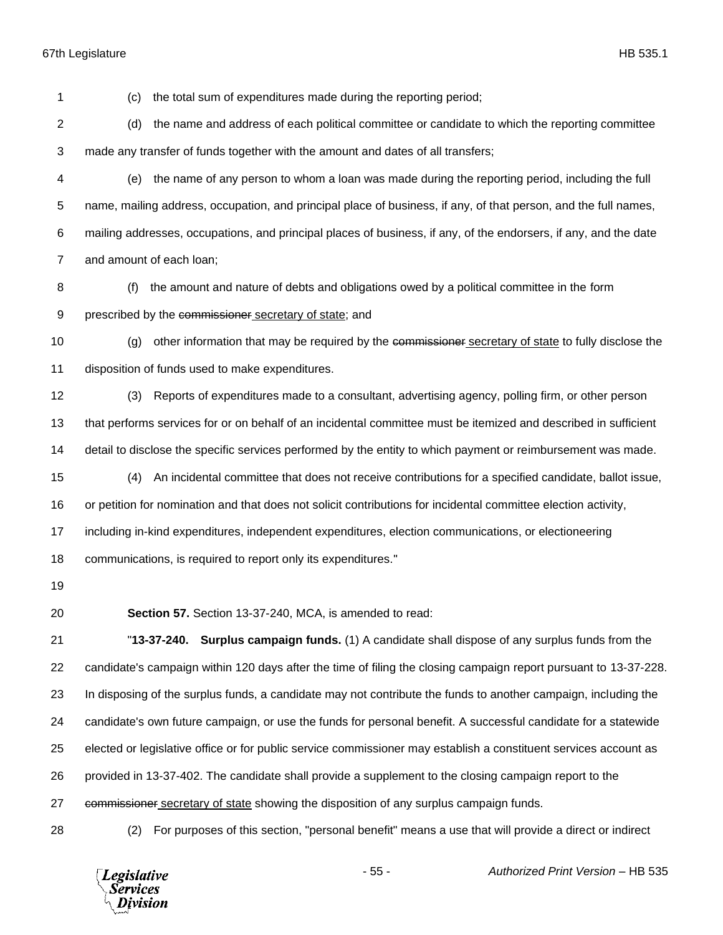(c) the total sum of expenditures made during the reporting period; (d) the name and address of each political committee or candidate to which the reporting committee made any transfer of funds together with the amount and dates of all transfers; (e) the name of any person to whom a loan was made during the reporting period, including the full name, mailing address, occupation, and principal place of business, if any, of that person, and the full names, mailing addresses, occupations, and principal places of business, if any, of the endorsers, if any, and the date and amount of each loan; (f) the amount and nature of debts and obligations owed by a political committee in the form prescribed by the commissioner secretary of state; and 10 (g) other information that may be required by the commissioner secretary of state to fully disclose the disposition of funds used to make expenditures. (3) Reports of expenditures made to a consultant, advertising agency, polling firm, or other person that performs services for or on behalf of an incidental committee must be itemized and described in sufficient detail to disclose the specific services performed by the entity to which payment or reimbursement was made. (4) An incidental committee that does not receive contributions for a specified candidate, ballot issue, or petition for nomination and that does not solicit contributions for incidental committee election activity, including in-kind expenditures, independent expenditures, election communications, or electioneering communications, is required to report only its expenditures." **Section 57.** Section 13-37-240, MCA, is amended to read: "**13-37-240. Surplus campaign funds.** (1) A candidate shall dispose of any surplus funds from the candidate's campaign within 120 days after the time of filing the closing campaign report pursuant to 13-37-228. In disposing of the surplus funds, a candidate may not contribute the funds to another campaign, including the candidate's own future campaign, or use the funds for personal benefit. A successful candidate for a statewide elected or legislative office or for public service commissioner may establish a constituent services account as provided in 13-37-402. The candidate shall provide a supplement to the closing campaign report to the 27 commissioner secretary of state showing the disposition of any surplus campaign funds.

(2) For purposes of this section, "personal benefit" means a use that will provide a direct or indirect

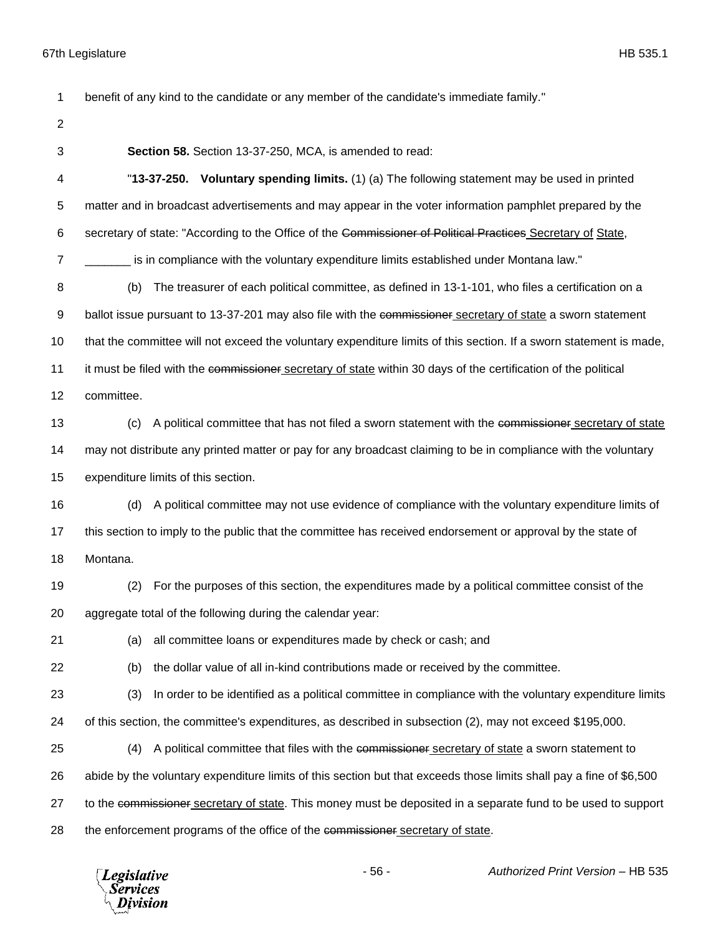benefit of any kind to the candidate or any member of the candidate's immediate family."

**Section 58.** Section 13-37-250, MCA, is amended to read:

 "**13-37-250. Voluntary spending limits.** (1) (a) The following statement may be used in printed matter and in broadcast advertisements and may appear in the voter information pamphlet prepared by the secretary of state: "According to the Office of the Commissioner of Political Practices Secretary of State, \_\_\_\_\_\_\_ is in compliance with the voluntary expenditure limits established under Montana law." (b) The treasurer of each political committee, as defined in 13-1-101, who files a certification on a 9 ballot issue pursuant to 13-37-201 may also file with the commissioner secretary of state a sworn statement that the committee will not exceed the voluntary expenditure limits of this section. If a sworn statement is made, 11 it must be filed with the commissioner secretary of state within 30 days of the certification of the political committee. 13 (c) A political committee that has not filed a sworn statement with the commissioner secretary of state may not distribute any printed matter or pay for any broadcast claiming to be in compliance with the voluntary expenditure limits of this section. (d) A political committee may not use evidence of compliance with the voluntary expenditure limits of

 this section to imply to the public that the committee has received endorsement or approval by the state of Montana.

 (2) For the purposes of this section, the expenditures made by a political committee consist of the aggregate total of the following during the calendar year:

(a) all committee loans or expenditures made by check or cash; and

(b) the dollar value of all in-kind contributions made or received by the committee.

(3) In order to be identified as a political committee in compliance with the voluntary expenditure limits

of this section, the committee's expenditures, as described in subsection (2), may not exceed \$195,000.

25 (4) A political committee that files with the commissioner secretary of state a sworn statement to abide by the voluntary expenditure limits of this section but that exceeds those limits shall pay a fine of \$6,500 27 to the commissioner secretary of state. This money must be deposited in a separate fund to be used to support 28 the enforcement programs of the office of the commissioner secretary of state.

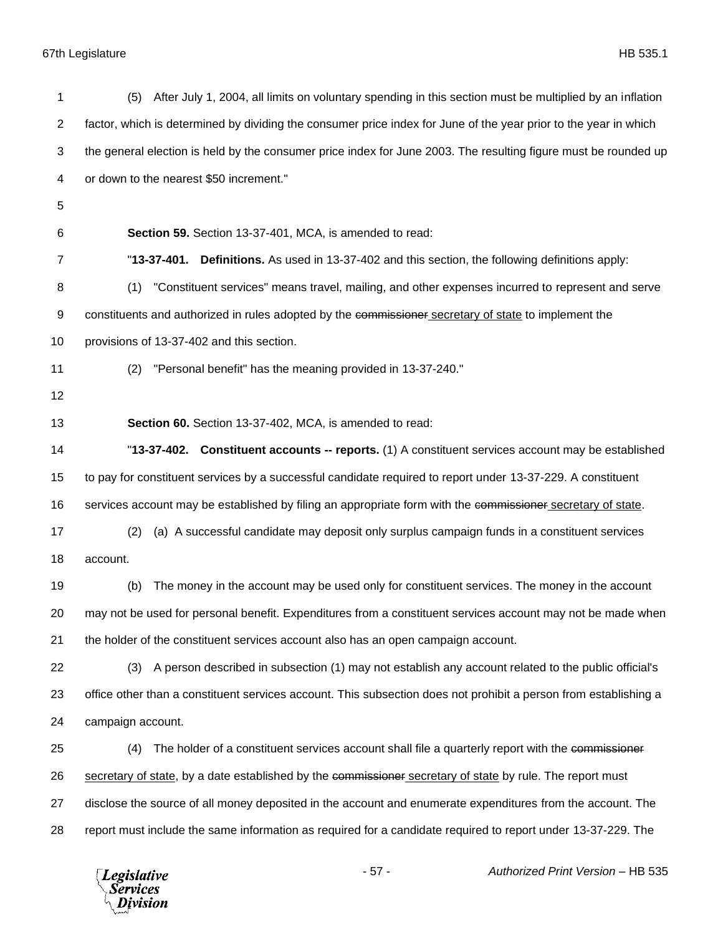| 1              | After July 1, 2004, all limits on voluntary spending in this section must be multiplied by an inflation<br>(5)   |  |  |  |
|----------------|------------------------------------------------------------------------------------------------------------------|--|--|--|
| $\overline{2}$ | factor, which is determined by dividing the consumer price index for June of the year prior to the year in which |  |  |  |
| 3              | the general election is held by the consumer price index for June 2003. The resulting figure must be rounded up  |  |  |  |
| 4              | or down to the nearest \$50 increment."                                                                          |  |  |  |
| 5              |                                                                                                                  |  |  |  |
| 6              | Section 59. Section 13-37-401, MCA, is amended to read:                                                          |  |  |  |
| $\overline{7}$ | "13-37-401.<br>Definitions. As used in 13-37-402 and this section, the following definitions apply:              |  |  |  |
| 8              | "Constituent services" means travel, mailing, and other expenses incurred to represent and serve<br>(1)          |  |  |  |
| 9              | constituents and authorized in rules adopted by the commissioner secretary of state to implement the             |  |  |  |
| 10             | provisions of 13-37-402 and this section.                                                                        |  |  |  |
| 11             | "Personal benefit" has the meaning provided in 13-37-240."<br>(2)                                                |  |  |  |
| 12             |                                                                                                                  |  |  |  |
| 13             | Section 60. Section 13-37-402, MCA, is amended to read:                                                          |  |  |  |
| 14             | "13-37-402. Constituent accounts -- reports. (1) A constituent services account may be established               |  |  |  |
| 15             | to pay for constituent services by a successful candidate required to report under 13-37-229. A constituent      |  |  |  |
| 16             | services account may be established by filing an appropriate form with the commissioner secretary of state.      |  |  |  |
| 17             | (a) A successful candidate may deposit only surplus campaign funds in a constituent services<br>(2)              |  |  |  |
| 18             | account.                                                                                                         |  |  |  |
| 19             | The money in the account may be used only for constituent services. The money in the account<br>(b)              |  |  |  |
| 20             | may not be used for personal benefit. Expenditures from a constituent services account may not be made when      |  |  |  |
| 21             | the holder of the constituent services account also has an open campaign account.                                |  |  |  |
| 22             | A person described in subsection (1) may not establish any account related to the public official's<br>(3)       |  |  |  |
| 23             | office other than a constituent services account. This subsection does not prohibit a person from establishing a |  |  |  |
| 24             | campaign account.                                                                                                |  |  |  |
| 25             | The holder of a constituent services account shall file a quarterly report with the commissioner<br>(4)          |  |  |  |
| 26             | secretary of state, by a date established by the commissioner secretary of state by rule. The report must        |  |  |  |
| 27             | disclose the source of all money deposited in the account and enumerate expenditures from the account. The       |  |  |  |
| 28             | report must include the same information as required for a candidate required to report under 13-37-229. The     |  |  |  |
|                |                                                                                                                  |  |  |  |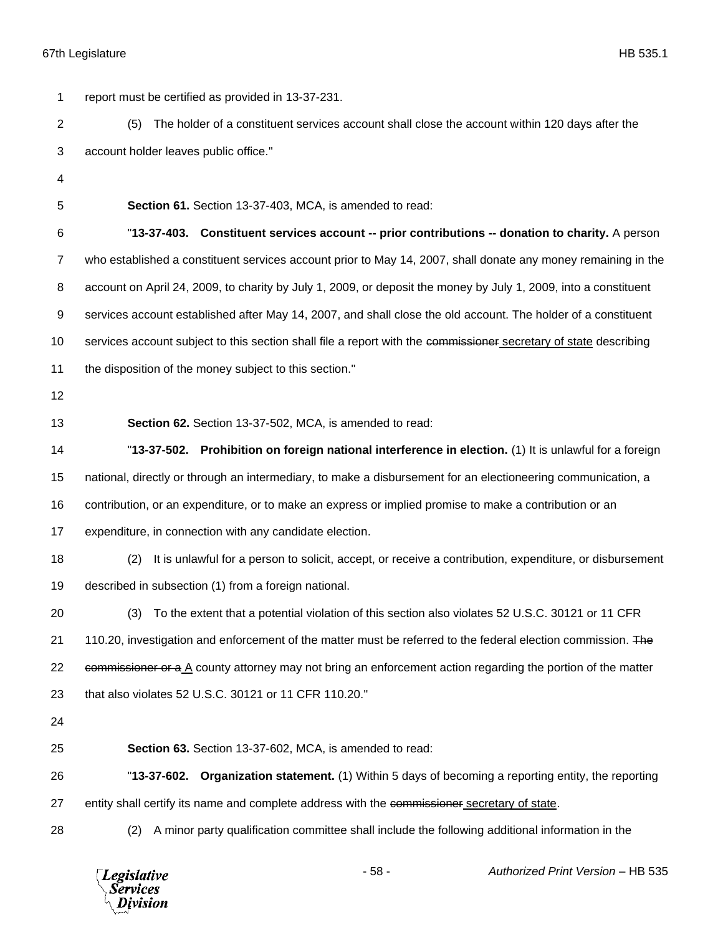**Legislative** Services

 report must be certified as provided in 13-37-231. (5) The holder of a constituent services account shall close the account within 120 days after the account holder leaves public office." **Section 61.** Section 13-37-403, MCA, is amended to read: "**13-37-403. Constituent services account -- prior contributions -- donation to charity.** A person who established a constituent services account prior to May 14, 2007, shall donate any money remaining in the account on April 24, 2009, to charity by July 1, 2009, or deposit the money by July 1, 2009, into a constituent services account established after May 14, 2007, and shall close the old account. The holder of a constituent 10 services account subject to this section shall file a report with the commissioner secretary of state describing the disposition of the money subject to this section." **Section 62.** Section 13-37-502, MCA, is amended to read: "**13-37-502. Prohibition on foreign national interference in election.** (1) It is unlawful for a foreign national, directly or through an intermediary, to make a disbursement for an electioneering communication, a contribution, or an expenditure, or to make an express or implied promise to make a contribution or an expenditure, in connection with any candidate election. (2) It is unlawful for a person to solicit, accept, or receive a contribution, expenditure, or disbursement described in subsection (1) from a foreign national. (3) To the extent that a potential violation of this section also violates 52 U.S.C. 30121 or 11 CFR 21 110.20, investigation and enforcement of the matter must be referred to the federal election commission. The 22 <del>commissioner or a</del> A county attorney may not bring an enforcement action regarding the portion of the matter that also violates 52 U.S.C. 30121 or 11 CFR 110.20." **Section 63.** Section 13-37-602, MCA, is amended to read: "**13-37-602. Organization statement.** (1) Within 5 days of becoming a reporting entity, the reporting 27 entity shall certify its name and complete address with the commissioner secretary of state. (2) A minor party qualification committee shall include the following additional information in the

- 58 - *Authorized Print Version* – HB 535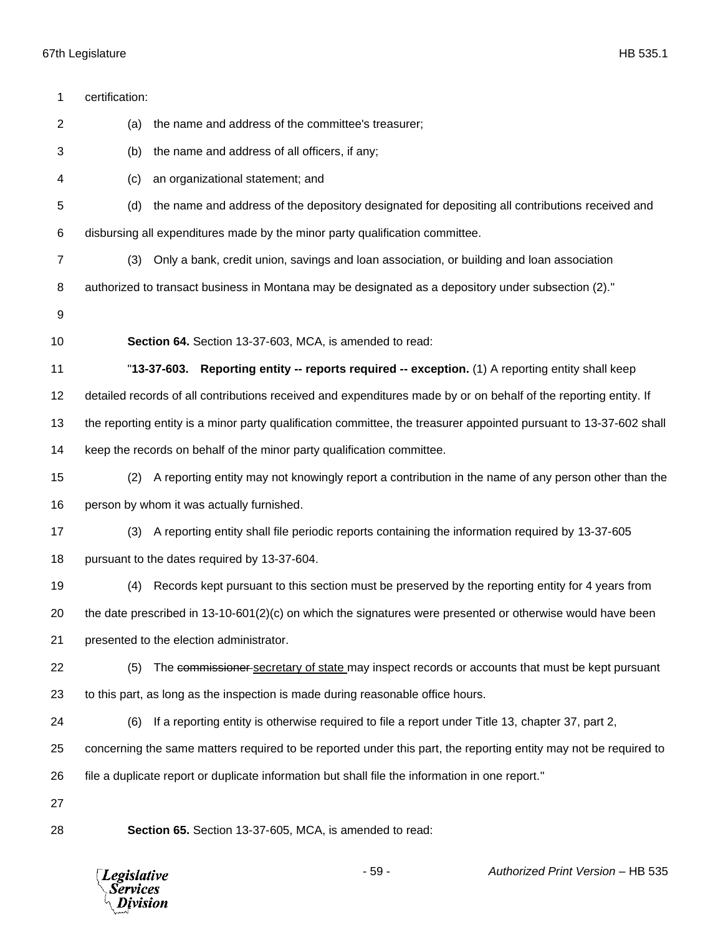| 1              | certification:                                                                                                     |  |  |
|----------------|--------------------------------------------------------------------------------------------------------------------|--|--|
| $\overline{c}$ | the name and address of the committee's treasurer;<br>(a)                                                          |  |  |
| 3              | the name and address of all officers, if any;<br>(b)                                                               |  |  |
| 4              | an organizational statement; and<br>(c)                                                                            |  |  |
| 5              | the name and address of the depository designated for depositing all contributions received and<br>(d)             |  |  |
| 6              | disbursing all expenditures made by the minor party qualification committee.                                       |  |  |
| 7              | Only a bank, credit union, savings and loan association, or building and loan association<br>(3)                   |  |  |
| 8              | authorized to transact business in Montana may be designated as a depository under subsection (2)."                |  |  |
| 9              |                                                                                                                    |  |  |
| 10             | Section 64. Section 13-37-603, MCA, is amended to read:                                                            |  |  |
| 11             | "13-37-603. Reporting entity -- reports required -- exception. (1) A reporting entity shall keep                   |  |  |
| 12             | detailed records of all contributions received and expenditures made by or on behalf of the reporting entity. If   |  |  |
| 13             | the reporting entity is a minor party qualification committee, the treasurer appointed pursuant to 13-37-602 shall |  |  |
| 14             | keep the records on behalf of the minor party qualification committee.                                             |  |  |
| 15             | A reporting entity may not knowingly report a contribution in the name of any person other than the<br>(2)         |  |  |
| 16             | person by whom it was actually furnished.                                                                          |  |  |
| 17             | A reporting entity shall file periodic reports containing the information required by 13-37-605<br>(3)             |  |  |
| 18             | pursuant to the dates required by 13-37-604.                                                                       |  |  |
| 19             | Records kept pursuant to this section must be preserved by the reporting entity for 4 years from<br>(4)            |  |  |
| 20             | the date prescribed in 13-10-601(2)(c) on which the signatures were presented or otherwise would have been         |  |  |
| 21             | presented to the election administrator.                                                                           |  |  |
| 22             | The commissioner-secretary of state may inspect records or accounts that must be kept pursuant<br>(5)              |  |  |
| 23             | to this part, as long as the inspection is made during reasonable office hours.                                    |  |  |
| 24             | If a reporting entity is otherwise required to file a report under Title 13, chapter 37, part 2,<br>(6)            |  |  |
| 25             | concerning the same matters required to be reported under this part, the reporting entity may not be required to   |  |  |
| 26             | file a duplicate report or duplicate information but shall file the information in one report."                    |  |  |
| 27             |                                                                                                                    |  |  |
| 28             | Section 65. Section 13-37-605, MCA, is amended to read:                                                            |  |  |
|                |                                                                                                                    |  |  |

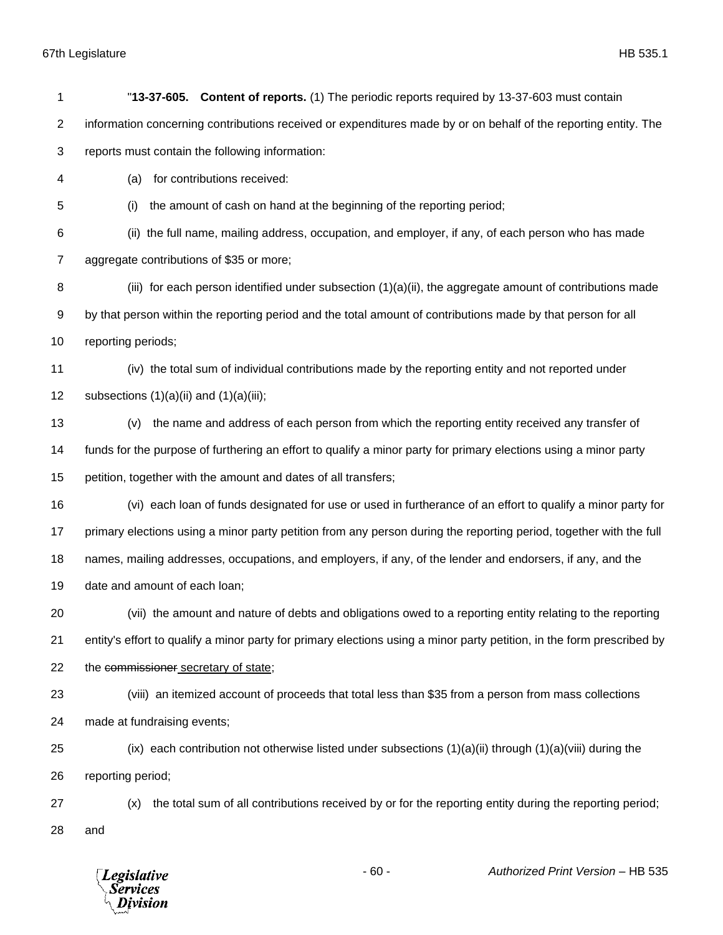| 1              | "13-37-605. Content of reports. (1) The periodic reports required by 13-37-603 must contain                            |  |  |  |
|----------------|------------------------------------------------------------------------------------------------------------------------|--|--|--|
| 2              | information concerning contributions received or expenditures made by or on behalf of the reporting entity. The        |  |  |  |
| 3              | reports must contain the following information:                                                                        |  |  |  |
| 4              | for contributions received:<br>(a)                                                                                     |  |  |  |
| 5              | the amount of cash on hand at the beginning of the reporting period;<br>(i)                                            |  |  |  |
| 6              | the full name, mailing address, occupation, and employer, if any, of each person who has made<br>(ii)                  |  |  |  |
| $\overline{7}$ | aggregate contributions of \$35 or more;                                                                               |  |  |  |
| 8              | (iii) for each person identified under subsection (1)(a)(ii), the aggregate amount of contributions made               |  |  |  |
| 9              | by that person within the reporting period and the total amount of contributions made by that person for all           |  |  |  |
| 10             | reporting periods;                                                                                                     |  |  |  |
| 11             | (iv) the total sum of individual contributions made by the reporting entity and not reported under                     |  |  |  |
| 12             | subsections $(1)(a)(ii)$ and $(1)(a)(iii)$ ;                                                                           |  |  |  |
| 13             | the name and address of each person from which the reporting entity received any transfer of<br>(v)                    |  |  |  |
| 14             | funds for the purpose of furthering an effort to qualify a minor party for primary elections using a minor party       |  |  |  |
| 15             | petition, together with the amount and dates of all transfers;                                                         |  |  |  |
| 16             | (vi) each loan of funds designated for use or used in furtherance of an effort to qualify a minor party for            |  |  |  |
| 17             | primary elections using a minor party petition from any person during the reporting period, together with the full     |  |  |  |
| 18             | names, mailing addresses, occupations, and employers, if any, of the lender and endorsers, if any, and the             |  |  |  |
| 19             | date and amount of each loan;                                                                                          |  |  |  |
| 20             | (vii) the amount and nature of debts and obligations owed to a reporting entity relating to the reporting              |  |  |  |
| 21             | entity's effort to qualify a minor party for primary elections using a minor party petition, in the form prescribed by |  |  |  |
| 22             | the commissioner secretary of state;                                                                                   |  |  |  |
| 23             | (viii) an itemized account of proceeds that total less than \$35 from a person from mass collections                   |  |  |  |
| 24             | made at fundraising events;                                                                                            |  |  |  |
| 25             | (ix) each contribution not otherwise listed under subsections $(1)(a)(ii)$ through $(1)(a)(iii)$ during the            |  |  |  |
| 26             | reporting period;                                                                                                      |  |  |  |
| 27             | the total sum of all contributions received by or for the reporting entity during the reporting period;<br>(x)         |  |  |  |
| 28             | and                                                                                                                    |  |  |  |
|                |                                                                                                                        |  |  |  |

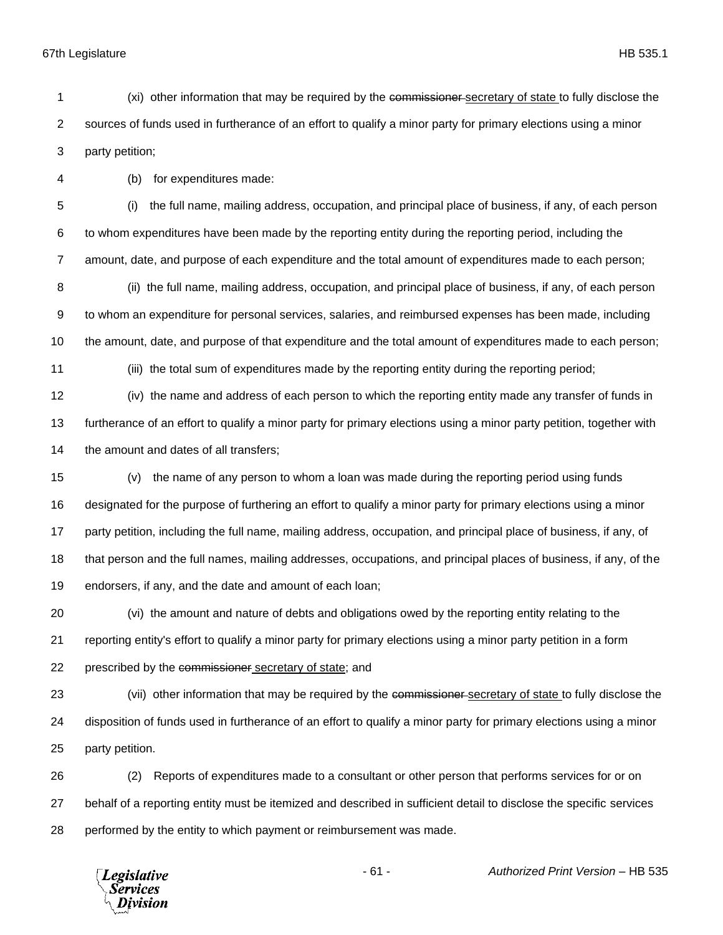1 (xi) other information that may be required by the commissioner secretary of state to fully disclose the sources of funds used in furtherance of an effort to qualify a minor party for primary elections using a minor party petition;

(b) for expenditures made:

 (i) the full name, mailing address, occupation, and principal place of business, if any, of each person to whom expenditures have been made by the reporting entity during the reporting period, including the amount, date, and purpose of each expenditure and the total amount of expenditures made to each person; 8 (ii) the full name, mailing address, occupation, and principal place of business, if any, of each person to whom an expenditure for personal services, salaries, and reimbursed expenses has been made, including the amount, date, and purpose of that expenditure and the total amount of expenditures made to each person;

(iii) the total sum of expenditures made by the reporting entity during the reporting period;

 (iv) the name and address of each person to which the reporting entity made any transfer of funds in furtherance of an effort to qualify a minor party for primary elections using a minor party petition, together with the amount and dates of all transfers;

 (v) the name of any person to whom a loan was made during the reporting period using funds designated for the purpose of furthering an effort to qualify a minor party for primary elections using a minor party petition, including the full name, mailing address, occupation, and principal place of business, if any, of that person and the full names, mailing addresses, occupations, and principal places of business, if any, of the endorsers, if any, and the date and amount of each loan;

 (vi) the amount and nature of debts and obligations owed by the reporting entity relating to the reporting entity's effort to qualify a minor party for primary elections using a minor party petition in a form 22 prescribed by the commissioner secretary of state; and

 (vii) other information that may be required by the commissioner secretary of state to fully disclose the disposition of funds used in furtherance of an effort to qualify a minor party for primary elections using a minor party petition.

 (2) Reports of expenditures made to a consultant or other person that performs services for or on behalf of a reporting entity must be itemized and described in sufficient detail to disclose the specific services performed by the entity to which payment or reimbursement was made.

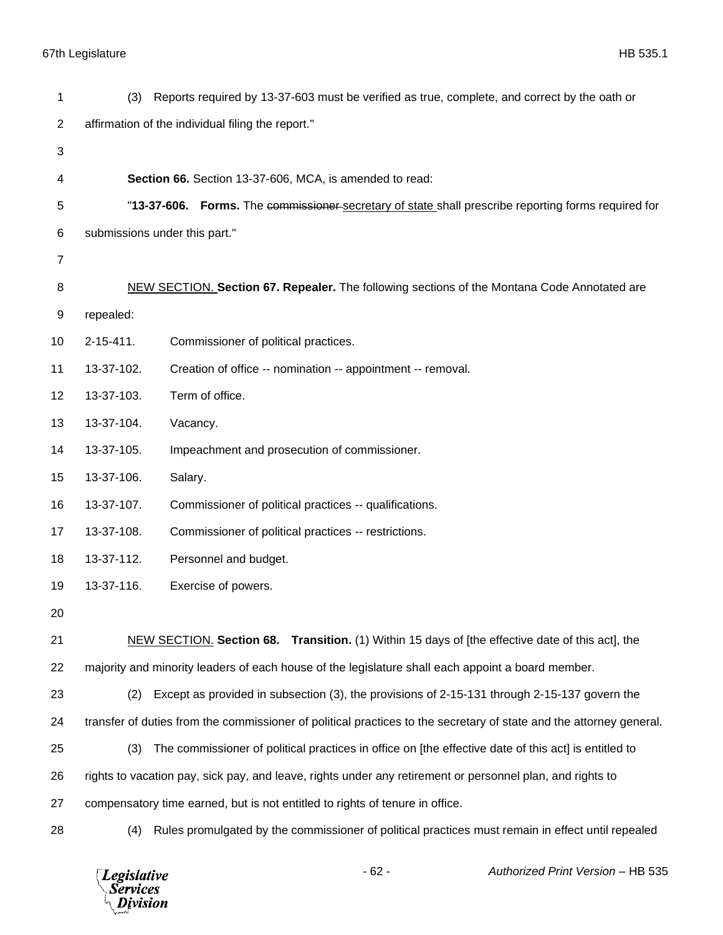| 1              | Reports required by 13-37-603 must be verified as true, complete, and correct by the oath or<br>(3)       |                                                                                                                     |  |
|----------------|-----------------------------------------------------------------------------------------------------------|---------------------------------------------------------------------------------------------------------------------|--|
| 2              | affirmation of the individual filing the report."                                                         |                                                                                                                     |  |
| 3              |                                                                                                           |                                                                                                                     |  |
| 4              | Section 66. Section 13-37-606, MCA, is amended to read:                                                   |                                                                                                                     |  |
| 5              | "13-37-606. Forms. The commissioner-secretary of state shall prescribe reporting forms required for       |                                                                                                                     |  |
| 6              | submissions under this part."                                                                             |                                                                                                                     |  |
| $\overline{7}$ |                                                                                                           |                                                                                                                     |  |
| 8              |                                                                                                           | NEW SECTION. Section 67. Repealer. The following sections of the Montana Code Annotated are                         |  |
| 9              | repealed:                                                                                                 |                                                                                                                     |  |
| 10             | $2 - 15 - 411.$                                                                                           | Commissioner of political practices.                                                                                |  |
| 11             | 13-37-102.                                                                                                | Creation of office -- nomination -- appointment -- removal.                                                         |  |
| 12             | 13-37-103.                                                                                                | Term of office.                                                                                                     |  |
| 13             | 13-37-104.                                                                                                | Vacancy.                                                                                                            |  |
| 14             | 13-37-105.                                                                                                | Impeachment and prosecution of commissioner.                                                                        |  |
| 15             | 13-37-106.                                                                                                | Salary.                                                                                                             |  |
| 16             | 13-37-107.                                                                                                | Commissioner of political practices -- qualifications.                                                              |  |
| 17             | 13-37-108.                                                                                                | Commissioner of political practices -- restrictions.                                                                |  |
| 18             | 13-37-112.                                                                                                | Personnel and budget.                                                                                               |  |
| 19             | 13-37-116.                                                                                                | Exercise of powers.                                                                                                 |  |
| 20             |                                                                                                           |                                                                                                                     |  |
| 21             |                                                                                                           | NEW SECTION. Section 68. Transition. (1) Within 15 days of [the effective date of this act], the                    |  |
| 22             | majority and minority leaders of each house of the legislature shall each appoint a board member.         |                                                                                                                     |  |
| 23             | (2)                                                                                                       | Except as provided in subsection (3), the provisions of 2-15-131 through 2-15-137 govern the                        |  |
| 24             |                                                                                                           | transfer of duties from the commissioner of political practices to the secretary of state and the attorney general. |  |
| 25             | (3)                                                                                                       | The commissioner of political practices in office on [the effective date of this act] is entitled to                |  |
| 26             | rights to vacation pay, sick pay, and leave, rights under any retirement or personnel plan, and rights to |                                                                                                                     |  |
| 27             |                                                                                                           | compensatory time earned, but is not entitled to rights of tenure in office.                                        |  |
| 28             | (4)                                                                                                       | Rules promulgated by the commissioner of political practices must remain in effect until repealed                   |  |
|                |                                                                                                           |                                                                                                                     |  |